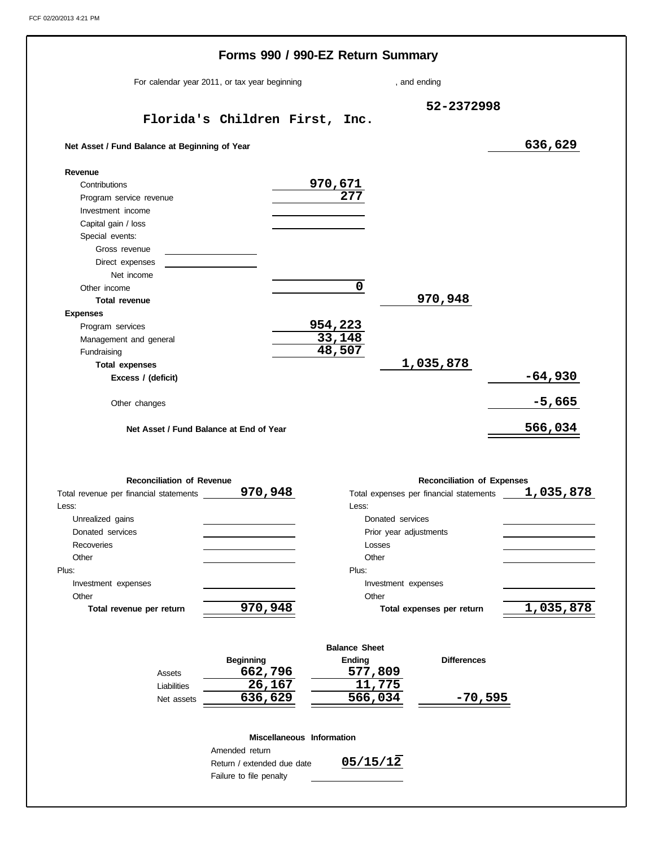|                                                | Forms 990 / 990-EZ Return Summary             |                       |                        |                                         |           |
|------------------------------------------------|-----------------------------------------------|-----------------------|------------------------|-----------------------------------------|-----------|
|                                                | For calendar year 2011, or tax year beginning |                       |                        | , and ending                            |           |
|                                                | Florida's Children First, Inc.                |                       |                        | 52-2372998                              |           |
| Net Asset / Fund Balance at Beginning of Year  |                                               |                       |                        |                                         | 636,629   |
| Revenue                                        |                                               |                       |                        |                                         |           |
| Contributions                                  |                                               |                       |                        |                                         |           |
| Program service revenue                        |                                               | <u>970,671</u><br>277 |                        |                                         |           |
| Investment income                              |                                               |                       |                        |                                         |           |
| Capital gain / loss                            |                                               |                       |                        |                                         |           |
| Special events:                                |                                               |                       |                        |                                         |           |
| Gross revenue                                  |                                               |                       |                        |                                         |           |
| Direct expenses                                |                                               |                       |                        |                                         |           |
| Net income                                     |                                               |                       |                        |                                         |           |
| Other income                                   |                                               | $\mathbf 0$           |                        |                                         |           |
| <b>Total revenue</b>                           |                                               |                       |                        | 970,948                                 |           |
| <b>Expenses</b>                                |                                               |                       |                        |                                         |           |
| Program services                               |                                               | 954,223               |                        |                                         |           |
| Management and general                         |                                               | 33,148                |                        |                                         |           |
| Fundraising                                    |                                               | 48,507                |                        |                                         |           |
| <b>Total expenses</b>                          |                                               |                       |                        | 1,035,878                               |           |
| Excess / (deficit)                             |                                               |                       |                        |                                         | $-64,930$ |
| Other changes                                  |                                               |                       |                        |                                         | $-5,665$  |
|                                                |                                               |                       |                        |                                         |           |
| Net Asset / Fund Balance at End of Year        |                                               |                       |                        |                                         | 566,034   |
|                                                |                                               |                       |                        |                                         |           |
| <b>Reconciliation of Revenue</b>               |                                               |                       |                        | <b>Reconciliation of Expenses</b>       |           |
| Total revenue per financial statements _______ | 970,948                                       |                       |                        | Total expenses per financial statements | 1,035,878 |
| Less:                                          |                                               | Less:                 |                        |                                         |           |
| Unrealized gains                               |                                               |                       | Donated services       |                                         |           |
| Donated services                               |                                               |                       | Prior year adjustments |                                         |           |
| Recoveries                                     |                                               |                       | Losses                 |                                         |           |
| Other                                          |                                               |                       | Other                  |                                         |           |
| Plus:                                          |                                               | Plus:                 |                        |                                         |           |
| Investment expenses                            |                                               |                       | Investment expenses    |                                         |           |
| Other                                          |                                               |                       | Other                  |                                         |           |
| Total revenue per return                       | 970,948                                       |                       |                        | Total expenses per return               | 1,035,878 |
|                                                |                                               |                       |                        |                                         |           |
|                                                |                                               | <b>Balance Sheet</b>  |                        |                                         |           |
|                                                | <b>Beginning</b>                              | <b>Ending</b>         |                        | <b>Differences</b>                      |           |
| Assets                                         | 662,796                                       |                       | 577,809                |                                         |           |
| Liabilities                                    | $\overline{2}6, 167$                          |                       | 11,775                 |                                         |           |
| Net assets                                     | 636,629                                       |                       | 566,034                | -70,595                                 |           |
|                                                |                                               |                       |                        |                                         |           |
|                                                | Miscellaneous Information<br>Amended return   |                       |                        |                                         |           |
|                                                | Return / extended due date                    | 05/15/12              |                        |                                         |           |
|                                                |                                               |                       |                        |                                         |           |

Failure to file penalty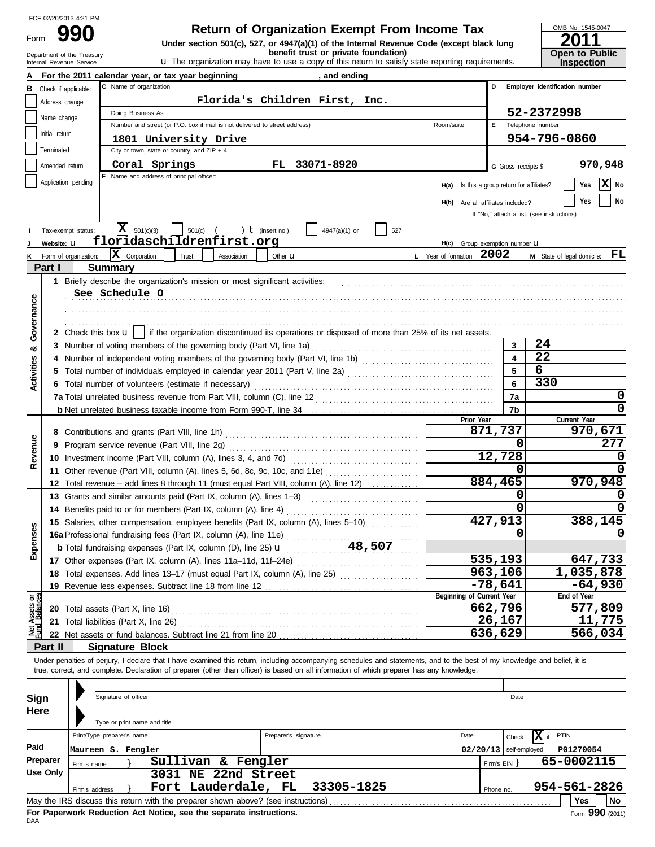|      | FCF 02/20/2013 4:21 PM |
|------|------------------------|
| Form | 990                    |

# **990 Return of Organization Exempt From Income Tax Physical State of Alleh State Code (except black lung 2011**

Department of the Treasury **burice under the organization may have to use a copy of this return to satisfy state reporting requirements. <b>Copen to Public**<br>Internal Revenue Service **inspection**<br>Internal Revenue Service **ins** 

| OMB No. 1545-0047                    |
|--------------------------------------|
| 2011                                 |
| <b>Open to Public<br/>Inspection</b> |

|                                | Department of the Treasury<br>Internal Revenue Service | benefit trust or private foundation)<br><b>u</b> The organization may have to use a copy of this return to satisfy state reporting requirements.                           |                                             | <b>Open to Public</b><br><b>Inspection</b> |
|--------------------------------|--------------------------------------------------------|----------------------------------------------------------------------------------------------------------------------------------------------------------------------------|---------------------------------------------|--------------------------------------------|
|                                |                                                        | For the 2011 calendar year, or tax year beginning<br>, and ending                                                                                                          |                                             |                                            |
| В                              | Check if applicable:                                   | C Name of organization                                                                                                                                                     | D                                           | Employer identification number             |
|                                | Address change                                         | Florida's Children First, Inc.                                                                                                                                             |                                             |                                            |
|                                |                                                        | Doing Business As                                                                                                                                                          |                                             | 52-2372998                                 |
|                                | Name change                                            | Number and street (or P.O. box if mail is not delivered to street address)<br>Room/suite                                                                                   | E.                                          | Telephone number                           |
|                                | Initial return                                         | 1801 University Drive                                                                                                                                                      |                                             | 954-796-0860                               |
|                                | Terminated                                             | City or town, state or country, and $ZIP + 4$                                                                                                                              |                                             |                                            |
|                                | Amended return                                         | Coral Springs<br>33071-8920<br>FL.                                                                                                                                         | G Gross receipts \$                         | 970,948                                    |
|                                | Application pending                                    | F Name and address of principal officer:                                                                                                                                   |                                             |                                            |
|                                |                                                        |                                                                                                                                                                            | H(a) Is this a group return for affiliates? | $ \mathbf{X} $ No<br>Yes                   |
|                                |                                                        |                                                                                                                                                                            | H(b) Are all affiliates included?           | No<br>Yes                                  |
|                                |                                                        |                                                                                                                                                                            |                                             | If "No," attach a list. (see instructions) |
|                                | Tax-exempt status:                                     | X <br>501(c)(3)<br>) $t$ (insert no.)<br>501(c)<br>4947(a)(1) or<br>527                                                                                                    |                                             |                                            |
|                                | Website: U                                             | floridaschildrenfirst.org                                                                                                                                                  | H(c) Group exemption number LI              |                                            |
|                                | Form of organization:                                  | x <br>L Year of formation: 2002<br>Corporation<br>Trust<br>Association<br>Other <b>u</b>                                                                                   |                                             | M State of legal domicile: FL              |
|                                | Part I                                                 | <b>Summary</b>                                                                                                                                                             |                                             |                                            |
|                                |                                                        | 1 Briefly describe the organization's mission or most significant activities:                                                                                              |                                             |                                            |
|                                |                                                        | See Schedule O                                                                                                                                                             |                                             |                                            |
| Governance                     |                                                        |                                                                                                                                                                            |                                             |                                            |
|                                |                                                        |                                                                                                                                                                            |                                             |                                            |
|                                |                                                        |                                                                                                                                                                            |                                             |                                            |
|                                | 2 Check this box <b>u</b>                              | if the organization discontinued its operations or disposed of more than 25% of its net assets.                                                                            |                                             | 24                                         |
| ೲ                              |                                                        | 3 Number of voting members of the governing body (Part VI, line 1a)                                                                                                        | 3<br>$\overline{\mathbf{4}}$                | 22                                         |
|                                |                                                        |                                                                                                                                                                            |                                             | 6                                          |
| <b>Activities</b>              |                                                        |                                                                                                                                                                            | 5                                           |                                            |
|                                |                                                        | 6 Total number of volunteers (estimate if necessary)                                                                                                                       | 6                                           | 330                                        |
|                                |                                                        | 7a Total unrelated business revenue from Part VIII, column (C), line 12                                                                                                    | 7a                                          | 0                                          |
|                                |                                                        |                                                                                                                                                                            | 7b                                          | $\mathbf{0}$                               |
|                                |                                                        | Prior Year                                                                                                                                                                 | 871,737                                     | Current Year<br>970,671                    |
|                                |                                                        |                                                                                                                                                                            | 0                                           | 277                                        |
| Revenue                        |                                                        |                                                                                                                                                                            | 12,728                                      | 0                                          |
|                                |                                                        |                                                                                                                                                                            |                                             |                                            |
|                                |                                                        | 11 Other revenue (Part VIII, column (A), lines 5, 6d, 8c, 9c, 10c, and 11e)                                                                                                | 0                                           | 0                                          |
|                                |                                                        | 12 Total revenue - add lines 8 through 11 (must equal Part VIII, column (A), line 12)                                                                                      | 884,465                                     | 970,948                                    |
|                                |                                                        | 13 Grants and similar amounts paid (Part IX, column (A), lines 1-3)                                                                                                        | 0                                           |                                            |
|                                |                                                        |                                                                                                                                                                            | 0                                           |                                            |
| n                              |                                                        | 15 Salaries, other compensation, employee benefits (Part IX, column (A), lines 5-10)                                                                                       | 427,913                                     | 388,145                                    |
|                                |                                                        |                                                                                                                                                                            | 0                                           | U                                          |
| Expense                        |                                                        |                                                                                                                                                                            |                                             |                                            |
|                                |                                                        | 17 Other expenses (Part IX, column (A), lines 11a-11d, 11f-24e)                                                                                                            | 535,193                                     | 647,733                                    |
|                                |                                                        | 18 Total expenses. Add lines 13-17 (must equal Part IX, column (A), line 25) [[[[[[[[[[[[[[[[[[[[[[[[[[[[[[[[                                                              | 963,106                                     | 1,035,878                                  |
|                                |                                                        | 19 Revenue less expenses. Subtract line 18 from line 12                                                                                                                    | $-78,641$                                   | $-64,930$                                  |
|                                |                                                        | Beginning of Current Year                                                                                                                                                  |                                             | End of Year                                |
| Net Assets or<br>Fund Balances |                                                        | 20 Total assets (Part X, line 16)                                                                                                                                          | 662,796                                     | 577,809                                    |
|                                |                                                        | 21 Total liabilities (Part X, line 26)                                                                                                                                     | 26,167                                      | 11,775                                     |
|                                |                                                        |                                                                                                                                                                            | 636,629                                     | 566,034                                    |
|                                | Part II                                                | <b>Signature Block</b>                                                                                                                                                     |                                             |                                            |
|                                |                                                        | Under penalties of perjury, I declare that I have examined this return, including accompanying schedules and statements, and to the best of my knowledge and belief, it is |                                             |                                            |

true, correct, and complete. Declaration of preparer (other than officer) is based on all information of which preparer has any knowledge.

| <b>Sign</b>                                                                                           | Signature of officer<br>Date<br>Here                               |                                |                            |                           |  |  |  |  |  |
|-------------------------------------------------------------------------------------------------------|--------------------------------------------------------------------|--------------------------------|----------------------------|---------------------------|--|--|--|--|--|
|                                                                                                       | Type or print name and title                                       |                                |                            |                           |  |  |  |  |  |
|                                                                                                       | Print/Type preparer's name                                         | Preparer's signature           | Date                       | $ X $ if<br>PTIN<br>Check |  |  |  |  |  |
| Paid                                                                                                  | Maureen S. Fengler                                                 |                                | $02/20/13$ self-employed   | P01270054                 |  |  |  |  |  |
| Preparer                                                                                              | Sullivan & Fengler<br>Firm's name                                  |                                | 65-0002115<br>Firm's $EIN$ |                           |  |  |  |  |  |
| Use Only                                                                                              | NE 22nd Street<br>3031                                             |                                |                            |                           |  |  |  |  |  |
|                                                                                                       | Firm's address                                                     | Fort Lauderdale, FL 33305-1825 | Phone no.                  | 954-561-2826              |  |  |  |  |  |
| <b>No</b><br>May the IRS discuss this return with the preparer shown above? (see instructions)<br>Yes |                                                                    |                                |                            |                           |  |  |  |  |  |
| <b>DAA</b>                                                                                            | For Paperwork Reduction Act Notice, see the separate instructions. |                                |                            | Form 990 (2011)           |  |  |  |  |  |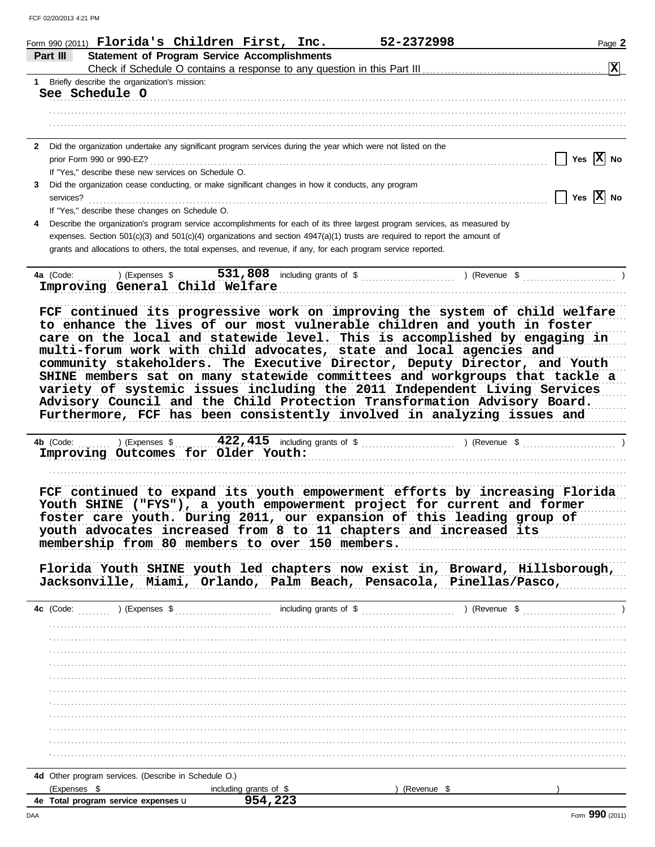|           | Form 990 (2011) Florida's Children First, Inc.                                                                 |                                                     | 52-2372998                                                                                                                                                   | Page 2                       |
|-----------|----------------------------------------------------------------------------------------------------------------|-----------------------------------------------------|--------------------------------------------------------------------------------------------------------------------------------------------------------------|------------------------------|
| Part III  |                                                                                                                | <b>Statement of Program Service Accomplishments</b> |                                                                                                                                                              |                              |
|           |                                                                                                                |                                                     |                                                                                                                                                              | 図                            |
|           | 1 Briefly describe the organization's mission:                                                                 |                                                     |                                                                                                                                                              |                              |
|           | See Schedule O                                                                                                 |                                                     |                                                                                                                                                              |                              |
|           |                                                                                                                |                                                     |                                                                                                                                                              |                              |
|           |                                                                                                                |                                                     |                                                                                                                                                              |                              |
|           |                                                                                                                |                                                     |                                                                                                                                                              |                              |
|           | 2 Did the organization undertake any significant program services during the year which were not listed on the |                                                     |                                                                                                                                                              |                              |
|           |                                                                                                                |                                                     |                                                                                                                                                              | $\vert$   Yes $\vert$ X   No |
|           | If "Yes," describe these new services on Schedule O.                                                           |                                                     |                                                                                                                                                              |                              |
| 3         | Did the organization cease conducting, or make significant changes in how it conducts, any program             |                                                     |                                                                                                                                                              |                              |
| services? |                                                                                                                |                                                     |                                                                                                                                                              | $\sqrt{}$ Yes $\sqrt{X}$ No  |
|           | If "Yes," describe these changes on Schedule O.                                                                |                                                     |                                                                                                                                                              |                              |
|           |                                                                                                                |                                                     | Describe the organization's program service accomplishments for each of its three largest program services, as measured by                                   |                              |
|           |                                                                                                                |                                                     | expenses. Section 501(c)(3) and 501(c)(4) organizations and section $4947(a)(1)$ trusts are required to report the amount of                                 |                              |
|           | grants and allocations to others, the total expenses, and revenue, if any, for each program service reported.  |                                                     |                                                                                                                                                              |                              |
|           | 4a (Code:                                                                                                      |                                                     | ) (Expenses $\frac{1}{2}$ , $\frac{531}{100}$ , $\frac{808}{100}$ including grants of $\frac{1}{2}$ , $\frac{1}{2}$ (Revenue $\frac{1}{2}$ , $\frac{1}{2}$ ) |                              |
|           | Improving General Child Welfare                                                                                |                                                     |                                                                                                                                                              |                              |
|           |                                                                                                                |                                                     |                                                                                                                                                              |                              |
|           |                                                                                                                |                                                     | FCF continued its progressive work on improving the system of child welfare                                                                                  |                              |
|           |                                                                                                                |                                                     | to enhance the lives of our most vulnerable children and youth in foster                                                                                     |                              |
|           |                                                                                                                |                                                     | care on the local and statewide level. This is accomplished by engaging in                                                                                   |                              |
|           |                                                                                                                |                                                     | multi-forum work with child advocates, state and local agencies and                                                                                          |                              |
|           |                                                                                                                |                                                     | community stakeholders. The Executive Director, Deputy Director, and Youth                                                                                   |                              |
|           |                                                                                                                |                                                     | SHINE members sat on many statewide committees and workgroups that tackle a                                                                                  |                              |
|           |                                                                                                                |                                                     | variety of systemic issues including the 2011 Independent Living Services                                                                                    |                              |
|           |                                                                                                                |                                                     | Advisory Council and the Child Protection Transformation Advisory Board.                                                                                     |                              |
|           |                                                                                                                |                                                     | Furthermore, FCF has been consistently involved in analyzing issues and                                                                                      |                              |
|           |                                                                                                                |                                                     |                                                                                                                                                              |                              |
|           | 4b (Code:                                                                                                      |                                                     | ) (Expenses $\frac{422,415}{\cdot}$ including grants of $\frac{2}{3}$ (Revenue $\frac{2}{3}$ (Revenue $\frac{2}{3}$ )                                        |                              |
|           | Improving Outcomes for Older Youth:                                                                            |                                                     |                                                                                                                                                              |                              |
|           |                                                                                                                |                                                     |                                                                                                                                                              |                              |
|           |                                                                                                                |                                                     |                                                                                                                                                              |                              |
|           |                                                                                                                |                                                     | FCF continued to expand its youth empowerment efforts by increasing Florida                                                                                  |                              |
|           |                                                                                                                |                                                     | Youth SHINE ("FYS"), a youth empowerment project for current and former                                                                                      |                              |
|           |                                                                                                                |                                                     | foster care youth. During 2011, our expansion of this leading group of                                                                                       |                              |
|           | membership from 80 members to over 150 members.                                                                |                                                     | youth advocates increased from 8 to 11 chapters and increased its                                                                                            |                              |
|           |                                                                                                                |                                                     |                                                                                                                                                              |                              |
|           |                                                                                                                |                                                     | Florida Youth SHINE youth led chapters now exist in, Broward, Hillsborough,                                                                                  |                              |
|           |                                                                                                                |                                                     | Jacksonville, Miami, Orlando, Palm Beach, Pensacola, Pinellas/Pasco,                                                                                         |                              |
|           |                                                                                                                |                                                     |                                                                                                                                                              |                              |
|           |                                                                                                                |                                                     |                                                                                                                                                              |                              |
|           |                                                                                                                |                                                     |                                                                                                                                                              |                              |
|           |                                                                                                                |                                                     |                                                                                                                                                              |                              |
|           |                                                                                                                |                                                     |                                                                                                                                                              |                              |
|           |                                                                                                                |                                                     |                                                                                                                                                              |                              |
|           |                                                                                                                |                                                     |                                                                                                                                                              |                              |
|           |                                                                                                                |                                                     |                                                                                                                                                              |                              |
|           |                                                                                                                |                                                     |                                                                                                                                                              |                              |
|           |                                                                                                                |                                                     |                                                                                                                                                              |                              |
|           |                                                                                                                |                                                     |                                                                                                                                                              |                              |
|           |                                                                                                                |                                                     |                                                                                                                                                              |                              |
|           |                                                                                                                |                                                     |                                                                                                                                                              |                              |
|           |                                                                                                                |                                                     |                                                                                                                                                              |                              |
|           | 4d Other program services. (Describe in Schedule O.)                                                           |                                                     |                                                                                                                                                              |                              |
|           | (Expenses \$                                                                                                   | including grants of \$                              | $($ Revenue \$ $)$                                                                                                                                           |                              |
|           | 4e Total program service expenses u                                                                            | 954,223                                             |                                                                                                                                                              |                              |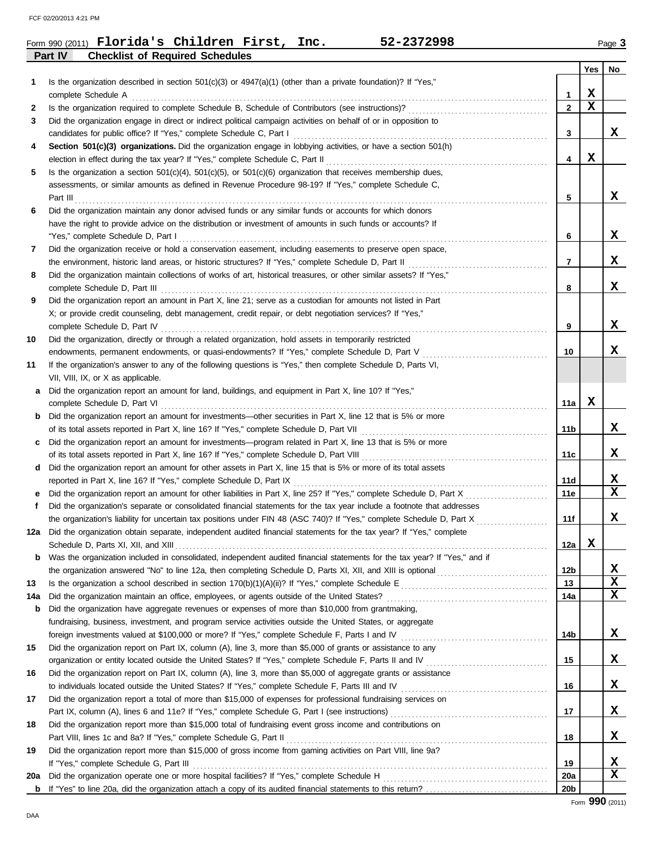| <b>Checklist of Required Schedules</b> |         | Form 990 (2011) $\blacksquare$ Florida's Children First, |  | Inc. | 52-2372998 | $P$ age $3$ |
|----------------------------------------|---------|----------------------------------------------------------|--|------|------------|-------------|
|                                        | Part IV |                                                          |  |      |            |             |

|     |                                                                                                                                                                                                         |                 | Yes         | No |
|-----|---------------------------------------------------------------------------------------------------------------------------------------------------------------------------------------------------------|-----------------|-------------|----|
| 1   | Is the organization described in section $501(c)(3)$ or $4947(a)(1)$ (other than a private foundation)? If "Yes,"                                                                                       |                 |             |    |
|     | complete Schedule A complete Schedule A complete Schedule A complete Schedule A complete Schedule A complete Schedule A                                                                                 | $\mathbf{1}$    | X           |    |
| 2   |                                                                                                                                                                                                         | $\overline{2}$  | $\mathbf x$ |    |
| 3   | Did the organization engage in direct or indirect political campaign activities on behalf of or in opposition to                                                                                        |                 |             |    |
|     |                                                                                                                                                                                                         | 3               |             | x  |
| 4   | Section 501(c)(3) organizations. Did the organization engage in lobbying activities, or have a section 501(h)                                                                                           |                 |             |    |
|     |                                                                                                                                                                                                         | 4               | X           |    |
| 5   | Is the organization a section $501(c)(4)$ , $501(c)(5)$ , or $501(c)(6)$ organization that receives membership dues,                                                                                    |                 |             |    |
|     | assessments, or similar amounts as defined in Revenue Procedure 98-19? If "Yes," complete Schedule C,                                                                                                   |                 |             |    |
|     | Part III $\ldots$ . $\ldots$ . $\ldots$ . $\ldots$ . $\ldots$ . $\ldots$ . $\ldots$                                                                                                                     | 5               |             | x  |
| 6   | Did the organization maintain any donor advised funds or any similar funds or accounts for which donors                                                                                                 |                 |             |    |
|     | have the right to provide advice on the distribution or investment of amounts in such funds or accounts? If                                                                                             |                 |             |    |
|     |                                                                                                                                                                                                         | 6               |             | x  |
| 7   | Did the organization receive or hold a conservation easement, including easements to preserve open space,                                                                                               |                 |             |    |
|     |                                                                                                                                                                                                         | $\overline{7}$  |             | x  |
| 8   | Did the organization maintain collections of works of art, historical treasures, or other similar assets? If "Yes,"                                                                                     |                 |             |    |
|     |                                                                                                                                                                                                         | 8               |             | x  |
| 9   | Did the organization report an amount in Part X, line 21; serve as a custodian for amounts not listed in Part                                                                                           |                 |             |    |
|     | X; or provide credit counseling, debt management, credit repair, or debt negotiation services? If "Yes,"                                                                                                | 9               |             | x  |
|     |                                                                                                                                                                                                         |                 |             |    |
| 10  | Did the organization, directly or through a related organization, hold assets in temporarily restricted<br>endowments, permanent endowments, or quasi-endowments? If "Yes," complete Schedule D, Part V | 10              |             | x  |
| 11  | If the organization's answer to any of the following questions is "Yes," then complete Schedule D, Parts VI,                                                                                            |                 |             |    |
|     | VII, VIII, IX, or X as applicable.                                                                                                                                                                      |                 |             |    |
| a   | Did the organization report an amount for land, buildings, and equipment in Part X, line 10? If "Yes,"                                                                                                  |                 |             |    |
|     |                                                                                                                                                                                                         | 11a             | х           |    |
| b   | Did the organization report an amount for investments—other securities in Part X, line 12 that is 5% or more                                                                                            |                 |             |    |
|     |                                                                                                                                                                                                         | 11b             |             | x  |
| c   | Did the organization report an amount for investments—program related in Part X, line 13 that is 5% or more                                                                                             |                 |             |    |
|     |                                                                                                                                                                                                         | 11c             |             | x  |
| d   | Did the organization report an amount for other assets in Part X, line 15 that is 5% or more of its total assets                                                                                        |                 |             |    |
|     |                                                                                                                                                                                                         | 11d             |             | x  |
|     |                                                                                                                                                                                                         | 11e             |             | X  |
| f   | Did the organization's separate or consolidated financial statements for the tax year include a footnote that addresses                                                                                 |                 |             |    |
|     | the organization's liability for uncertain tax positions under FIN 48 (ASC 740)? If "Yes," complete Schedule D, Part X                                                                                  | 11f             |             | X  |
|     | 12a Did the organization obtain separate, independent audited financial statements for the tax year? If "Yes," complete                                                                                 |                 |             |    |
|     |                                                                                                                                                                                                         | 12a             | X           |    |
| b   | Was the organization included in consolidated, independent audited financial statements for the tax year? If "Yes," and if                                                                              |                 |             |    |
|     |                                                                                                                                                                                                         | 12 <sub>b</sub> |             | X  |
| 13  |                                                                                                                                                                                                         | 13              |             | X  |
| 14a |                                                                                                                                                                                                         | 14a             |             | X  |
| b   | Did the organization have aggregate revenues or expenses of more than \$10,000 from grantmaking,                                                                                                        |                 |             |    |
|     | fundraising, business, investment, and program service activities outside the United States, or aggregate                                                                                               |                 |             |    |
|     |                                                                                                                                                                                                         | 14b             |             | X  |
| 15  | Did the organization report on Part IX, column (A), line 3, more than \$5,000 of grants or assistance to any                                                                                            |                 |             |    |
|     |                                                                                                                                                                                                         | 15              |             | X  |
| 16  | Did the organization report on Part IX, column (A), line 3, more than \$5,000 of aggregate grants or assistance                                                                                         |                 |             |    |
|     |                                                                                                                                                                                                         | 16              |             | X  |
| 17  | Did the organization report a total of more than \$15,000 of expenses for professional fundraising services on                                                                                          |                 |             |    |
|     |                                                                                                                                                                                                         | 17              |             | X  |
| 18  | Did the organization report more than \$15,000 total of fundraising event gross income and contributions on<br>Part VIII, lines 1c and 8a? If "Yes," complete Schedule G, Part II                       | 18              |             | X. |
| 19  | Did the organization report more than \$15,000 of gross income from gaming activities on Part VIII, line 9a?                                                                                            |                 |             |    |
|     | If "Yes," complete Schedule G, Part III                                                                                                                                                                 | 19              |             | x  |
| 20a |                                                                                                                                                                                                         | 20a             |             | x  |
| b   |                                                                                                                                                                                                         | 20 <sub>b</sub> |             |    |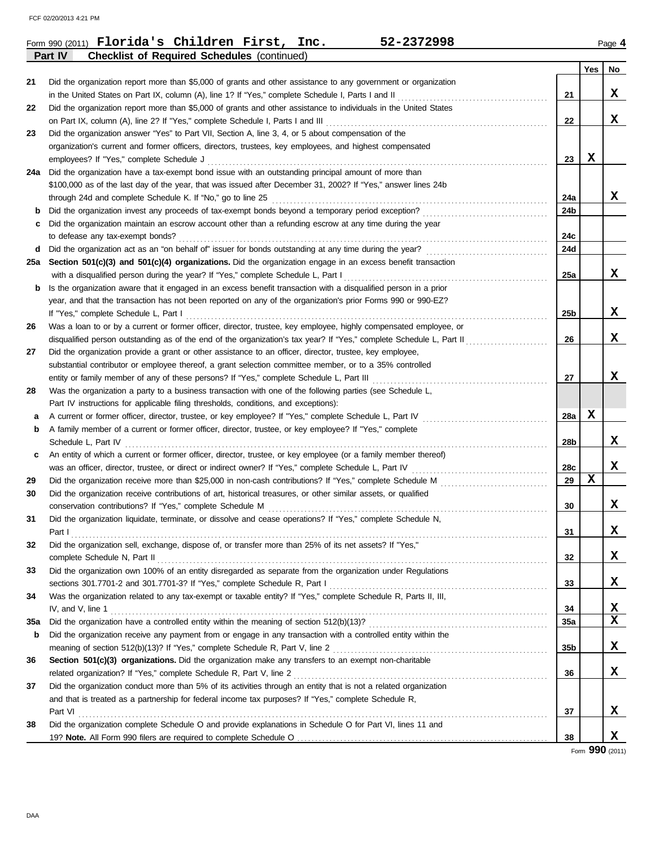|     | 52-2372998<br>Form 990 (2011) Florida's Children First, Inc.                                                                                                                |                 |             | Page 4      |
|-----|-----------------------------------------------------------------------------------------------------------------------------------------------------------------------------|-----------------|-------------|-------------|
|     | Part IV<br><b>Checklist of Required Schedules (continued)</b>                                                                                                               |                 |             |             |
|     |                                                                                                                                                                             |                 | Yes         | No          |
| 21  | Did the organization report more than \$5,000 of grants and other assistance to any government or organization                                                              |                 |             |             |
|     | in the United States on Part IX, column (A), line 1? If "Yes," complete Schedule I, Parts I and II [[[[[[[[[[[                                                              | 21              |             | X           |
| 22  | Did the organization report more than \$5,000 of grants and other assistance to individuals in the United States                                                            |                 |             |             |
|     | on Part IX, column (A), line 2? If "Yes," complete Schedule I, Parts I and III [[[[[[[[[[[[[[[[[[[[[[[[[[[[[[                                                               | 22              |             | X           |
| 23  | Did the organization answer "Yes" to Part VII, Section A, line 3, 4, or 5 about compensation of the                                                                         |                 |             |             |
|     | organization's current and former officers, directors, trustees, key employees, and highest compensated                                                                     |                 |             |             |
|     | employees? If "Yes," complete Schedule J                                                                                                                                    | 23              | х           |             |
|     | 24a Did the organization have a tax-exempt bond issue with an outstanding principal amount of more than                                                                     |                 |             |             |
|     | \$100,000 as of the last day of the year, that was issued after December 31, 2002? If "Yes," answer lines 24b                                                               |                 |             |             |
|     | through 24d and complete Schedule K. If "No," go to line 25                                                                                                                 | 24a             |             | X           |
| b   | Did the organization invest any proceeds of tax-exempt bonds beyond a temporary period exception?                                                                           | 24b             |             |             |
| c   | Did the organization maintain an escrow account other than a refunding escrow at any time during the year                                                                   |                 |             |             |
|     | to defease any tax-exempt bonds?                                                                                                                                            | 24c             |             |             |
| d   | Did the organization act as an "on behalf of" issuer for bonds outstanding at any time during the year?                                                                     | 24d             |             |             |
|     | 25a Section 501(c)(3) and 501(c)(4) organizations. Did the organization engage in an excess benefit transaction                                                             |                 |             |             |
|     | with a disqualified person during the year? If "Yes," complete Schedule L, Part I                                                                                           | 25a             |             | X           |
| b   | Is the organization aware that it engaged in an excess benefit transaction with a disqualified person in a prior                                                            |                 |             |             |
|     | year, and that the transaction has not been reported on any of the organization's prior Forms 990 or 990-EZ?                                                                |                 |             |             |
|     | If "Yes," complete Schedule L, Part I                                                                                                                                       | 25 <sub>b</sub> |             | X           |
| 26  | Was a loan to or by a current or former officer, director, trustee, key employee, highly compensated employee, or                                                           |                 |             |             |
|     | disqualified person outstanding as of the end of the organization's tax year? If "Yes," complete Schedule L, Part II                                                        | 26              |             | X           |
| 27  | Did the organization provide a grant or other assistance to an officer, director, trustee, key employee,                                                                    |                 |             |             |
|     | substantial contributor or employee thereof, a grant selection committee member, or to a 35% controlled                                                                     |                 |             | $\mathbf x$ |
|     | entity or family member of any of these persons? If "Yes," complete Schedule L, Part III                                                                                    | 27              |             |             |
| 28  | Was the organization a party to a business transaction with one of the following parties (see Schedule L,                                                                   |                 |             |             |
|     | Part IV instructions for applicable filing thresholds, conditions, and exceptions):                                                                                         |                 | X           |             |
| а   | A current or former officer, director, trustee, or key employee? If "Yes," complete Schedule L, Part IV                                                                     | 28a             |             |             |
| b   | A family member of a current or former officer, director, trustee, or key employee? If "Yes," complete                                                                      |                 |             | X           |
|     | Schedule L, Part IV                                                                                                                                                         | 28b             |             |             |
| c   | An entity of which a current or former officer, director, trustee, or key employee (or a family member thereof)                                                             |                 |             | X           |
|     | was an officer, director, trustee, or direct or indirect owner? If "Yes," complete Schedule L, Part IV                                                                      | 28c<br>29       | $\mathbf x$ |             |
| 29  | Did the organization receive more than \$25,000 in non-cash contributions? If "Yes," complete Schedule M                                                                    |                 |             |             |
| 30  | Did the organization receive contributions of art, historical treasures, or other similar assets, or qualified<br>conservation contributions? If "Yes," complete Schedule M | 30              |             | x           |
|     | Did the organization liquidate, terminate, or dissolve and cease operations? If "Yes," complete Schedule N,                                                                 |                 |             |             |
| 31  | Part I                                                                                                                                                                      | 31              |             | X           |
| 32  | Did the organization sell, exchange, dispose of, or transfer more than 25% of its net assets? If "Yes,"                                                                     |                 |             |             |
|     |                                                                                                                                                                             | 32              |             | X           |
| 33  | Did the organization own 100% of an entity disregarded as separate from the organization under Regulations                                                                  |                 |             |             |
|     |                                                                                                                                                                             | 33              |             | X           |
| 34  | Was the organization related to any tax-exempt or taxable entity? If "Yes," complete Schedule R, Parts II, III,                                                             |                 |             |             |
|     | IV, and V, line 1                                                                                                                                                           | 34              |             | X           |
| 35a |                                                                                                                                                                             | 35a             |             | x           |
| b   | Did the organization receive any payment from or engage in any transaction with a controlled entity within the                                                              |                 |             |             |
|     |                                                                                                                                                                             | 35b             |             | x           |
| 36  | Section 501(c)(3) organizations. Did the organization make any transfers to an exempt non-charitable                                                                        |                 |             |             |
|     | related organization? If "Yes," complete Schedule R, Part V, line 2                                                                                                         | 36              |             | x           |
| 37  | Did the organization conduct more than 5% of its activities through an entity that is not a related organization                                                            |                 |             |             |
|     | and that is treated as a partnership for federal income tax purposes? If "Yes," complete Schedule R,                                                                        |                 |             |             |
|     |                                                                                                                                                                             | 37              |             | X           |
| 38  | Did the organization complete Schedule O and provide explanations in Schedule O for Part VI, lines 11 and                                                                   |                 |             |             |
|     |                                                                                                                                                                             | 38              |             | x           |

Form **990** (2011)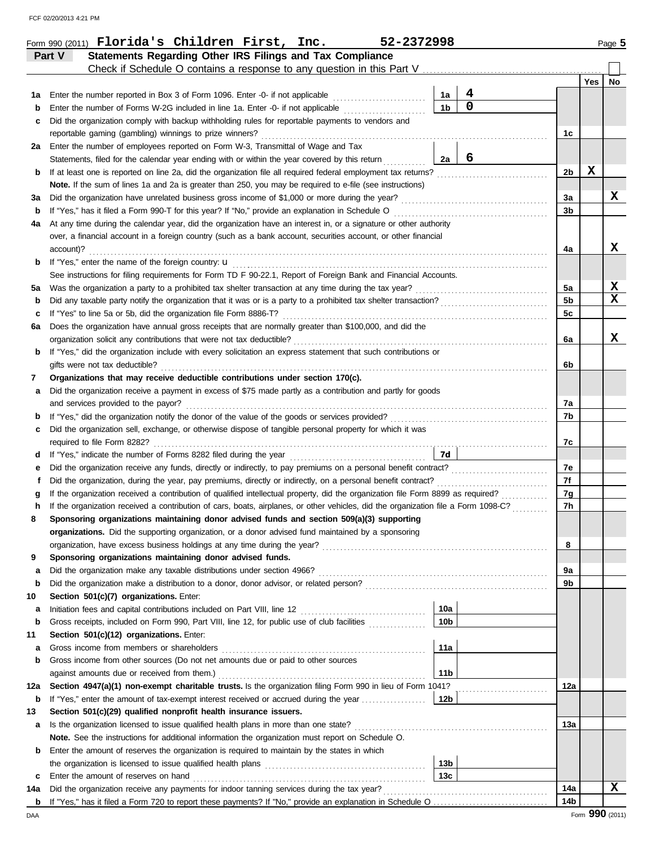| FCF 02/20/2013 4:21 PM |
|------------------------|
|------------------------|

|     | Form 990 (2011) Florida's Children First, Inc.<br>52-2372998                                                                       |                 |                  |                |     | Page 5      |
|-----|------------------------------------------------------------------------------------------------------------------------------------|-----------------|------------------|----------------|-----|-------------|
|     | Statements Regarding Other IRS Filings and Tax Compliance<br>Part V                                                                |                 |                  |                |     |             |
|     | Check if Schedule O contains a response to any question in this Part V                                                             |                 |                  |                |     |             |
|     |                                                                                                                                    |                 |                  |                | Yes | <b>No</b>   |
| 1a  | Enter the number reported in Box 3 of Form 1096. Enter -0- if not applicable [                                                     | 1a              | 4<br>$\mathbf 0$ |                |     |             |
| b   | Enter the number of Forms W-2G included in line 1a. Enter -0- if not applicable                                                    | 1 <sub>b</sub>  |                  |                |     |             |
| c   | Did the organization comply with backup withholding rules for reportable payments to vendors and                                   |                 |                  |                |     |             |
|     | reportable gaming (gambling) winnings to prize winners?                                                                            |                 |                  | 1c             |     |             |
| 2a  | Enter the number of employees reported on Form W-3, Transmittal of Wage and Tax                                                    |                 | 6                |                |     |             |
|     | Statements, filed for the calendar year ending with or within the year covered by this return                                      | 2a              |                  |                |     |             |
| b   | If at least one is reported on line 2a, did the organization file all required federal employment tax returns?                     |                 |                  | 2 <sub>b</sub> | X   |             |
|     | Note. If the sum of lines 1a and 2a is greater than 250, you may be required to e-file (see instructions)                          |                 |                  |                |     |             |
| За  |                                                                                                                                    |                 |                  | 3a             |     | x           |
| b   | If "Yes," has it filed a Form 990-T for this year? If "No," provide an explanation in Schedule O                                   |                 |                  | 3b             |     |             |
| 4a  | At any time during the calendar year, did the organization have an interest in, or a signature or other authority                  |                 |                  |                |     |             |
|     | over, a financial account in a foreign country (such as a bank account, securities account, or other financial                     |                 |                  |                |     |             |
|     | account)?                                                                                                                          |                 |                  | 4a             |     | x           |
| b   | If "Yes," enter the name of the foreign country: u                                                                                 |                 |                  |                |     |             |
|     | See instructions for filing requirements for Form TD F 90-22.1, Report of Foreign Bank and Financial Accounts.                     |                 |                  |                |     |             |
| 5a  | Was the organization a party to a prohibited tax shelter transaction at any time during the tax year?                              |                 |                  | 5a             |     | X           |
| b   |                                                                                                                                    |                 |                  | 5 <sub>b</sub> |     | $\mathbf x$ |
| c   | If "Yes" to line 5a or 5b, did the organization file Form 8886-T?                                                                  |                 |                  | 5c             |     |             |
| 6а  | Does the organization have annual gross receipts that are normally greater than \$100,000, and did the                             |                 |                  |                |     |             |
|     | organization solicit any contributions that were not tax deductible?                                                               |                 |                  | 6a             |     | X           |
| b   | If "Yes," did the organization include with every solicitation an express statement that such contributions or                     |                 |                  |                |     |             |
|     | gifts were not tax deductible?                                                                                                     |                 |                  | 6b             |     |             |
| 7   | Organizations that may receive deductible contributions under section 170(c).                                                      |                 |                  |                |     |             |
| а   | Did the organization receive a payment in excess of \$75 made partly as a contribution and partly for goods                        |                 |                  |                |     |             |
|     | and services provided to the payor?                                                                                                |                 |                  | 7а             |     |             |
| b   |                                                                                                                                    |                 |                  | 7b             |     |             |
| c   | Did the organization sell, exchange, or otherwise dispose of tangible personal property for which it was                           |                 |                  |                |     |             |
|     |                                                                                                                                    |                 |                  | 7c             |     |             |
| d   |                                                                                                                                    | 7d l            |                  |                |     |             |
| е   | Did the organization receive any funds, directly or indirectly, to pay premiums on a personal benefit contract?                    |                 |                  | 7e             |     |             |
| f   | Did the organization, during the year, pay premiums, directly or indirectly, on a personal benefit contract?                       |                 |                  | 7f             |     |             |
|     | If the organization received a contribution of qualified intellectual property, did the organization file Form 8899 as required?   |                 |                  | 7g             |     |             |
| h   | If the organization received a contribution of cars, boats, airplanes, or other vehicles, did the organization file a Form 1098-C? |                 |                  | 7h             |     |             |
|     | Sponsoring organizations maintaining donor advised funds and section 509(a)(3) supporting                                          |                 |                  |                |     |             |
|     | organizations. Did the supporting organization, or a donor advised fund maintained by a sponsoring                                 |                 |                  |                |     |             |
|     | organization, have excess business holdings at any time during the year?                                                           |                 |                  | 8              |     |             |
| 9   | Sponsoring organizations maintaining donor advised funds.                                                                          |                 |                  |                |     |             |
| a   | Did the organization make any taxable distributions under section 4966?                                                            |                 |                  | 9a             |     |             |
| b   |                                                                                                                                    |                 |                  | 9b             |     |             |
| 10  | Section 501(c)(7) organizations. Enter:                                                                                            |                 |                  |                |     |             |
| а   |                                                                                                                                    | 10a             |                  |                |     |             |
| b   | Gross receipts, included on Form 990, Part VIII, line 12, for public use of club facilities                                        | 10 <sub>b</sub> |                  |                |     |             |
| 11  | Section 501(c)(12) organizations. Enter:                                                                                           |                 |                  |                |     |             |
| a   | Gross income from members or shareholders                                                                                          | 11a             |                  |                |     |             |
| b   | Gross income from other sources (Do not net amounts due or paid to other sources                                                   |                 |                  |                |     |             |
|     | against amounts due or received from them.)                                                                                        | 11 <sub>b</sub> |                  |                |     |             |
| 12a | Section 4947(a)(1) non-exempt charitable trusts. Is the organization filing Form 990 in lieu of Form 1041?                         |                 |                  | 12a            |     |             |
| b   | If "Yes," enter the amount of tax-exempt interest received or accrued during the year                                              | 12b             |                  |                |     |             |
| 13  | Section 501(c)(29) qualified nonprofit health insurance issuers.                                                                   |                 |                  |                |     |             |
| a   |                                                                                                                                    |                 |                  | 13а            |     |             |
|     | Note. See the instructions for additional information the organization must report on Schedule O.                                  |                 |                  |                |     |             |
| b   | Enter the amount of reserves the organization is required to maintain by the states in which                                       |                 |                  |                |     |             |
|     |                                                                                                                                    | 13 <sub>b</sub> |                  |                |     |             |
| c   | Enter the amount of reserves on hand                                                                                               | 13 <sub>c</sub> |                  |                |     |             |
| 14a |                                                                                                                                    |                 |                  | 14a            |     | x           |
|     |                                                                                                                                    |                 |                  | 14b            |     |             |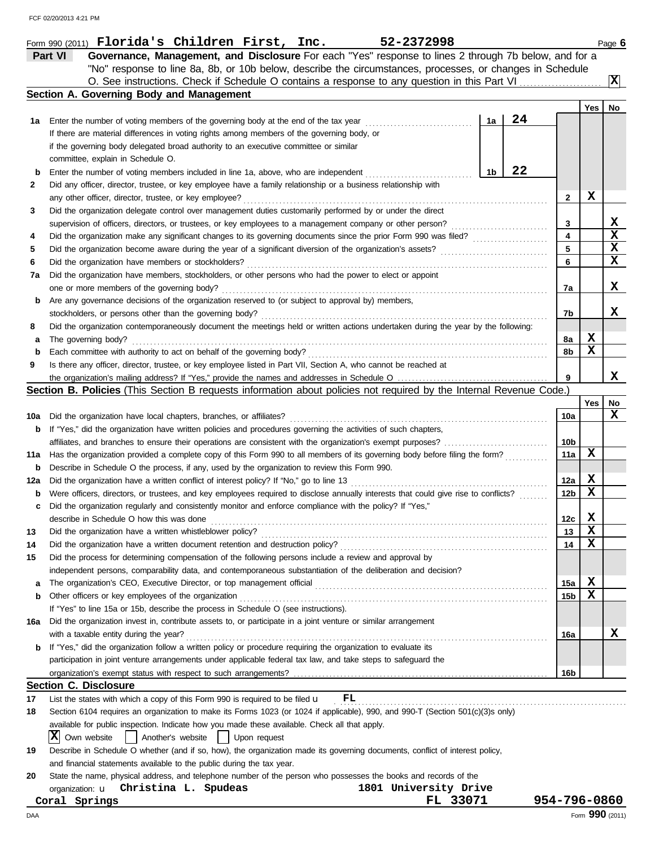|     | 52-2372998<br>Form 990 (2011) Florida's Children First, Inc.                                                                                    |                 |                 | Page 6           |
|-----|-------------------------------------------------------------------------------------------------------------------------------------------------|-----------------|-----------------|------------------|
|     | Governance, Management, and Disclosure For each "Yes" response to lines 2 through 7b below, and for a<br>Part VI                                |                 |                 |                  |
|     | "No" response to line 8a, 8b, or 10b below, describe the circumstances, processes, or changes in Schedule                                       |                 |                 |                  |
|     | O. See instructions. Check if Schedule O contains a response to any question in this Part VI.                                                   |                 |                 | $ \mathbf{x} $   |
|     | <b>Section A. Governing Body and Management</b>                                                                                                 |                 |                 |                  |
|     |                                                                                                                                                 |                 | Yes             | No               |
| 1а  | 24<br>1a<br>Enter the number of voting members of the governing body at the end of the tax year                                                 |                 |                 |                  |
|     | If there are material differences in voting rights among members of the governing body, or                                                      |                 |                 |                  |
|     | if the governing body delegated broad authority to an executive committee or similar                                                            |                 |                 |                  |
|     | committee, explain in Schedule O.                                                                                                               |                 |                 |                  |
| b   | 22<br>1b<br>Enter the number of voting members included in line 1a, above, who are independent                                                  |                 |                 |                  |
| 2   | Did any officer, director, trustee, or key employee have a family relationship or a business relationship with                                  |                 |                 |                  |
|     | any other officer, director, trustee, or key employee?                                                                                          | $\mathbf{2}$    | X               |                  |
| 3   | Did the organization delegate control over management duties customarily performed by or under the direct                                       |                 |                 |                  |
|     | supervision of officers, directors, or trustees, or key employees to a management company or other person?<br>.                                 | 3               |                 | X                |
| 4   | Did the organization make any significant changes to its governing documents since the prior Form 990 was filed?                                | 4               |                 | X<br>$\mathbf x$ |
| 5   | Did the organization become aware during the year of a significant diversion of the organization's assets?                                      | 5<br>6          |                 | X                |
| 6   | Did the organization have members or stockholders?                                                                                              |                 |                 |                  |
| 7a  | Did the organization have members, stockholders, or other persons who had the power to elect or appoint                                         |                 |                 | X                |
|     | one or more members of the governing body?<br>Are any governance decisions of the organization reserved to (or subject to approval by) members, | 7a              |                 |                  |
| b   | stockholders, or persons other than the governing body?                                                                                         | 7b              |                 | x                |
| 8   | Did the organization contemporaneously document the meetings held or written actions undertaken during the year by the following:               |                 |                 |                  |
| а   | The governing body?                                                                                                                             | 8а              | X               |                  |
| b   | Each committee with authority to act on behalf of the governing body?                                                                           | 8b              | X               |                  |
| 9   | Is there any officer, director, trustee, or key employee listed in Part VII, Section A, who cannot be reached at                                |                 |                 |                  |
|     |                                                                                                                                                 | 9               |                 | x                |
|     | Section B. Policies (This Section B requests information about policies not required by the Internal Revenue Code.)                             |                 |                 |                  |
|     |                                                                                                                                                 |                 | Yes             | No               |
| 10a | Did the organization have local chapters, branches, or affiliates?                                                                              | 10a             |                 | x                |
| b   | If "Yes," did the organization have written policies and procedures governing the activities of such chapters,                                  |                 |                 |                  |
|     |                                                                                                                                                 | 10b             |                 |                  |
| 11a | Has the organization provided a complete copy of this Form 990 to all members of its governing body before filing the form?                     | 11a             | X               |                  |
| b   | Describe in Schedule O the process, if any, used by the organization to review this Form 990.                                                   |                 |                 |                  |
| 12a | Did the organization have a written conflict of interest policy? If "No," go to line 13                                                         | 12a             | X               |                  |
| b   | Were officers, directors, or trustees, and key employees required to disclose annually interests that could give rise to conflicts?             | 12b             | X               |                  |
| c   | Did the organization regularly and consistently monitor and enforce compliance with the policy? If "Yes,"                                       |                 |                 |                  |
|     | describe in Schedule O how this was done                                                                                                        | 12c             | X               |                  |
| 13  | Did the organization have a written whistleblower policy?                                                                                       | 13              | X               |                  |
| 14  | Did the organization have a written document retention and destruction policy?                                                                  | 14              | х               |                  |
| 15  | Did the process for determining compensation of the following persons include a review and approval by                                          |                 |                 |                  |
|     | independent persons, comparability data, and contemporaneous substantiation of the deliberation and decision?                                   |                 |                 |                  |
| a   | The organization's CEO, Executive Director, or top management official                                                                          | 15a             | X               |                  |
| b   | Other officers or key employees of the organization                                                                                             | 15 <sub>b</sub> | х               |                  |
|     | If "Yes" to line 15a or 15b, describe the process in Schedule O (see instructions).                                                             |                 |                 |                  |
| 16a | Did the organization invest in, contribute assets to, or participate in a joint venture or similar arrangement                                  |                 |                 |                  |
|     | with a taxable entity during the year?                                                                                                          | 16a             |                 | x                |
| b   | If "Yes," did the organization follow a written policy or procedure requiring the organization to evaluate its                                  |                 |                 |                  |
|     | participation in joint venture arrangements under applicable federal tax law, and take steps to safeguard the                                   |                 |                 |                  |
|     |                                                                                                                                                 | 16b             |                 |                  |
|     | Section C. Disclosure                                                                                                                           |                 |                 |                  |
| 17  | List the states with which a copy of this Form 990 is required to be filed $\mathbf u$<br>FL                                                    |                 |                 |                  |
| 18  | Section 6104 requires an organization to make its Forms 1023 (or 1024 if applicable), 990, and 990-T (Section 501(c)(3)s only)                  |                 |                 |                  |
|     | available for public inspection. Indicate how you made these available. Check all that apply.                                                   |                 |                 |                  |
|     | ΙXΙ<br>Own website<br>Another's website<br>Upon request                                                                                         |                 |                 |                  |
| 19  | Describe in Schedule O whether (and if so, how), the organization made its governing documents, conflict of interest policy,                    |                 |                 |                  |
|     | and financial statements available to the public during the tax year.                                                                           |                 |                 |                  |
| 20  | State the name, physical address, and telephone number of the person who possesses the books and records of the                                 |                 |                 |                  |
|     | Christina L. Spudeas<br>1801 University Drive<br>organization: <b>u</b><br>FL 33071                                                             | 954-796-0860    |                 |                  |
|     | Coral Springs                                                                                                                                   |                 |                 |                  |
| DAA |                                                                                                                                                 |                 | Form 990 (2011) |                  |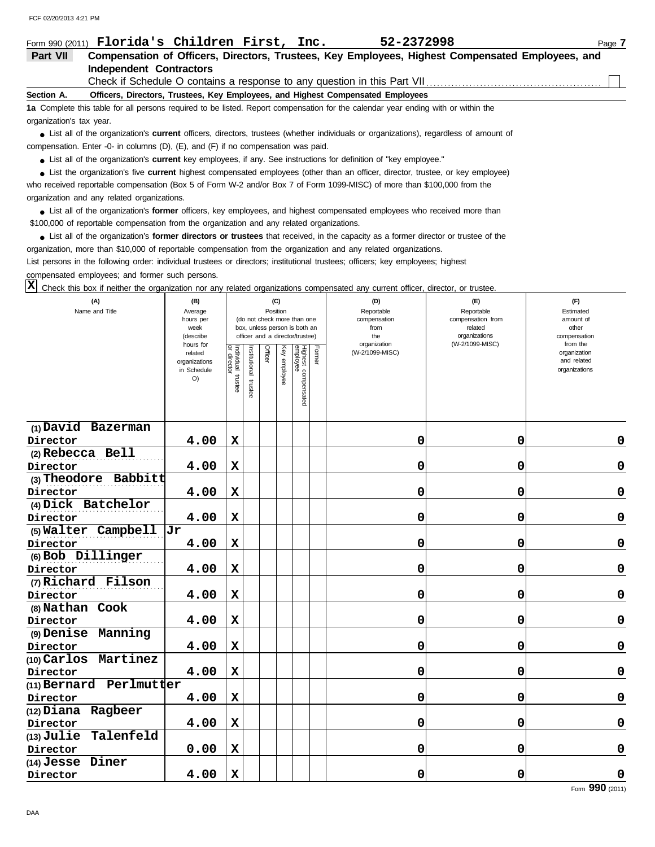| Form 990 (2011)          | Florida's Children First, Inc.<br>52-2372998<br>Page 7                                                                                        |  |
|--------------------------|-----------------------------------------------------------------------------------------------------------------------------------------------|--|
| Part VII                 | Compensation of Officers, Directors, Trustees, Key Employees, Highest Compensated Employees, and                                              |  |
|                          | Independent Contractors                                                                                                                       |  |
|                          |                                                                                                                                               |  |
| Section A.               | Officers, Directors, Trustees, Key Employees, and Highest Compensated Employees                                                               |  |
|                          | 1a Complete this table for all persons required to be listed. Report compensation for the calendar year ending with or within the             |  |
| organization's tax year. |                                                                                                                                               |  |
|                          | • List all of the organization's <b>current</b> officers, directors, trustees (whether individuals or organizations), regardless of amount of |  |
|                          | compensation. Enter -0- in columns $(D)$ , $(E)$ , and $(F)$ if no compensation was paid.                                                     |  |
|                          | • List all of the organization's <b>current</b> key employees, if any. See instructions for definition of "key employee."                     |  |
|                          | • List the organization's five <b>current</b> highest compensated employees (other than an officer, director, trustee, or key employee)       |  |
|                          | who received reportable compensation (Box 5 of Form W-2 and/or Box 7 of Form 1099-MISC) of more than \$100,000 from the                       |  |

organization and any related organizations.

**•** List all of the organization's **former** officers, key employees, and highest compensated employees who received more than \$100,000 of reportable compensation from the organization and any related organizations.

• List all of the organization's **former directors or trustees** that received, in the capacity as a former director or trustee of the organization, more than \$10,000 of reportable compensation from the organization and any related organizations.

List persons in the following order: individual trustees or directors; institutional trustees; officers; key employees; highest compensated employees; and former such persons.

 $\overline{X}$  Check this box if neither the organization nor any related organizations compensated any current officer, director, or trustee.

| (A)<br>Name and Title          | (B)<br>Average<br>hours per<br>week<br>(describe<br>hours for<br>related<br>organizations |                                   | (C)<br>Position<br>(do not check more than one<br>box, unless person is both an<br>officer and a director/trustee)<br>Officer<br>Former<br>nstitutional |  | (D)<br>Reportable<br>compensation<br>from<br>the<br>organization<br>(W-2/1099-MISC) | (E)<br>Reportable<br>compensation from<br>related<br>organizations<br>(W-2/1099-MISC) | (F)<br>Estimated<br>amount of<br>other<br>compensation<br>from the<br>organization<br>and related |   |             |               |
|--------------------------------|-------------------------------------------------------------------------------------------|-----------------------------------|---------------------------------------------------------------------------------------------------------------------------------------------------------|--|-------------------------------------------------------------------------------------|---------------------------------------------------------------------------------------|---------------------------------------------------------------------------------------------------|---|-------------|---------------|
|                                | in Schedule<br>O)                                                                         | Individual trustee<br>or director | trustee                                                                                                                                                 |  | Key employee                                                                        | Highest compensated<br>employee                                                       |                                                                                                   |   |             | organizations |
| (1) David Bazerman             |                                                                                           |                                   |                                                                                                                                                         |  |                                                                                     |                                                                                       |                                                                                                   |   |             |               |
| Director                       | 4.00                                                                                      | $\mathbf x$                       |                                                                                                                                                         |  |                                                                                     |                                                                                       |                                                                                                   | 0 | 0           | 0             |
| (2) Rebecca Bell               |                                                                                           |                                   |                                                                                                                                                         |  |                                                                                     |                                                                                       |                                                                                                   |   |             |               |
| Director                       | 4.00                                                                                      | $\mathbf x$                       |                                                                                                                                                         |  |                                                                                     |                                                                                       |                                                                                                   | 0 | 0           | 0             |
| Babbitt<br>(3) Theodore        |                                                                                           |                                   |                                                                                                                                                         |  |                                                                                     |                                                                                       |                                                                                                   |   |             |               |
| Director<br>(4) Dick Batchelor | 4.00                                                                                      | $\mathbf x$                       |                                                                                                                                                         |  |                                                                                     |                                                                                       |                                                                                                   | 0 | 0           | 0             |
| Director                       | 4.00                                                                                      | $\mathbf x$                       |                                                                                                                                                         |  |                                                                                     |                                                                                       |                                                                                                   | 0 | 0           | 0             |
| (5) Walter Campbell            | lJr                                                                                       |                                   |                                                                                                                                                         |  |                                                                                     |                                                                                       |                                                                                                   |   |             |               |
| Director                       | 4.00                                                                                      | $\mathbf x$                       |                                                                                                                                                         |  |                                                                                     |                                                                                       |                                                                                                   | 0 | 0           | 0             |
| (6) Bob Dillinger              |                                                                                           |                                   |                                                                                                                                                         |  |                                                                                     |                                                                                       |                                                                                                   |   |             |               |
| Director                       | 4.00                                                                                      | $\mathbf x$                       |                                                                                                                                                         |  |                                                                                     |                                                                                       |                                                                                                   | 0 | 0           | 0             |
| (7) Richard Filson             |                                                                                           |                                   |                                                                                                                                                         |  |                                                                                     |                                                                                       |                                                                                                   |   |             |               |
| Director                       | 4.00                                                                                      | $\mathbf x$                       |                                                                                                                                                         |  |                                                                                     |                                                                                       |                                                                                                   | 0 | 0           | 0             |
| (8) Nathan Cook                |                                                                                           |                                   |                                                                                                                                                         |  |                                                                                     |                                                                                       |                                                                                                   |   |             |               |
| Director                       | 4.00                                                                                      | $\mathbf x$                       |                                                                                                                                                         |  |                                                                                     |                                                                                       |                                                                                                   | 0 | $\mathbf 0$ | $\mathbf 0$   |
| (9) Denise Manning             |                                                                                           |                                   |                                                                                                                                                         |  |                                                                                     |                                                                                       |                                                                                                   |   |             |               |
| Director                       | 4.00                                                                                      | $\mathbf x$                       |                                                                                                                                                         |  |                                                                                     |                                                                                       |                                                                                                   | 0 | 0           | 0             |
| Martinez<br>$(10)$ Carlos      |                                                                                           |                                   |                                                                                                                                                         |  |                                                                                     |                                                                                       |                                                                                                   |   |             |               |
| Director                       | 4.00                                                                                      | $\mathbf x$                       |                                                                                                                                                         |  |                                                                                     |                                                                                       |                                                                                                   | 0 | $\mathbf 0$ | 0             |
| (11) Bernard Perlmutter        |                                                                                           |                                   |                                                                                                                                                         |  |                                                                                     |                                                                                       |                                                                                                   |   |             |               |
| Director                       | 4.00                                                                                      | $\mathbf x$                       |                                                                                                                                                         |  |                                                                                     |                                                                                       |                                                                                                   | 0 | $\mathbf 0$ | $\mathbf 0$   |
| (12) Diana Ragbeer             |                                                                                           |                                   |                                                                                                                                                         |  |                                                                                     |                                                                                       |                                                                                                   |   |             |               |
| Director                       | 4.00                                                                                      | $\mathbf x$                       |                                                                                                                                                         |  |                                                                                     |                                                                                       |                                                                                                   | 0 | 0           | 0             |
| Talenfeld<br>$(13)$ Julie      |                                                                                           |                                   |                                                                                                                                                         |  |                                                                                     |                                                                                       |                                                                                                   |   |             |               |
| Director                       | 0.00                                                                                      | $\mathbf x$                       |                                                                                                                                                         |  |                                                                                     |                                                                                       |                                                                                                   | 0 | 0           | 0             |
| Diner<br>$(14)$ Jesse          |                                                                                           |                                   |                                                                                                                                                         |  |                                                                                     |                                                                                       |                                                                                                   |   |             |               |
| Director                       | 4.00                                                                                      | $\mathbf x$                       |                                                                                                                                                         |  |                                                                                     |                                                                                       |                                                                                                   | 0 | 0           | 0             |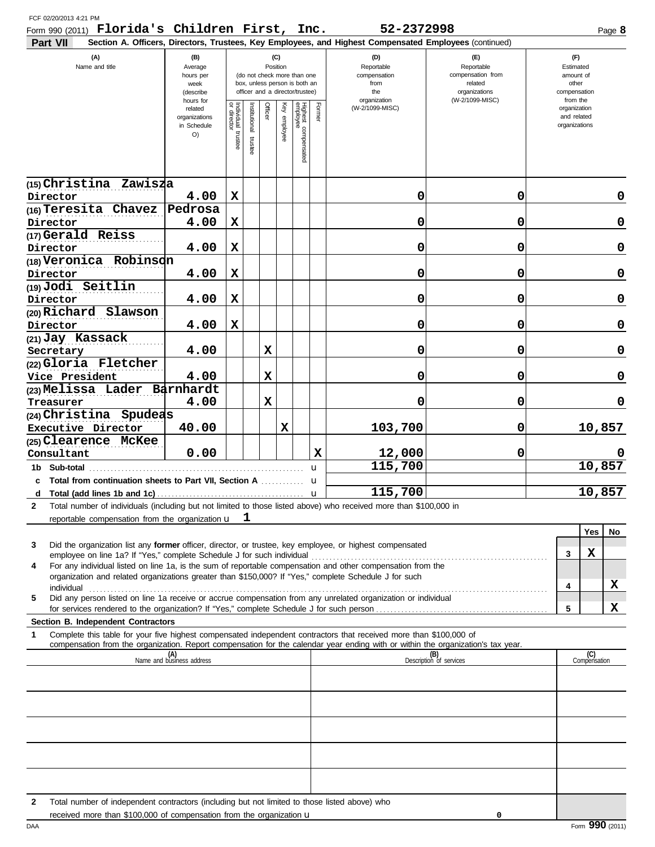| Form 990 (2011) $\bf{Florida}$ 's $\bf{Children}$ First, $\bf{Inc.}$<br>Part VII                                                                                                                                                                            |                                                             |                                        |                          |         |                 |                                                                                                 |        | 52-2372998<br>Section A. Officers, Directors, Trustees, Key Employees, and Highest Compensated Employees (continued) |                                                                    | Page 8                                                   |
|-------------------------------------------------------------------------------------------------------------------------------------------------------------------------------------------------------------------------------------------------------------|-------------------------------------------------------------|----------------------------------------|--------------------------|---------|-----------------|-------------------------------------------------------------------------------------------------|--------|----------------------------------------------------------------------------------------------------------------------|--------------------------------------------------------------------|----------------------------------------------------------|
| (A)<br>Name and title                                                                                                                                                                                                                                       | (B)<br>Average<br>hours per<br>week<br>(describe            |                                        |                          |         | (C)<br>Position | (do not check more than one<br>box, unless person is both an<br>officer and a director/trustee) |        | (D)<br>Reportable<br>compensation<br>from<br>the                                                                     | (E)<br>Reportable<br>compensation from<br>related<br>organizations | (F)<br>Estimated<br>amount of<br>other<br>compensation   |
|                                                                                                                                                                                                                                                             | hours for<br>related<br>organizations<br>in Schedule<br>O() | Individual 1<br>or director<br>trustee | Institutional<br>trustee | Officer | Key<br>employee | Highest compensated<br>employee                                                                 |        | organization<br>(W-2/1099-MISC)                                                                                      | (W-2/1099-MISC)                                                    | from the<br>organization<br>and related<br>organizations |
| (15) Christina Zawisza                                                                                                                                                                                                                                      |                                                             |                                        |                          |         |                 |                                                                                                 |        |                                                                                                                      |                                                                    |                                                          |
| Director                                                                                                                                                                                                                                                    | 4.00                                                        | $\mathbf x$                            |                          |         |                 |                                                                                                 |        | 0                                                                                                                    | 0                                                                  | 0                                                        |
| (16) Teresita Chavez<br>Director                                                                                                                                                                                                                            | Pedrosa<br>4.00                                             | X                                      |                          |         |                 |                                                                                                 |        | 0                                                                                                                    | 0                                                                  | 0                                                        |
| (17) Gerald Reiss                                                                                                                                                                                                                                           |                                                             |                                        |                          |         |                 |                                                                                                 |        |                                                                                                                      |                                                                    |                                                          |
| Director                                                                                                                                                                                                                                                    | 4.00                                                        | $\mathbf x$                            |                          |         |                 |                                                                                                 |        | 0                                                                                                                    | 0                                                                  | 0                                                        |
| (18) Veronica Robinson                                                                                                                                                                                                                                      |                                                             |                                        |                          |         |                 |                                                                                                 |        |                                                                                                                      |                                                                    |                                                          |
| Director                                                                                                                                                                                                                                                    | 4.00                                                        | $\mathbf x$                            |                          |         |                 |                                                                                                 |        | 0                                                                                                                    | 0                                                                  | 0                                                        |
| (19) Jodi Seitlin                                                                                                                                                                                                                                           |                                                             |                                        |                          |         |                 |                                                                                                 |        |                                                                                                                      |                                                                    |                                                          |
| Director<br>(20) Richard Slawson                                                                                                                                                                                                                            | 4.00                                                        | $\mathbf x$                            |                          |         |                 |                                                                                                 |        | 0                                                                                                                    | 0                                                                  | 0                                                        |
| Director                                                                                                                                                                                                                                                    | 4.00                                                        | $\mathbf x$                            |                          |         |                 |                                                                                                 |        | 0                                                                                                                    | 0                                                                  | 0                                                        |
| (21) Jay Kassack                                                                                                                                                                                                                                            |                                                             |                                        |                          |         |                 |                                                                                                 |        |                                                                                                                      |                                                                    |                                                          |
| Secretary                                                                                                                                                                                                                                                   | 4.00                                                        |                                        |                          | X       |                 |                                                                                                 |        | 0                                                                                                                    | 0                                                                  | 0                                                        |
| (22) Gloria Fletcher                                                                                                                                                                                                                                        |                                                             |                                        |                          |         |                 |                                                                                                 |        |                                                                                                                      |                                                                    |                                                          |
| Vice President<br>(23) Melissa Lader Barnhardt                                                                                                                                                                                                              | 4.00                                                        |                                        |                          | X       |                 |                                                                                                 |        | 0                                                                                                                    | 0                                                                  | 0                                                        |
| Treasurer                                                                                                                                                                                                                                                   | 4.00                                                        |                                        |                          | X       |                 |                                                                                                 |        | 0                                                                                                                    | 0                                                                  | 0                                                        |
| (24)Christina Spudeas                                                                                                                                                                                                                                       |                                                             |                                        |                          |         |                 |                                                                                                 |        |                                                                                                                      |                                                                    |                                                          |
| Executive Director                                                                                                                                                                                                                                          | 40.00                                                       |                                        |                          |         | X               |                                                                                                 |        | 103,700                                                                                                              | 0                                                                  | 10,857                                                   |
| (25) Clearence McKee                                                                                                                                                                                                                                        |                                                             |                                        |                          |         |                 |                                                                                                 |        |                                                                                                                      |                                                                    |                                                          |
| Consultant                                                                                                                                                                                                                                                  | 0.00                                                        |                                        |                          |         |                 |                                                                                                 | X      | 12,000                                                                                                               | 0                                                                  |                                                          |
| 1b Sub-total<br>c Total from continuation sheets to Part VII, Section A                                                                                                                                                                                     |                                                             |                                        |                          |         |                 |                                                                                                 | u      | 115,700                                                                                                              |                                                                    | 10,857                                                   |
|                                                                                                                                                                                                                                                             |                                                             |                                        |                          |         |                 |                                                                                                 | u<br>u | 115,700                                                                                                              |                                                                    | 10,857                                                   |
| $\mathbf{2}$<br>Total number of individuals (including but not limited to those listed above) who received more than \$100,000 in                                                                                                                           |                                                             |                                        |                          |         |                 |                                                                                                 |        |                                                                                                                      |                                                                    |                                                          |
| reportable compensation from the organization $\mathbf{u} \quad \mathbf{1}$                                                                                                                                                                                 |                                                             |                                        |                          |         |                 |                                                                                                 |        |                                                                                                                      |                                                                    |                                                          |
|                                                                                                                                                                                                                                                             |                                                             |                                        |                          |         |                 |                                                                                                 |        |                                                                                                                      |                                                                    | Yes<br>No                                                |
| 3<br>Did the organization list any <b>former</b> officer, director, or trustee, key employee, or highest compensated<br>employee on line 1a? If "Yes," complete Schedule J for such individual                                                              |                                                             |                                        |                          |         |                 |                                                                                                 |        |                                                                                                                      |                                                                    | x<br>3                                                   |
| For any individual listed on line 1a, is the sum of reportable compensation and other compensation from the<br>4                                                                                                                                            |                                                             |                                        |                          |         |                 |                                                                                                 |        |                                                                                                                      |                                                                    |                                                          |
| organization and related organizations greater than \$150,000? If "Yes," complete Schedule J for such                                                                                                                                                       |                                                             |                                        |                          |         |                 |                                                                                                 |        |                                                                                                                      |                                                                    | X<br>4                                                   |
| individual<br>Did any person listed on line 1a receive or accrue compensation from any unrelated organization or individual<br>5                                                                                                                            |                                                             |                                        |                          |         |                 |                                                                                                 |        |                                                                                                                      |                                                                    |                                                          |
|                                                                                                                                                                                                                                                             |                                                             |                                        |                          |         |                 |                                                                                                 |        |                                                                                                                      |                                                                    | X<br>5                                                   |
| Section B. Independent Contractors                                                                                                                                                                                                                          |                                                             |                                        |                          |         |                 |                                                                                                 |        |                                                                                                                      |                                                                    |                                                          |
| Complete this table for your five highest compensated independent contractors that received more than \$100,000 of<br>1<br>compensation from the organization. Report compensation for the calendar year ending with or within the organization's tax year. |                                                             |                                        |                          |         |                 |                                                                                                 |        |                                                                                                                      |                                                                    |                                                          |
|                                                                                                                                                                                                                                                             | (A)<br>Name and business address                            |                                        |                          |         |                 |                                                                                                 |        |                                                                                                                      | (B)<br>Description of services                                     | (C)<br>Compensation                                      |
|                                                                                                                                                                                                                                                             |                                                             |                                        |                          |         |                 |                                                                                                 |        |                                                                                                                      |                                                                    |                                                          |
|                                                                                                                                                                                                                                                             |                                                             |                                        |                          |         |                 |                                                                                                 |        |                                                                                                                      |                                                                    |                                                          |
|                                                                                                                                                                                                                                                             |                                                             |                                        |                          |         |                 |                                                                                                 |        |                                                                                                                      |                                                                    |                                                          |
|                                                                                                                                                                                                                                                             |                                                             |                                        |                          |         |                 |                                                                                                 |        |                                                                                                                      |                                                                    |                                                          |
|                                                                                                                                                                                                                                                             |                                                             |                                        |                          |         |                 |                                                                                                 |        |                                                                                                                      |                                                                    |                                                          |
|                                                                                                                                                                                                                                                             |                                                             |                                        |                          |         |                 |                                                                                                 |        |                                                                                                                      |                                                                    |                                                          |
|                                                                                                                                                                                                                                                             |                                                             |                                        |                          |         |                 |                                                                                                 |        |                                                                                                                      |                                                                    |                                                          |
|                                                                                                                                                                                                                                                             |                                                             |                                        |                          |         |                 |                                                                                                 |        |                                                                                                                      |                                                                    |                                                          |
|                                                                                                                                                                                                                                                             |                                                             |                                        |                          |         |                 |                                                                                                 |        |                                                                                                                      |                                                                    |                                                          |

**2** Total number of independent contractors (including but not limited to those listed above) who

**0**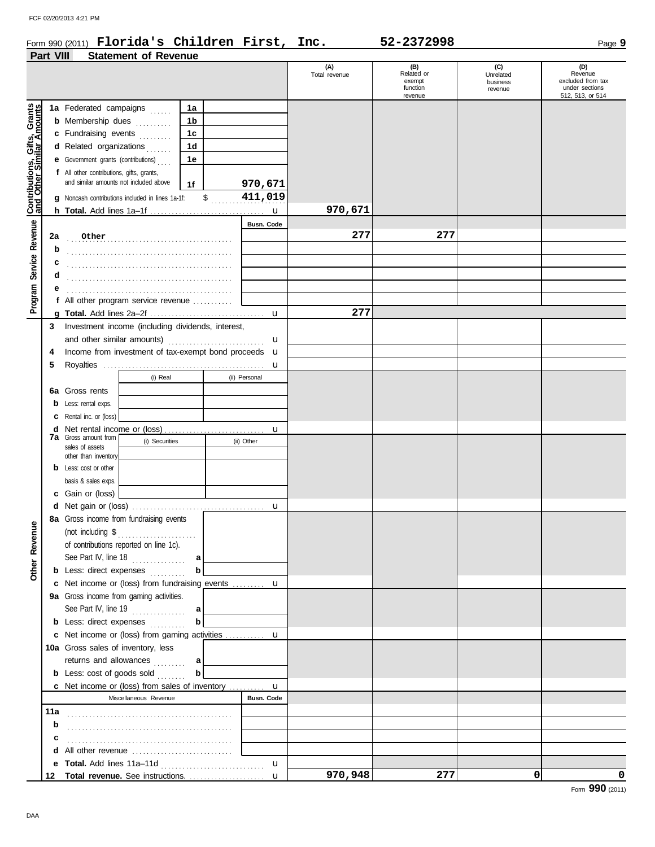#### Form 990 (2011) Page **9 Florida's Children First, Inc. 52-2372998**

| Part VIII<br><b>Statement of Revenue</b> |  |  |
|------------------------------------------|--|--|
|------------------------------------------|--|--|

|                                                           |                                                  |                                                                                            |                   |                 | (A)<br>Total revenue | (B)<br>Related or<br>exempt<br>function | (C)<br>Unrelated<br>business<br>revenue | (D)<br>Revenue<br>excluded from tax<br>under sections |
|-----------------------------------------------------------|--------------------------------------------------|--------------------------------------------------------------------------------------------|-------------------|-----------------|----------------------|-----------------------------------------|-----------------------------------------|-------------------------------------------------------|
| Contributions, Gifts, Grants<br>and Other Similar Amounts |                                                  | 1a Federated campaigns                                                                     | 1a                |                 |                      | revenue                                 |                                         | 512, 513, or 514                                      |
|                                                           |                                                  | <b>b</b> Membership dues <i></i>                                                           | 1b                |                 |                      |                                         |                                         |                                                       |
|                                                           |                                                  | c Fundraising events                                                                       | 1c                |                 |                      |                                         |                                         |                                                       |
|                                                           |                                                  | d Related organizations                                                                    | 1d                |                 |                      |                                         |                                         |                                                       |
|                                                           | <b>e</b> Government grants (contributions)<br>1e |                                                                                            |                   |                 |                      |                                         |                                         |                                                       |
|                                                           |                                                  | f All other contributions, gifts, grants,                                                  |                   |                 |                      |                                         |                                         |                                                       |
|                                                           |                                                  | and similar amounts not included above                                                     | 1f                | 970,671         |                      |                                         |                                         |                                                       |
|                                                           |                                                  | g Noncash contributions included in lines 1a-1f:                                           | \$                | 411,019         |                      |                                         |                                         |                                                       |
|                                                           |                                                  |                                                                                            |                   |                 | 970,671              |                                         |                                         |                                                       |
| Service Revenue                                           |                                                  |                                                                                            |                   | Busn. Code      |                      |                                         |                                         |                                                       |
|                                                           | 2a                                               | Other                                                                                      |                   |                 | 277                  | 277                                     |                                         |                                                       |
|                                                           | b                                                |                                                                                            |                   |                 |                      |                                         |                                         |                                                       |
|                                                           | с                                                |                                                                                            |                   |                 |                      |                                         |                                         |                                                       |
|                                                           | d                                                |                                                                                            |                   |                 |                      |                                         |                                         |                                                       |
|                                                           | е                                                |                                                                                            |                   |                 |                      |                                         |                                         |                                                       |
| Program                                                   |                                                  | f All other program service revenue                                                        |                   |                 | 277                  |                                         |                                         |                                                       |
|                                                           | a<br>3                                           | Investment income (including dividends, interest,                                          |                   |                 |                      |                                         |                                         |                                                       |
|                                                           |                                                  | and other similar amounts)                                                                 |                   | u               |                      |                                         |                                         |                                                       |
|                                                           | 4                                                | Income from investment of tax-exempt bond proceeds <b>u</b>                                |                   |                 |                      |                                         |                                         |                                                       |
|                                                           | 5                                                |                                                                                            |                   | u               |                      |                                         |                                         |                                                       |
|                                                           |                                                  | (i) Real                                                                                   |                   | (ii) Personal   |                      |                                         |                                         |                                                       |
|                                                           |                                                  | <b>6a</b> Gross rents                                                                      |                   |                 |                      |                                         |                                         |                                                       |
|                                                           | b                                                | Less: rental exps.                                                                         |                   |                 |                      |                                         |                                         |                                                       |
|                                                           | c                                                | Rental inc. or (loss)                                                                      |                   |                 |                      |                                         |                                         |                                                       |
|                                                           | d                                                | Net rental income or (loss)                                                                |                   | u               |                      |                                         |                                         |                                                       |
|                                                           |                                                  | <b>7a</b> Gross amount from<br>(i) Securities                                              |                   | (ii) Other      |                      |                                         |                                         |                                                       |
|                                                           |                                                  | sales of assets<br>other than inventory                                                    |                   |                 |                      |                                         |                                         |                                                       |
|                                                           |                                                  | <b>b</b> Less: cost or other                                                               |                   |                 |                      |                                         |                                         |                                                       |
|                                                           |                                                  | basis & sales exps.                                                                        |                   |                 |                      |                                         |                                         |                                                       |
|                                                           |                                                  | c Gain or (loss)                                                                           |                   |                 |                      |                                         |                                         |                                                       |
|                                                           |                                                  |                                                                                            |                   | $\mathbf u$     |                      |                                         |                                         |                                                       |
|                                                           |                                                  | 8a Gross income from fundraising events                                                    |                   |                 |                      |                                         |                                         |                                                       |
| enue                                                      |                                                  | (not including \$<br>.                                                                     |                   |                 |                      |                                         |                                         |                                                       |
|                                                           |                                                  | of contributions reported on line 1c).                                                     |                   |                 |                      |                                         |                                         |                                                       |
|                                                           |                                                  | See Part IV, line 18 $\ldots$                                                              | a                 |                 |                      |                                         |                                         |                                                       |
| Other Rev                                                 |                                                  | <b>b</b> Less: direct expenses                                                             | $\mathbf b$       |                 |                      |                                         |                                         |                                                       |
|                                                           |                                                  | c Net income or (loss) from fundraising events  u                                          |                   |                 |                      |                                         |                                         |                                                       |
|                                                           |                                                  | 9a Gross income from gaming activities.                                                    |                   |                 |                      |                                         |                                         |                                                       |
|                                                           |                                                  | See Part IV, line 19 $\ldots$                                                              | a                 |                 |                      |                                         |                                         |                                                       |
|                                                           |                                                  | <b>b</b> Less: direct expenses                                                             | $\mathbf b$       |                 |                      |                                         |                                         |                                                       |
|                                                           |                                                  | <b>c</b> Net income or (loss) from gaming activities<br>10a Gross sales of inventory, less |                   | u               |                      |                                         |                                         |                                                       |
|                                                           |                                                  |                                                                                            |                   |                 |                      |                                         |                                         |                                                       |
|                                                           |                                                  | returns and allowances<br><b>b</b> Less: cost of goods sold                                | a<br>$\mathbf{b}$ |                 |                      |                                         |                                         |                                                       |
|                                                           |                                                  | <b>c</b> Net income or (loss) from sales of inventory                                      |                   |                 |                      |                                         |                                         |                                                       |
|                                                           |                                                  | Miscellaneous Revenue                                                                      |                   | u<br>Busn. Code |                      |                                         |                                         |                                                       |
|                                                           | 11a                                              |                                                                                            |                   |                 |                      |                                         |                                         |                                                       |
|                                                           | b                                                |                                                                                            |                   |                 |                      |                                         |                                         |                                                       |
|                                                           | c                                                |                                                                                            |                   |                 |                      |                                         |                                         |                                                       |
|                                                           | d                                                |                                                                                            |                   |                 |                      |                                         |                                         |                                                       |
|                                                           | е                                                |                                                                                            |                   | $\mathbf u$     |                      |                                         |                                         |                                                       |
|                                                           | 12                                               |                                                                                            |                   | $\mathbf{u}$    | 970,948              | 277                                     | 0                                       | 0                                                     |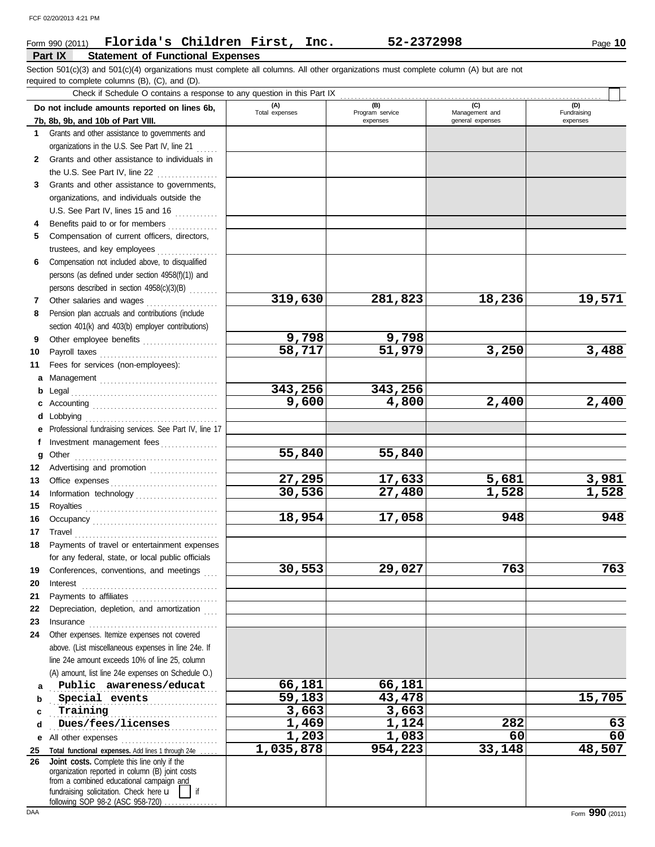### Form 990 (2011) Page **10 Florida's Children First, Inc. 52-2372998**

### **Part IX Statement of Functional Expenses**

required to complete columns (B), (C), and (D). Section 501(c)(3) and 501(c)(4) organizations must complete all columns. All other organizations must complete column (A) but are not

Check if Schedule O contains a response to any question in this Part IX . . . . . . . . . . . . . . . . . . . . . . . . . . . . . . . . . . . . . . . . . . . . . . . . . . . . . . . . . . . . . . . . . . . . . . . . .

|              | Crieck in Scriedule O contrains a response to any question in this rail in<br>Do not include amounts reported on lines 6b, | (A)             | (B)                         | (C)                                | (D)                     |
|--------------|----------------------------------------------------------------------------------------------------------------------------|-----------------|-----------------------------|------------------------------------|-------------------------|
|              | 7b, 8b, 9b, and 10b of Part VIII.                                                                                          | Total expenses  | Program service<br>expenses | Management and<br>general expenses | Fundraising<br>expenses |
| 1.           | Grants and other assistance to governments and                                                                             |                 |                             |                                    |                         |
|              | organizations in the U.S. See Part IV, line 21                                                                             |                 |                             |                                    |                         |
| $\mathbf{2}$ | Grants and other assistance to individuals in                                                                              |                 |                             |                                    |                         |
|              | the U.S. See Part IV, line 22 $\ldots$                                                                                     |                 |                             |                                    |                         |
| 3            | Grants and other assistance to governments,                                                                                |                 |                             |                                    |                         |
|              | organizations, and individuals outside the                                                                                 |                 |                             |                                    |                         |
|              | U.S. See Part IV, lines 15 and 16                                                                                          |                 |                             |                                    |                         |
|              | Benefits paid to or for members                                                                                            |                 |                             |                                    |                         |
| 5.           | Compensation of current officers, directors,                                                                               |                 |                             |                                    |                         |
|              | trustees, and key employees                                                                                                |                 |                             |                                    |                         |
| 6            | Compensation not included above, to disqualified                                                                           |                 |                             |                                    |                         |
|              | persons (as defined under section 4958(f)(1)) and                                                                          |                 |                             |                                    |                         |
|              | persons described in section 4958(c)(3)(B)                                                                                 |                 |                             |                                    |                         |
| 7            | Other salaries and wages<br>.                                                                                              | 319,630         | 281,823                     | 18,236                             | 19,571                  |
| 8            | Pension plan accruals and contributions (include                                                                           |                 |                             |                                    |                         |
|              | section 401(k) and 403(b) employer contributions)                                                                          |                 |                             |                                    |                         |
| 9            | Other employee benefits                                                                                                    | 9,798<br>58,717 | 9,798<br>51,979             | 3,250                              | 3,488                   |
| 10           | Payroll taxes                                                                                                              |                 |                             |                                    |                         |
| 11           | Fees for services (non-employees):                                                                                         |                 |                             |                                    |                         |
| а<br>b       |                                                                                                                            | 343,256         | 343,256                     |                                    |                         |
|              |                                                                                                                            | 9,600           | 4,800                       | 2,400                              | 2,400                   |
| d            | Lobbying                                                                                                                   |                 |                             |                                    |                         |
|              | Professional fundraising services. See Part IV, line 17                                                                    |                 |                             |                                    |                         |
| f            | Investment management fees                                                                                                 |                 |                             |                                    |                         |
| g            | Other                                                                                                                      | 55,840          | 55,840                      |                                    |                         |
| 12           | Advertising and promotion                                                                                                  |                 |                             |                                    |                         |
| 13           |                                                                                                                            | 27,295          | 17,633                      | 5,681                              | 3,981                   |
| 14           | Information technology                                                                                                     | 30,536          | 27,480                      | 1,528                              | 1,528                   |
| 15           |                                                                                                                            |                 |                             |                                    |                         |
| 16           |                                                                                                                            | 18,954          | 17,058                      | 948                                | 948                     |
| 17           | Travel                                                                                                                     |                 |                             |                                    |                         |
| 18           | Payments of travel or entertainment expenses                                                                               |                 |                             |                                    |                         |
|              | for any federal, state, or local public officials                                                                          |                 |                             |                                    |                         |
| 19           | Conferences, conventions, and meetings                                                                                     | 30,553          | 29,027                      | 763                                | 763                     |
| 20           | Interest                                                                                                                   |                 |                             |                                    |                         |
| 21           | Depreciation, depletion, and amortization                                                                                  |                 |                             |                                    |                         |
| 22<br>23     |                                                                                                                            |                 |                             |                                    |                         |
| 24           | Other expenses. Itemize expenses not covered                                                                               |                 |                             |                                    |                         |
|              | above. (List miscellaneous expenses in line 24e. If                                                                        |                 |                             |                                    |                         |
|              | line 24e amount exceeds 10% of line 25, column                                                                             |                 |                             |                                    |                         |
|              | (A) amount, list line 24e expenses on Schedule O.)                                                                         |                 |                             |                                    |                         |
| a            | Public awareness/educat                                                                                                    | 66,181          | 66,181                      |                                    |                         |
| b            | Special events                                                                                                             | 59,183          | 43,478                      |                                    | 15,705                  |
| c            | Training                                                                                                                   | 3,663           | 3,663                       |                                    |                         |
| d            | Dues/fees/licenses                                                                                                         | 1,469           | 1,124                       | 282                                | 63                      |
| е            |                                                                                                                            | 1,203           | 1,083                       | 60                                 | $\overline{60}$         |
| 25           | Total functional expenses. Add lines 1 through 24e.                                                                        | 1,035,878       | 954,223                     | 33,148                             | 48,507                  |
| 26           | Joint costs. Complete this line only if the<br>organization reported in column (B) joint costs                             |                 |                             |                                    |                         |
|              | from a combined educational campaign and                                                                                   |                 |                             |                                    |                         |
|              | fundraising solicitation. Check here u<br>if                                                                               |                 |                             |                                    |                         |
|              | following SOP 98-2 (ASC 958-720)                                                                                           |                 |                             |                                    |                         |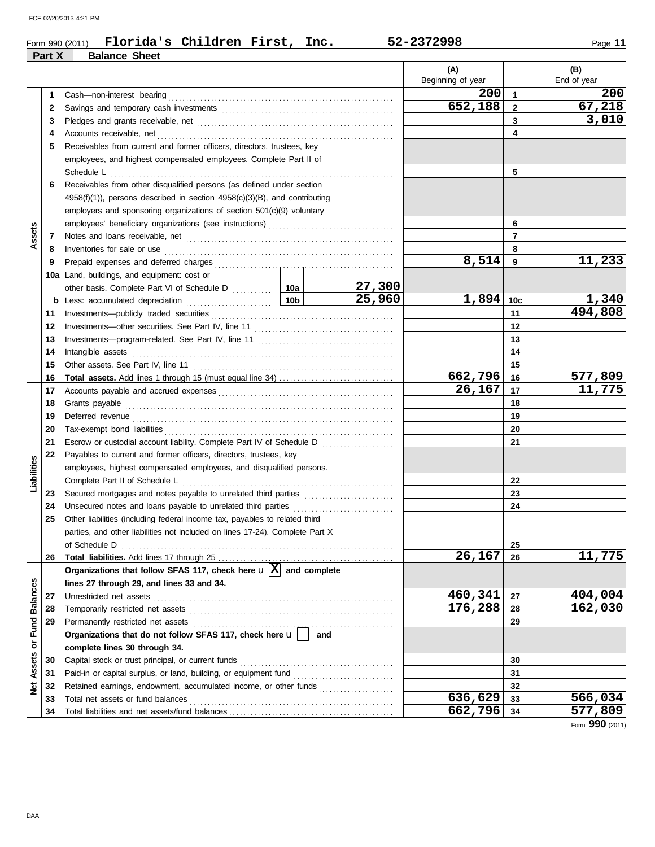|                   |        | Florida's Children First, Inc.<br>Form 990 (2011)                                          |                 |               | 52-2372998               |                | Page 11                 |
|-------------------|--------|--------------------------------------------------------------------------------------------|-----------------|---------------|--------------------------|----------------|-------------------------|
|                   | Part X | <b>Balance Sheet</b>                                                                       |                 |               |                          |                |                         |
|                   |        |                                                                                            |                 |               | (A)<br>Beginning of year |                | (B)<br>End of year      |
|                   | 1      |                                                                                            |                 |               | 200                      | $\mathbf{1}$   | 200                     |
|                   | 2      |                                                                                            |                 |               | 652,188                  | $\overline{2}$ | 67,218                  |
|                   | 3      |                                                                                            |                 |               |                          | 3              | 3,010                   |
|                   | 4      |                                                                                            |                 |               |                          | 4              |                         |
|                   | 5      | Receivables from current and former officers, directors, trustees, key                     |                 |               |                          |                |                         |
|                   |        | employees, and highest compensated employees. Complete Part II of                          |                 |               |                          |                |                         |
|                   |        |                                                                                            |                 |               |                          | 5              |                         |
|                   | 6      | Receivables from other disqualified persons (as defined under section                      |                 |               |                          |                |                         |
|                   |        | $4958(f)(1)$ , persons described in section $4958(c)(3)(B)$ , and contributing             |                 |               |                          |                |                         |
|                   |        | employers and sponsoring organizations of section $501(c)(9)$ voluntary                    |                 |               |                          |                |                         |
|                   |        | employees' beneficiary organizations (see instructions) [[[[[[[[[[[[[[[[[[[[[[[[]]]]]]]]]] |                 |               |                          | 6              |                         |
| Assets            | 7      |                                                                                            |                 |               |                          | $\overline{7}$ |                         |
|                   | 8      | Inventories for sale or use                                                                |                 |               |                          | 8              |                         |
|                   | 9      |                                                                                            |                 | 8,514         | 9                        | 11,233         |                         |
|                   |        | 10a Land, buildings, and equipment: cost or                                                |                 |               |                          |                |                         |
|                   |        |                                                                                            |                 | <u>27,300</u> |                          |                |                         |
|                   | b      | Less: accumulated depreciation                                                             | 10 <sub>b</sub> | 25,960        | $1,894$ 10c              |                |                         |
|                   | 11     |                                                                                            |                 |               |                          | 11             | $\frac{1,340}{494,808}$ |
|                   | 12     |                                                                                            |                 |               |                          | 12             |                         |
|                   | 13     |                                                                                            |                 |               |                          | 13             |                         |
|                   | 14     | Intangible assets                                                                          |                 |               | 14                       |                |                         |
|                   | 15     | Other assets. See Part IV, line 11                                                         |                 | 15            |                          |                |                         |
|                   | 16     |                                                                                            |                 |               | 662,796                  | 16             | 577,809                 |
|                   | 17     |                                                                                            |                 | 26,167        | 17                       | 11,775         |                         |
|                   | 18     |                                                                                            |                 |               | 18                       |                |                         |
|                   | 19     |                                                                                            |                 |               | 19                       |                |                         |
|                   | 20     |                                                                                            |                 |               |                          | 20             |                         |
|                   | 21     | Escrow or custodial account liability. Complete Part IV of Schedule D                      |                 |               |                          | 21             |                         |
|                   | 22     | Payables to current and former officers, directors, trustees, key                          |                 |               |                          |                |                         |
| Liabilities       |        | employees, highest compensated employees, and disqualified persons.                        |                 |               |                          |                |                         |
|                   |        |                                                                                            |                 |               |                          | 22             |                         |
|                   | 23     |                                                                                            |                 |               |                          | 23             |                         |
|                   | 24     |                                                                                            |                 |               |                          | 24             |                         |
|                   |        | Other liabilities (including federal income tax, payables to related third                 |                 |               |                          |                |                         |
|                   |        | parties, and other liabilities not included on lines 17-24). Complete Part X               |                 |               |                          |                |                         |
|                   |        | of Schedule D                                                                              |                 |               |                          | 25             |                         |
|                   | 26     |                                                                                            |                 |               | 26,167                   | 26             | 11,775                  |
|                   |        | Organizations that follow SFAS 117, check here $\mathbf{u} \times \mathbf{X}$ and complete |                 |               |                          |                |                         |
|                   |        | lines 27 through 29, and lines 33 and 34.                                                  |                 |               |                          |                |                         |
| <b>Balances</b>   | 27     | Unrestricted net assets                                                                    |                 |               | 460,341                  | 27             | 404,004                 |
|                   | 28     | Temporarily restricted net assets                                                          |                 |               | 176,288                  | 28             | 162,030                 |
| or Fund           | 29     | Permanently restricted net assets                                                          |                 |               |                          | 29             |                         |
|                   |        | Organizations that do not follow SFAS 117, check here u                                    | and             |               |                          |                |                         |
|                   |        | complete lines 30 through 34.                                                              |                 |               |                          |                |                         |
| <b>Net Assets</b> | 30     | Capital stock or trust principal, or current funds                                         |                 |               |                          | 30             |                         |
|                   | 31     |                                                                                            |                 |               |                          | 31             |                         |
|                   | 32     | Retained earnings, endowment, accumulated income, or other funds                           |                 |               |                          | 32             |                         |
|                   | 33     | Total net assets or fund balances                                                          |                 |               | 636,629                  | 33             | 566,034                 |
|                   | 34     |                                                                                            |                 |               | 662,796                  | 34             | $\overline{5}77,809$    |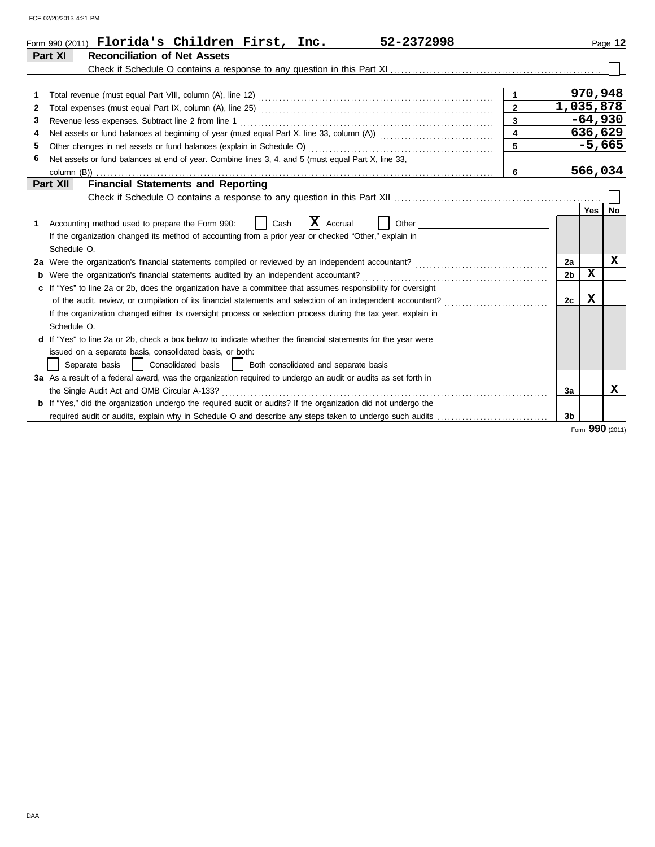| Page 12             |                                                                                                                        | Form 990 (2011) Florida's Children First, Inc.                                                                        |
|---------------------|------------------------------------------------------------------------------------------------------------------------|-----------------------------------------------------------------------------------------------------------------------|
|                     |                                                                                                                        | Part XI                                                                                                               |
|                     |                                                                                                                        |                                                                                                                       |
| 970,948             | $\overline{1}$                                                                                                         |                                                                                                                       |
| 1,035,878           |                                                                                                                        | 2                                                                                                                     |
| $-64,930$           |                                                                                                                        | 3                                                                                                                     |
| 636,629             | $\overline{\mathbf{4}}$                                                                                                |                                                                                                                       |
| $-5,665$            |                                                                                                                        | 5                                                                                                                     |
|                     |                                                                                                                        | Net assets or fund balances at end of year. Combine lines 3, 4, and 5 (must equal Part X, line 33,<br>6               |
| 566,034             | 6                                                                                                                      |                                                                                                                       |
|                     |                                                                                                                        | Part XII                                                                                                              |
|                     |                                                                                                                        |                                                                                                                       |
| Yes<br>No           |                                                                                                                        |                                                                                                                       |
|                     |                                                                                                                        | Accounting method used to prepare the Form 990:<br>1                                                                  |
|                     |                                                                                                                        | If the organization changed its method of accounting from a prior year or checked "Other," explain in                 |
|                     |                                                                                                                        | Schedule O.                                                                                                           |
| x<br>2a             | <u> 1986 - Johann Stoff, deutscher Stoff, der Stoff, deutscher Stoff, der Stoff, der Stoff, der Stoff, der Stoff, </u> | 2a Were the organization's financial statements compiled or reviewed by an independent accountant?                    |
| X<br>2 <sub>b</sub> |                                                                                                                        | <b>b</b> Were the organization's financial statements audited by an independent accountant?                           |
|                     |                                                                                                                        | c If "Yes" to line 2a or 2b, does the organization have a committee that assumes responsibility for oversight         |
| x<br>2c             |                                                                                                                        |                                                                                                                       |
|                     |                                                                                                                        | If the organization changed either its oversight process or selection process during the tax year, explain in         |
|                     |                                                                                                                        | Schedule O.                                                                                                           |
|                     |                                                                                                                        | d If "Yes" to line 2a or 2b, check a box below to indicate whether the financial statements for the year were         |
|                     |                                                                                                                        | issued on a separate basis, consolidated basis, or both:                                                              |
|                     |                                                                                                                        |                                                                                                                       |
|                     |                                                                                                                        | 3a As a result of a federal award, was the organization required to undergo an audit or audits as set forth in        |
| x<br>3a             |                                                                                                                        | the Single Audit Act and OMB Circular A-133?                                                                          |
|                     |                                                                                                                        | <b>b</b> If "Yes," did the organization undergo the required audit or audits? If the organization did not undergo the |
| 3 <sub>b</sub>      |                                                                                                                        |                                                                                                                       |

Form **990** (2011)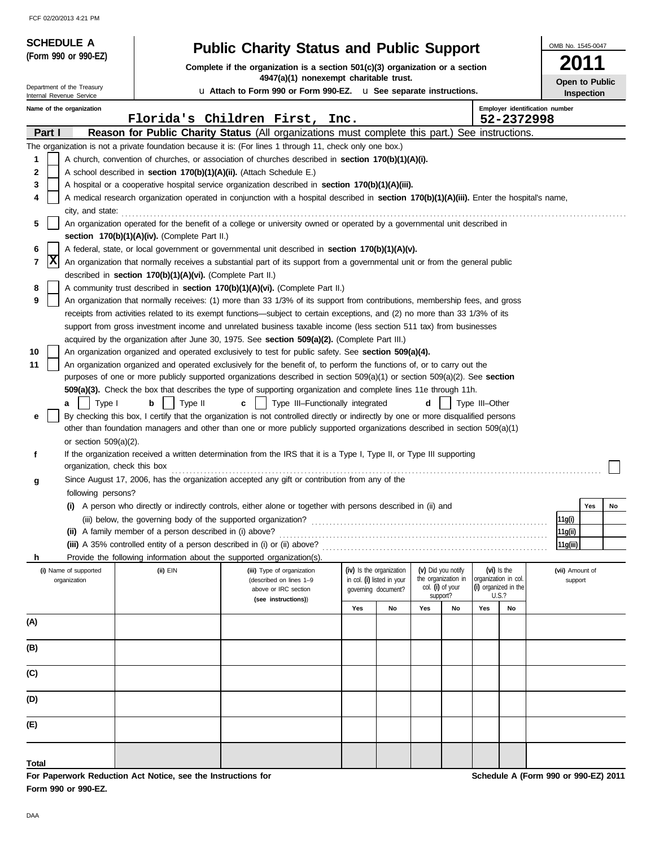| <b>SCHEDULE A</b>                                      |                                                                                                      | <b>Public Charity Status and Public Support</b>                                                                                                    |     |                                                   |     |                                         |                |                                              |                                | OMB No. 1545-0047 |                   |
|--------------------------------------------------------|------------------------------------------------------------------------------------------------------|----------------------------------------------------------------------------------------------------------------------------------------------------|-----|---------------------------------------------------|-----|-----------------------------------------|----------------|----------------------------------------------|--------------------------------|-------------------|-------------------|
| (Form 990 or 990-EZ)                                   |                                                                                                      | Complete if the organization is a section $501(c)(3)$ organization or a section                                                                    |     |                                                   |     |                                         |                |                                              |                                | 2011              |                   |
|                                                        |                                                                                                      | 4947(a)(1) nonexempt charitable trust.                                                                                                             |     |                                                   |     |                                         |                |                                              |                                |                   | Open to Public    |
| Department of the Treasury<br>Internal Revenue Service |                                                                                                      | u Attach to Form 990 or Form 990-EZ. u See separate instructions.                                                                                  |     |                                                   |     |                                         |                |                                              |                                |                   | <b>Inspection</b> |
| Name of the organization                               |                                                                                                      | Florida's Children First, Inc.                                                                                                                     |     |                                                   |     |                                         |                | 52-2372998                                   | Employer identification number |                   |                   |
| Part I                                                 |                                                                                                      | Reason for Public Charity Status (All organizations must complete this part.) See instructions.                                                    |     |                                                   |     |                                         |                |                                              |                                |                   |                   |
|                                                        |                                                                                                      | The organization is not a private foundation because it is: (For lines 1 through 11, check only one box.)                                          |     |                                                   |     |                                         |                |                                              |                                |                   |                   |
| 1                                                      |                                                                                                      | A church, convention of churches, or association of churches described in <b>section 170(b)(1)(A)(i).</b>                                          |     |                                                   |     |                                         |                |                                              |                                |                   |                   |
| 2                                                      | A school described in section 170(b)(1)(A)(ii). (Attach Schedule E.)                                 |                                                                                                                                                    |     |                                                   |     |                                         |                |                                              |                                |                   |                   |
| 3                                                      |                                                                                                      | A hospital or a cooperative hospital service organization described in section 170(b)(1)(A)(iii).                                                  |     |                                                   |     |                                         |                |                                              |                                |                   |                   |
| 4                                                      |                                                                                                      | A medical research organization operated in conjunction with a hospital described in <b>section 170(b)(1)(A)(iii)</b> . Enter the hospital's name, |     |                                                   |     |                                         |                |                                              |                                |                   |                   |
| city, and state:                                       |                                                                                                      |                                                                                                                                                    |     |                                                   |     |                                         |                |                                              |                                |                   |                   |
| 5                                                      |                                                                                                      | An organization operated for the benefit of a college or university owned or operated by a governmental unit described in                          |     |                                                   |     |                                         |                |                                              |                                |                   |                   |
|                                                        | section $170(b)(1)(A)(iv)$ . (Complete Part II.)                                                     |                                                                                                                                                    |     |                                                   |     |                                         |                |                                              |                                |                   |                   |
| 6                                                      |                                                                                                      | A federal, state, or local government or governmental unit described in section 170(b)(1)(A)(v).                                                   |     |                                                   |     |                                         |                |                                              |                                |                   |                   |
| X<br>7                                                 |                                                                                                      | An organization that normally receives a substantial part of its support from a governmental unit or from the general public                       |     |                                                   |     |                                         |                |                                              |                                |                   |                   |
| 8                                                      | described in section 170(b)(1)(A)(vi). (Complete Part II.)                                           | A community trust described in section 170(b)(1)(A)(vi). (Complete Part II.)                                                                       |     |                                                   |     |                                         |                |                                              |                                |                   |                   |
| 9                                                      |                                                                                                      | An organization that normally receives: (1) more than 33 1/3% of its support from contributions, membership fees, and gross                        |     |                                                   |     |                                         |                |                                              |                                |                   |                   |
|                                                        |                                                                                                      | receipts from activities related to its exempt functions—subject to certain exceptions, and (2) no more than 33 1/3% of its                        |     |                                                   |     |                                         |                |                                              |                                |                   |                   |
|                                                        |                                                                                                      | support from gross investment income and unrelated business taxable income (less section 511 tax) from businesses                                  |     |                                                   |     |                                         |                |                                              |                                |                   |                   |
|                                                        | acquired by the organization after June 30, 1975. See section 509(a)(2). (Complete Part III.)        |                                                                                                                                                    |     |                                                   |     |                                         |                |                                              |                                |                   |                   |
| 10                                                     | An organization organized and operated exclusively to test for public safety. See section 509(a)(4). |                                                                                                                                                    |     |                                                   |     |                                         |                |                                              |                                |                   |                   |
| 11                                                     |                                                                                                      | An organization organized and operated exclusively for the benefit of, to perform the functions of, or to carry out the                            |     |                                                   |     |                                         |                |                                              |                                |                   |                   |
|                                                        |                                                                                                      | purposes of one or more publicly supported organizations described in section 509(a)(1) or section 509(a)(2). See section                          |     |                                                   |     |                                         |                |                                              |                                |                   |                   |
|                                                        |                                                                                                      | 509(a)(3). Check the box that describes the type of supporting organization and complete lines 11e through 11h.                                    |     |                                                   |     |                                         |                |                                              |                                |                   |                   |
| Type I<br>a                                            | Type II<br>b                                                                                         | Type III-Functionally integrated<br>c                                                                                                              |     |                                                   | d   |                                         | Type III-Other |                                              |                                |                   |                   |
| е                                                      |                                                                                                      | By checking this box, I certify that the organization is not controlled directly or indirectly by one or more disqualified persons                 |     |                                                   |     |                                         |                |                                              |                                |                   |                   |
|                                                        |                                                                                                      | other than foundation managers and other than one or more publicly supported organizations described in section 509(a)(1)                          |     |                                                   |     |                                         |                |                                              |                                |                   |                   |
| or section $509(a)(2)$ .                               |                                                                                                      |                                                                                                                                                    |     |                                                   |     |                                         |                |                                              |                                |                   |                   |
| f                                                      | organization, check this box                                                                         | If the organization received a written determination from the IRS that it is a Type I, Type II, or Type III supporting                             |     |                                                   |     |                                         |                |                                              |                                |                   |                   |
|                                                        |                                                                                                      | Since August 17, 2006, has the organization accepted any gift or contribution from any of the                                                      |     |                                                   |     |                                         |                |                                              |                                |                   |                   |
| g<br>following persons?                                |                                                                                                      |                                                                                                                                                    |     |                                                   |     |                                         |                |                                              |                                |                   |                   |
|                                                        |                                                                                                      | (i) A person who directly or indirectly controls, either alone or together with persons described in (ii) and                                      |     |                                                   |     |                                         |                |                                              |                                |                   | Yes<br>No         |
|                                                        | (iii) below, the governing body of the supported organization?                                       |                                                                                                                                                    |     |                                                   |     |                                         |                |                                              |                                | 11g(i)            |                   |
|                                                        | (ii) A family member of a person described in (i) above?                                             |                                                                                                                                                    |     |                                                   |     |                                         |                |                                              |                                | 11g(ii)           |                   |
|                                                        | (iii) A 35% controlled entity of a person described in (i) or (ii) above?                            |                                                                                                                                                    |     |                                                   |     |                                         |                |                                              |                                | 11g(iii)          |                   |
| h.                                                     | Provide the following information about the supported organization(s)                                |                                                                                                                                                    |     |                                                   |     |                                         |                |                                              |                                |                   |                   |
| (i) Name of supported                                  | (ii) EIN                                                                                             | (iii) Type of organization                                                                                                                         |     | (iv) Is the organization                          |     | (v) Did you notify                      |                | (vi) Is the                                  |                                | (vii) Amount of   |                   |
| organization                                           |                                                                                                      | (described on lines 1-9<br>above or IRC section                                                                                                    |     | in col. (i) listed in your<br>governing document? |     | the organization in<br>col. (i) of your |                | organization in col.<br>(i) organized in the |                                | support           |                   |
|                                                        |                                                                                                      | (see instructions))                                                                                                                                |     |                                                   |     | support?                                |                | U.S.?                                        |                                |                   |                   |
|                                                        |                                                                                                      |                                                                                                                                                    | Yes | No                                                | Yes | No                                      | Yes            | No                                           |                                |                   |                   |
| (A)                                                    |                                                                                                      |                                                                                                                                                    |     |                                                   |     |                                         |                |                                              |                                |                   |                   |
|                                                        |                                                                                                      |                                                                                                                                                    |     |                                                   |     |                                         |                |                                              |                                |                   |                   |
| (B)                                                    |                                                                                                      |                                                                                                                                                    |     |                                                   |     |                                         |                |                                              |                                |                   |                   |
| (C)                                                    |                                                                                                      |                                                                                                                                                    |     |                                                   |     |                                         |                |                                              |                                |                   |                   |
| (D)                                                    |                                                                                                      |                                                                                                                                                    |     |                                                   |     |                                         |                |                                              |                                |                   |                   |
| (E)                                                    |                                                                                                      |                                                                                                                                                    |     |                                                   |     |                                         |                |                                              |                                |                   |                   |
|                                                        |                                                                                                      |                                                                                                                                                    |     |                                                   |     |                                         |                |                                              |                                |                   |                   |
| Total                                                  |                                                                                                      |                                                                                                                                                    |     |                                                   |     |                                         |                |                                              |                                |                   |                   |

**For Paperwork Reduction Act Notice, see the Instructions for Form 990 or 990-EZ.**

**Schedule A (Form 990 or 990-EZ) 2011**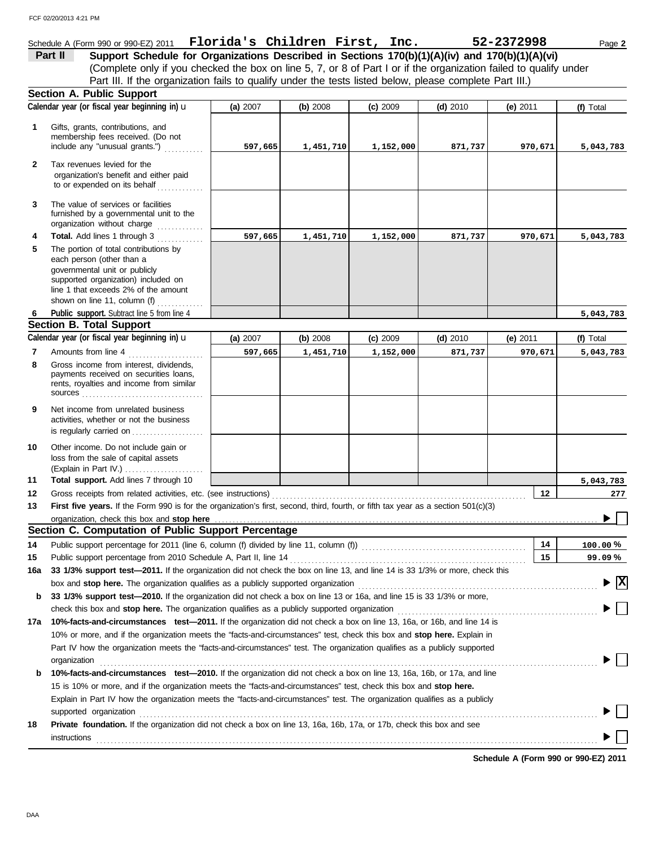### Schedule A (Form 990 or 990-EZ) 2011 Page **2 Florida's Children First, Inc. 52-2372998**

(Complete only if you checked the box on line 5, 7, or 8 of Part I or if the organization failed to qualify under **Part II** Support Schedule for Organizations Described in Sections 170(b)(1)(A)(iv) and 170(b)(1)(A)(vi) Part III. If the organization fails to qualify under the tests listed below, please complete Part III.)

|              | <b>Section A. Public Support</b>                                                                                                                                                                                                                 |          |           |            |            |            |                         |
|--------------|--------------------------------------------------------------------------------------------------------------------------------------------------------------------------------------------------------------------------------------------------|----------|-----------|------------|------------|------------|-------------------------|
|              | Calendar year (or fiscal year beginning in) u                                                                                                                                                                                                    | (a) 2007 | (b) 2008  | $(c)$ 2009 | $(d)$ 2010 | (e) $2011$ | (f) Total               |
| 1            | Gifts, grants, contributions, and<br>membership fees received. (Do not<br>include any "unusual grants.")                                                                                                                                         | 597,665  | 1,451,710 | 1,152,000  | 871,737    | 970,671    | 5,043,783               |
| $\mathbf{2}$ | Tax revenues levied for the<br>organization's benefit and either paid<br>to or expended on its behalf<br>.                                                                                                                                       |          |           |            |            |            |                         |
| 3            | The value of services or facilities<br>furnished by a governmental unit to the<br>organization without charge                                                                                                                                    |          |           |            |            |            |                         |
| 4            | Total. Add lines 1 through 3                                                                                                                                                                                                                     | 597,665  | 1,451,710 | 1,152,000  | 871,737    | 970,671    | 5,043,783               |
| 5            | The portion of total contributions by<br>each person (other than a<br>governmental unit or publicly<br>supported organization) included on<br>line 1 that exceeds 2% of the amount<br>shown on line 11, column (f) $\ldots$                      |          |           |            |            |            |                         |
| 6            | Public support. Subtract line 5 from line 4                                                                                                                                                                                                      |          |           |            |            |            | 5,043,783               |
|              | <b>Section B. Total Support</b>                                                                                                                                                                                                                  |          |           |            |            |            |                         |
|              | Calendar year (or fiscal year beginning in) u                                                                                                                                                                                                    | (a) 2007 | (b) 2008  | $(c)$ 2009 | $(d)$ 2010 | (e) $2011$ | (f) Total               |
| 7            | Amounts from line 4                                                                                                                                                                                                                              | 597,665  | 1,451,710 | 1,152,000  | 871,737    | 970,671    | 5,043,783               |
| 8            | Gross income from interest, dividends,<br>payments received on securities loans,<br>rents, royalties and income from similar                                                                                                                     |          |           |            |            |            |                         |
| 9            | Net income from unrelated business<br>activities, whether or not the business<br>is regularly carried on                                                                                                                                         |          |           |            |            |            |                         |
| 10           | Other income. Do not include gain or<br>loss from the sale of capital assets                                                                                                                                                                     |          |           |            |            |            |                         |
| 11           | Total support. Add lines 7 through 10                                                                                                                                                                                                            |          |           |            |            |            | 5,043,783               |
| 12           |                                                                                                                                                                                                                                                  |          |           |            |            | 12         | 277                     |
| 13           | First five years. If the Form 990 is for the organization's first, second, third, fourth, or fifth tax year as a section 501(c)(3)                                                                                                               |          |           |            |            |            |                         |
|              | organization, check this box and stop here                                                                                                                                                                                                       |          |           |            |            |            |                         |
|              | Section C. Computation of Public Support Percentage                                                                                                                                                                                              |          |           |            |            |            |                         |
| 14           | Public support percentage for 2011 (line 6, column (f) divided by line 11, column (f)) [[[[[[[[[[[[[[[[[[[[[[                                                                                                                                    |          |           |            |            | 14         | $100.00\%$              |
| 15           |                                                                                                                                                                                                                                                  |          |           |            |            | 15         | 99.09%                  |
| 16a          | 33 1/3% support test-2011. If the organization did not check the box on line 13, and line 14 is 33 1/3% or more, check this                                                                                                                      |          |           |            |            |            |                         |
|              | box and stop here. The organization qualifies as a publicly supported organization                                                                                                                                                               |          |           |            |            |            | $\overline{\mathbf{x}}$ |
| b            | 33 1/3% support test-2010. If the organization did not check a box on line 13 or 16a, and line 15 is 33 1/3% or more,                                                                                                                            |          |           |            |            |            |                         |
|              | check this box and stop here. The organization qualifies as a publicly supported organization <b>contract the state of state of state</b> or check this box and stop here. The organization                                                      |          |           |            |            |            |                         |
| 17a          | 10%-facts-and-circumstances test-2011. If the organization did not check a box on line 13, 16a, or 16b, and line 14 is                                                                                                                           |          |           |            |            |            |                         |
|              | 10% or more, and if the organization meets the "facts-and-circumstances" test, check this box and stop here. Explain in                                                                                                                          |          |           |            |            |            |                         |
|              | Part IV how the organization meets the "facts-and-circumstances" test. The organization qualifies as a publicly supported                                                                                                                        |          |           |            |            |            |                         |
|              | organization                                                                                                                                                                                                                                     |          |           |            |            |            |                         |
| b            | 10%-facts-and-circumstances test-2010. If the organization did not check a box on line 13, 16a, 16b, or 17a, and line                                                                                                                            |          |           |            |            |            |                         |
|              | 15 is 10% or more, and if the organization meets the "facts-and-circumstances" test, check this box and stop here.<br>Explain in Part IV how the organization meets the "facts-and-circumstances" test. The organization qualifies as a publicly |          |           |            |            |            |                         |
|              |                                                                                                                                                                                                                                                  |          |           |            |            |            |                         |
|              | supported organization contains and contains a subsequent of the supported organization contains a subsequent or                                                                                                                                 |          |           |            |            |            |                         |
| 18           | Private foundation. If the organization did not check a box on line 13, 16a, 16b, 17a, or 17b, check this box and see                                                                                                                            |          |           |            |            |            |                         |
|              |                                                                                                                                                                                                                                                  |          |           |            |            |            |                         |

**Schedule A (Form 990 or 990-EZ) 2011**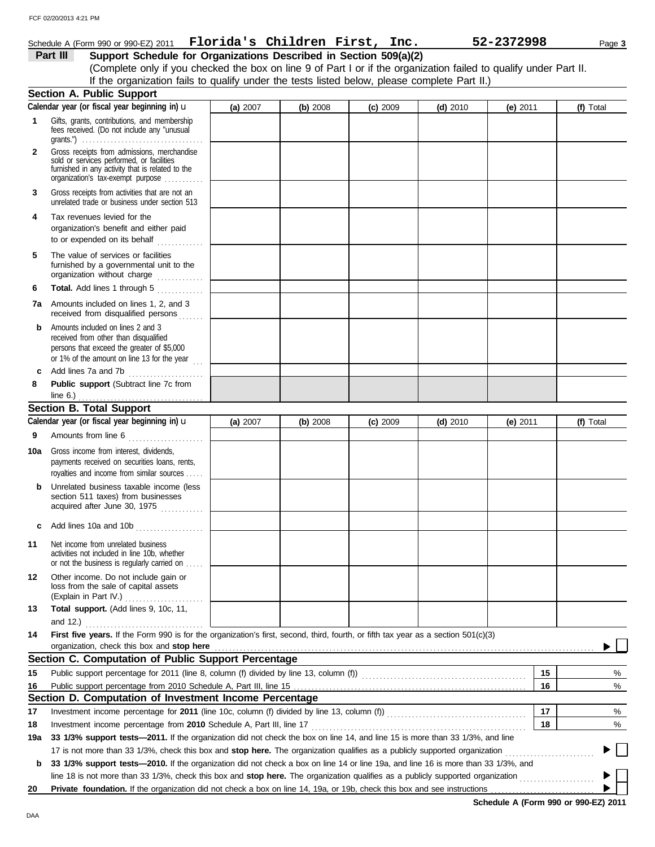|     | FCF 02/20/2013 4:21 PM                                                                                                                                                                         |          |          |          |            |            |           |
|-----|------------------------------------------------------------------------------------------------------------------------------------------------------------------------------------------------|----------|----------|----------|------------|------------|-----------|
|     | Schedule A (Form 990 or 990-EZ) 2011 $\;$ Florida's Children First, Inc.                                                                                                                       |          |          |          |            | 52-2372998 |           |
|     | Support Schedule for Organizations Described in Section 509(a)(2)<br>Part III                                                                                                                  |          |          |          |            |            | Page 3    |
|     | (Complete only if you checked the box on line 9 of Part I or if the organization failed to qualify under Part II.                                                                              |          |          |          |            |            |           |
|     | If the organization fails to qualify under the tests listed below, please complete Part II.)                                                                                                   |          |          |          |            |            |           |
|     | <b>Section A. Public Support</b>                                                                                                                                                               |          |          |          |            |            |           |
|     | Calendar year (or fiscal year beginning in) u                                                                                                                                                  | (a) 2007 | (b) 2008 | (c) 2009 | $(d)$ 2010 | (e) $2011$ | (f) Total |
| 1   | Gifts, grants, contributions, and membership<br>fees received. (Do not include any "unusual<br>grants.") $\ldots \ldots \ldots \ldots \ldots \ldots \ldots \ldots \ldots \ldots \ldots \ldots$ |          |          |          |            |            |           |
| 2   | Gross receipts from admissions, merchandise<br>sold or services performed, or facilities<br>furnished in any activity that is related to the<br>organization's tax-exempt purpose              |          |          |          |            |            |           |
| 3   | Gross receipts from activities that are not an<br>unrelated trade or business under section 513                                                                                                |          |          |          |            |            |           |
| 4   | Tax revenues levied for the<br>organization's benefit and either paid<br>to or expended on its behalf                                                                                          |          |          |          |            |            |           |
| 5   | The value of services or facilities<br>furnished by a governmental unit to the<br>organization without charge                                                                                  |          |          |          |            |            |           |
| 6   | Total. Add lines 1 through 5                                                                                                                                                                   |          |          |          |            |            |           |
| 7а  | Amounts included on lines 1, 2, and 3<br>received from disqualified persons                                                                                                                    |          |          |          |            |            |           |
| b.  | Amounts included on lines 2 and 3<br>received from other than disqualified<br>persons that exceed the greater of \$5,000<br>or 1% of the amount on line 13 for the year $\ldots$               |          |          |          |            |            |           |
| c   | Add lines 7a and 7b                                                                                                                                                                            |          |          |          |            |            |           |
| 8   | Public support (Subtract line 7c from<br>line $6.$ )                                                                                                                                           |          |          |          |            |            |           |
|     | <b>Section B. Total Support</b>                                                                                                                                                                |          |          |          |            |            |           |
|     | Calendar year (or fiscal year beginning in) $\mathbf u$                                                                                                                                        | (a) 2007 | (b) 2008 | (c) 2009 | $(d)$ 2010 | (e) $2011$ | (f) Total |
| 9   | Amounts from line 6                                                                                                                                                                            |          |          |          |            |            |           |
| 10a | Gross income from interest, dividends,<br>payments received on securities loans, rents,<br>royalties and income from similar sources                                                           |          |          |          |            |            |           |
| b   | Unrelated business taxable income (less<br>section 511 taxes) from businesses<br>acquired after June 30, 1975                                                                                  |          |          |          |            |            |           |
| c   | Add lines 10a and 10b                                                                                                                                                                          |          |          |          |            |            |           |
| 11  | Net income from unrelated business<br>activities not included in line 10b, whether<br>or not the business is regularly carried on                                                              |          |          |          |            |            |           |
| 12  | Other income. Do not include gain or<br>loss from the sale of capital assets<br>(Explain in Part IV.)                                                                                          |          |          |          |            |            |           |
| 13  | Total support. (Add lines 9, 10c, 11,                                                                                                                                                          |          |          |          |            |            |           |
|     | and $12.$ )                                                                                                                                                                                    |          |          |          |            |            |           |
| 14  | First five years. If the Form 990 is for the organization's first, second, third, fourth, or fifth tax year as a section 501(c)(3)<br>organization, check this box and stop here               |          |          |          |            |            |           |
|     | Section C. Computation of Public Support Percentage                                                                                                                                            |          |          |          |            |            |           |
| 15  |                                                                                                                                                                                                |          |          |          |            | 15         | %         |
| 16  |                                                                                                                                                                                                |          |          |          |            | 16         | $\%$      |
|     | Section D. Computation of Investment Income Percentage                                                                                                                                         |          |          |          |            |            |           |
| 17  |                                                                                                                                                                                                |          |          |          |            | 17         | %         |
| 18  |                                                                                                                                                                                                |          |          |          |            | 18         | $\%$      |

17 is not more than 33 1/3%, check this box and **stop here.** The organization qualifies as a publicly supported organization . . . . . . . . . . . . . . . . . . . . . . . . . **19a 33 1/3% support tests—2011.** If the organization did not check the box on line 14, and line 15 is more than 33 1/3%, and line **b 33 1/3% support tests—2010.** If the organization did not check a box on line 14 or line 19a, and line 16 is more than 33 1/3%, and

line 18 is not more than 33 1/3%, check this box and **stop here.** The organization qualifies as a publicly supported organization . . . . . . . . . . . . . . . . . . . . .

**20** Private foundation. If the organization did not check a box on line 14, 19a, or 19b, check this box and see instructions

**Schedule A (Form 990 or 990-EZ) 2011**

 $\blacktriangleright \Box$ 

▶ ь

**16**

**18**

**17**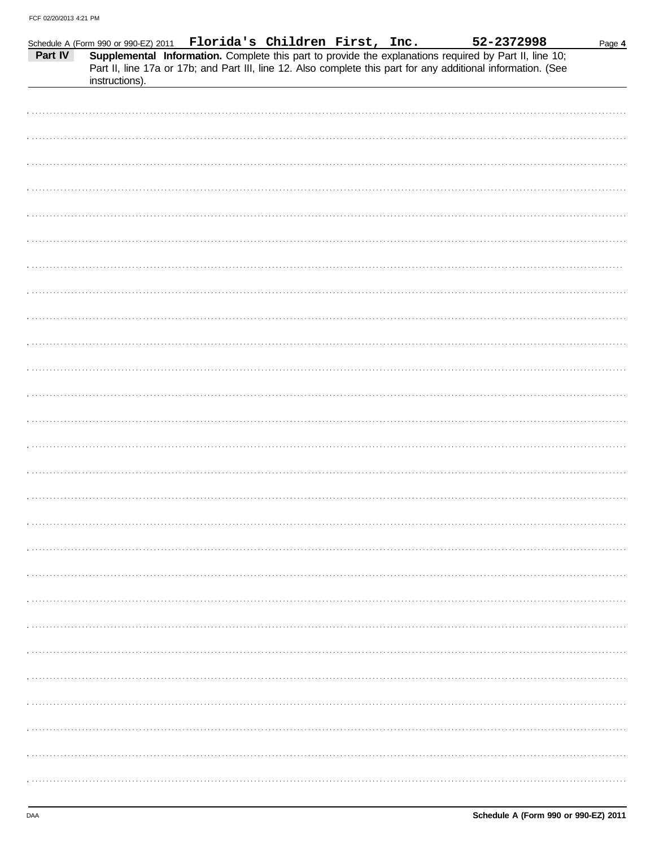| Part IV | Schedule A (Form 990 or 990-EZ) 2011  Florida's Children First, Inc.<br>instructions). |  | 52-2372998<br>Supplemental Information. Complete this part to provide the explanations required by Part II, line 10;<br>Part II, line 17a or 17b; and Part III, line 12. Also complete this part for any additional information. (See | Page 4 |
|---------|----------------------------------------------------------------------------------------|--|---------------------------------------------------------------------------------------------------------------------------------------------------------------------------------------------------------------------------------------|--------|
|         |                                                                                        |  |                                                                                                                                                                                                                                       |        |
|         |                                                                                        |  |                                                                                                                                                                                                                                       |        |
|         |                                                                                        |  |                                                                                                                                                                                                                                       |        |
|         |                                                                                        |  |                                                                                                                                                                                                                                       |        |
|         |                                                                                        |  |                                                                                                                                                                                                                                       |        |
|         |                                                                                        |  |                                                                                                                                                                                                                                       |        |
|         |                                                                                        |  |                                                                                                                                                                                                                                       |        |
|         |                                                                                        |  |                                                                                                                                                                                                                                       |        |
|         |                                                                                        |  |                                                                                                                                                                                                                                       |        |
|         |                                                                                        |  |                                                                                                                                                                                                                                       |        |
|         |                                                                                        |  |                                                                                                                                                                                                                                       |        |
|         |                                                                                        |  |                                                                                                                                                                                                                                       |        |
|         |                                                                                        |  |                                                                                                                                                                                                                                       |        |
|         |                                                                                        |  |                                                                                                                                                                                                                                       |        |
|         |                                                                                        |  |                                                                                                                                                                                                                                       |        |
|         |                                                                                        |  |                                                                                                                                                                                                                                       |        |
|         |                                                                                        |  |                                                                                                                                                                                                                                       |        |
|         |                                                                                        |  |                                                                                                                                                                                                                                       |        |
|         |                                                                                        |  |                                                                                                                                                                                                                                       |        |
|         |                                                                                        |  |                                                                                                                                                                                                                                       |        |
|         |                                                                                        |  |                                                                                                                                                                                                                                       |        |
|         |                                                                                        |  |                                                                                                                                                                                                                                       |        |
|         |                                                                                        |  |                                                                                                                                                                                                                                       |        |
|         |                                                                                        |  |                                                                                                                                                                                                                                       |        |
|         |                                                                                        |  |                                                                                                                                                                                                                                       |        |
|         |                                                                                        |  |                                                                                                                                                                                                                                       |        |
|         |                                                                                        |  |                                                                                                                                                                                                                                       |        |
|         |                                                                                        |  |                                                                                                                                                                                                                                       |        |
|         |                                                                                        |  |                                                                                                                                                                                                                                       |        |
|         |                                                                                        |  |                                                                                                                                                                                                                                       |        |
|         |                                                                                        |  |                                                                                                                                                                                                                                       |        |
|         |                                                                                        |  |                                                                                                                                                                                                                                       |        |
|         |                                                                                        |  |                                                                                                                                                                                                                                       |        |
|         |                                                                                        |  |                                                                                                                                                                                                                                       |        |
|         |                                                                                        |  |                                                                                                                                                                                                                                       |        |
|         |                                                                                        |  |                                                                                                                                                                                                                                       |        |
|         |                                                                                        |  |                                                                                                                                                                                                                                       |        |
|         |                                                                                        |  |                                                                                                                                                                                                                                       |        |
|         |                                                                                        |  |                                                                                                                                                                                                                                       |        |
|         |                                                                                        |  |                                                                                                                                                                                                                                       |        |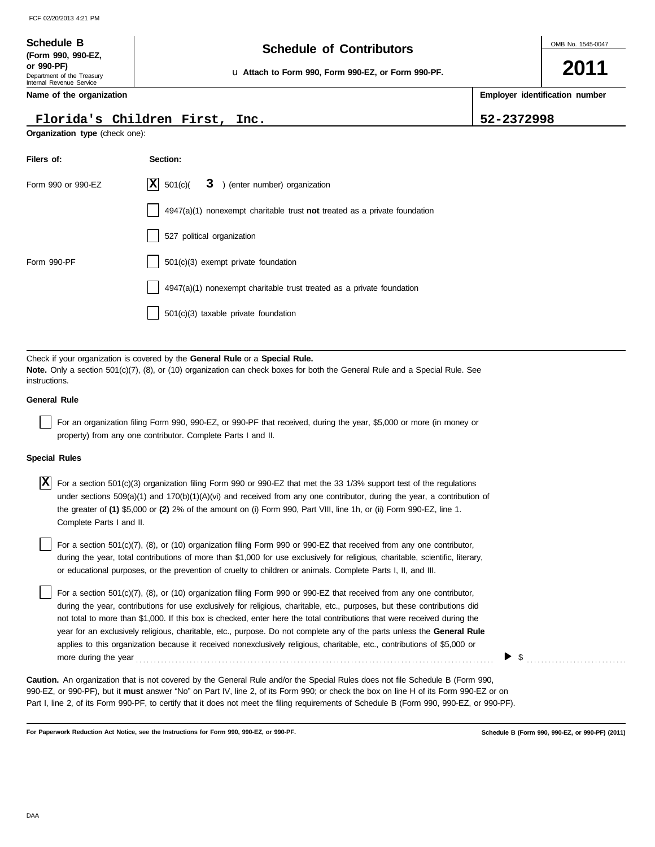### **Schedule of Contributors Schedule B**

u **Attach to Form 990, Form 990-EZ, or Form 990-PF.**

**2011**

**Employer identification number**

**Name of the organization**

Department of the Treasury Internal Revenue Service

**(Form 990, 990-EZ, or 990-PF)**

### **Florida's Children First, Inc. 52-2372998**

**Organization type** (check one):

| Filers of:         | Section:                                                                    |
|--------------------|-----------------------------------------------------------------------------|
| Form 990 or 990-EZ | $ \mathbf{X} $ 501(c)(<br>3 ) (enter number) organization                   |
|                    | $4947(a)(1)$ nonexempt charitable trust not treated as a private foundation |
|                    | 527 political organization                                                  |
| Form 990-PF        | $501(c)(3)$ exempt private foundation                                       |
|                    | 4947(a)(1) nonexempt charitable trust treated as a private foundation       |
|                    | $501(c)(3)$ taxable private foundation                                      |

Check if your organization is covered by the **General Rule** or a **Special Rule. Note.** Only a section 501(c)(7), (8), or (10) organization can check boxes for both the General Rule and a Special Rule. See instructions.

#### **General Rule**

For an organization filing Form 990, 990-EZ, or 990-PF that received, during the year, \$5,000 or more (in money or property) from any one contributor. Complete Parts I and II.

#### **Special Rules**

For a section 501(c)(3) organization filing Form 990 or 990-EZ that met the 33 1/3% support test of the regulations **X** under sections 509(a)(1) and 170(b)(1)(A)(vi) and received from any one contributor, during the year, a contribution of the greater of **(1)** \$5,000 or **(2)** 2% of the amount on (i) Form 990, Part VIII, line 1h, or (ii) Form 990-EZ, line 1. Complete Parts I and II.

or educational purposes, or the prevention of cruelty to children or animals. Complete Parts I, II, and III. For a section 501(c)(7), (8), or (10) organization filing Form 990 or 990-EZ that received from any one contributor, during the year, total contributions of more than \$1,000 for use exclusively for religious, charitable, scientific, literary,

For a section 501(c)(7), (8), or (10) organization filing Form 990 or 990-EZ that received from any one contributor, during the year, contributions for use exclusively for religious, charitable, etc., purposes, but these contributions did not total to more than \$1,000. If this box is checked, enter here the total contributions that were received during the year for an exclusively religious, charitable, etc., purpose. Do not complete any of the parts unless the **General Rule** applies to this organization because it received nonexclusively religious, charitable, etc., contributions of \$5,000 or more during the year . . . . . . . . . . . . . . . . . . . . . . . . . . . . . . . . . . . . . . . . . . . . . . . . . . . . . . . . . . . . . . . . . . . . . . . . . . . . . . . . . . . . . . . . . . . . . . . . . . . .

990-EZ, or 990-PF), but it **must** answer "No" on Part IV, line 2, of its Form 990; or check the box on line H of its Form 990-EZ or on Part I, line 2, of its Form 990-PF, to certify that it does not meet the filing requirements of Schedule B (Form 990, 990-EZ, or 990-PF). **Caution.** An organization that is not covered by the General Rule and/or the Special Rules does not file Schedule B (Form 990,

**For Paperwork Reduction Act Notice, see the Instructions for Form 990, 990-EZ, or 990-PF.**

**Schedule B (Form 990, 990-EZ, or 990-PF) (2011)**

 $\triangleright$  \$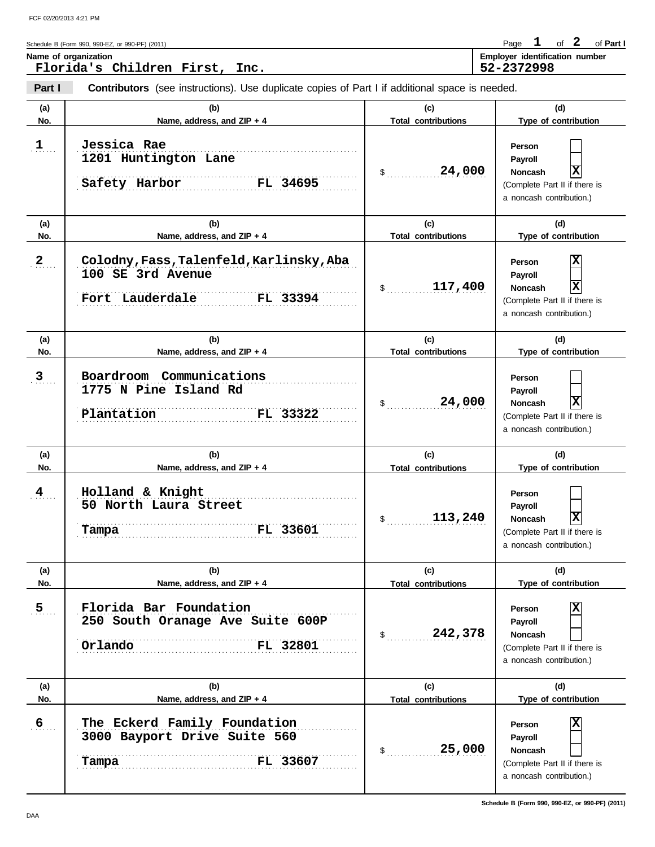Page 1 of 2 of Part I

| Schedule B (Form 990, 990-EZ, or 990-PF) (2011)   | Page                                         |  | of Part I |
|---------------------------------------------------|----------------------------------------------|--|-----------|
| Name of organization<br>Florida's Children First, | Employer identification number<br>52-2372998 |  |           |
| Inc.                                              |                                              |  |           |

**Part I Contributors** (see instructions). Use duplicate copies of Part I if additional space is needed.

| (a)            | (b)                                                                                          | (c)                               | (d)                                                                                                                              |
|----------------|----------------------------------------------------------------------------------------------|-----------------------------------|----------------------------------------------------------------------------------------------------------------------------------|
| No.            | Name, address, and ZIP + 4                                                                   | <b>Total contributions</b>        | Type of contribution                                                                                                             |
| 1              | Jessica Rae<br>1201 Huntington Lane<br>FL 34695<br>Safety Harbor                             | 24,000<br>\$                      | Person<br>Payroll<br>X<br><b>Noncash</b><br>(Complete Part II if there is<br>a noncash contribution.)                            |
| (a)<br>No.     | (b)<br>Name, address, and ZIP + 4                                                            | (c)<br><b>Total contributions</b> | (d)<br>Type of contribution                                                                                                      |
| $\mathbf{2}$   | Colodny, Fass, Talenfeld, Karlinsky, Aba<br>100 SE 3rd Avenue<br>Fort Lauderdale<br>FL 33394 | 117,400<br>\$                     | X<br>Person<br>Payroll<br>$\overline{\mathbf{x}}$<br><b>Noncash</b><br>(Complete Part II if there is<br>a noncash contribution.) |
| (a)<br>No.     | (b)<br>Name, address, and ZIP + 4                                                            | (c)<br><b>Total contributions</b> | (d)<br>Type of contribution                                                                                                      |
| $\overline{3}$ | Boardroom Communications<br>1775 N Pine Island Rd<br>FL 33322<br>Plantation                  | 24,000<br>\$                      | Person<br>Payroll<br>$\overline{\mathbf{x}}$<br><b>Noncash</b><br>(Complete Part II if there is<br>a noncash contribution.)      |
|                |                                                                                              |                                   |                                                                                                                                  |
| (a)<br>No.     | (b)<br>Name, address, and ZIP + 4                                                            | (c)<br><b>Total contributions</b> | (d)<br>Type of contribution                                                                                                      |
| 4              | Holland & Knight<br>50 North Laura Street<br>FL 33601<br>Tampa                               | 113,240<br>\$                     | Person<br>Payroll<br>$\mathbf x$<br><b>Noncash</b><br>(Complete Part II if there is<br>a noncash contribution.)                  |
| (a)<br>No.     | (b)<br>Name, address, and ZIP + 4                                                            | (c)<br><b>Total contributions</b> | (d)<br>Type of contribution                                                                                                      |
| $\overline{5}$ | Florida Bar Foundation<br>250 South Oranage Ave Suite 600P<br>FL 32801<br>Orlando            | 242,378<br>\$                     | x<br>Person<br>Payroll<br><b>Noncash</b><br>(Complete Part II if there is<br>a noncash contribution.)                            |
| (a)<br>No.     | (b)<br>Name, address, and ZIP + 4                                                            | (c)<br><b>Total contributions</b> | (d)<br>Type of contribution                                                                                                      |

**Schedule B (Form 990, 990-EZ, or 990-PF) (2011)**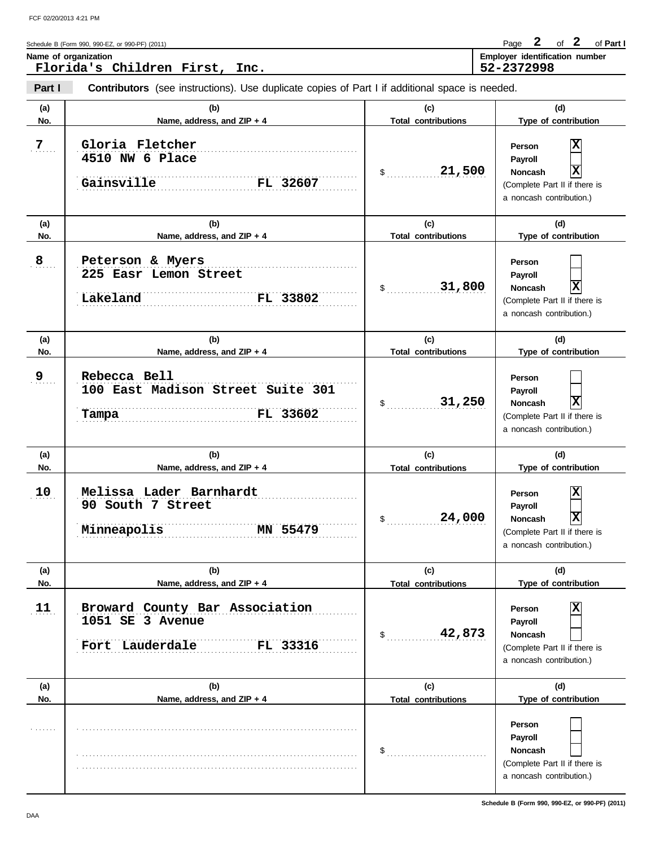| Schedule B (Form 990, 990-EZ, or 990-PF) (2011)        | Page                                                | of | of Part I |
|--------------------------------------------------------|-----------------------------------------------------|----|-----------|
| Name of organization<br>Florida's Children First, Inc. | <b>Employer identification number</b><br>52-2372998 |    |           |
|                                                        |                                                     |    |           |

**Part I Contributors** (see instructions). Use duplicate copies of Part I if additional space is needed.

| (a) | (b)                                                                               | (c)                        | (d)                                                                                                                         |
|-----|-----------------------------------------------------------------------------------|----------------------------|-----------------------------------------------------------------------------------------------------------------------------|
| No. | Name, address, and ZIP + 4                                                        | <b>Total contributions</b> | Type of contribution                                                                                                        |
| 7   | Gloria Fletcher<br>4510 NW 6 Place<br>Gainsville<br>FL 32607                      | 21,500<br>\$               | X<br>Person<br>Payroll<br>X<br><b>Noncash</b><br>(Complete Part II if there is<br>a noncash contribution.)                  |
| (a) | (b)                                                                               | (c)                        | (d)                                                                                                                         |
| No. | Name, address, and ZIP + 4                                                        | <b>Total contributions</b> | Type of contribution                                                                                                        |
| 8   | Peterson & Myers<br>225 Easr Lemon Street<br>FL 33802<br>Lakeland                 | 31,800<br>$\mathsf S$      | Person<br>Payroll<br>$\overline{\mathbf{x}}$<br><b>Noncash</b><br>(Complete Part II if there is<br>a noncash contribution.) |
| (a) | (b)                                                                               | (c)                        | (d)                                                                                                                         |
| No. | Name, address, and ZIP + 4                                                        | <b>Total contributions</b> | Type of contribution                                                                                                        |
| 9   | Rebecca Bell<br>100 East Madison Street Suite 301<br>FL 33602<br>Tampa            | 31,250<br>\$               | Person<br>Payroll<br>$\overline{\mathbf{x}}$<br><b>Noncash</b><br>(Complete Part II if there is<br>a noncash contribution.) |
| (a) | (b)                                                                               | (c)                        | (d)                                                                                                                         |
| No. | Name, address, and ZIP + 4                                                        | <b>Total contributions</b> | Type of contribution                                                                                                        |
| 10  | Melissa Lader Barnhardt<br>90 South 7 Street<br>MN 55479<br>Minneapolis           | 24,000<br>\$               | X<br>Person<br>Payroll<br>$\mathbf x$<br><b>Noncash</b><br>(Complete Part II if there is<br>a noncash contribution.)        |
| (a) | (b)                                                                               | (c)                        | (d)                                                                                                                         |
| No. | Name, address, and ZIP + 4                                                        | <b>Total contributions</b> | Type of contribution                                                                                                        |
| 11  | Broward County Bar Association<br>1051 SE 3 Avenue<br>Fort Lauderdale<br>FL 33316 | 42,873<br>\$               | X<br>Person<br><b>Payroll</b><br>Noncash<br>(Complete Part II if there is<br>a noncash contribution.)                       |
| (a) | (b)                                                                               | (c)                        | (d)                                                                                                                         |
| No. | Name, address, and ZIP + 4                                                        | <b>Total contributions</b> | Type of contribution                                                                                                        |
|     |                                                                                   | \$                         | Person<br><b>Payroll</b><br>Noncash<br>(Complete Part II if there is<br>a noncash contribution.)                            |

**Schedule B (Form 990, 990-EZ, or 990-PF) (2011)**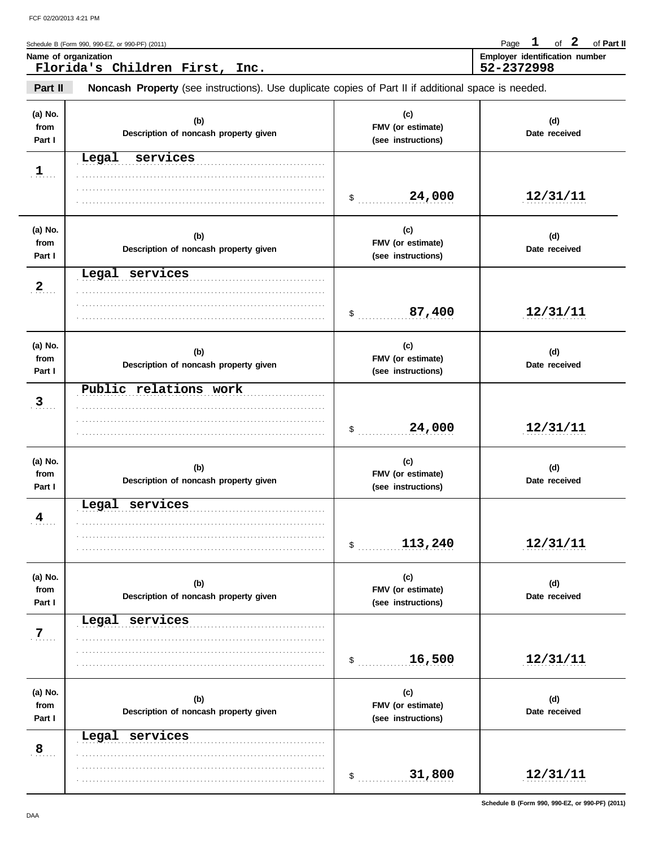Schedule B (Form 990, 990-EZ, or 990-PF) (2011) **Page 1 of 2 of Part II 1 2**

| Name of organization              | Employer identification number |
|-----------------------------------|--------------------------------|
| Florida's Children First,<br>Inc. | 52-2372998                     |
|                                   |                                |

**Part II Noncash Property** (see instructions). Use duplicate copies of Part II if additional space is needed.

| (a) No.<br>from<br>Part I | (b)<br>Description of noncash property given | (c)<br>FMV (or estimate)<br>(see instructions) | (d)<br>Date received |
|---------------------------|----------------------------------------------|------------------------------------------------|----------------------|
| $\mathbf{1}$              | Legal<br>services                            | 24,000<br>$\sim$                               | 12/31/11             |
| (a) No.<br>from<br>Part I | (b)<br>Description of noncash property given | (c)<br>FMV (or estimate)<br>(see instructions) | (d)<br>Date received |
| $\overline{2}$            | Legal services                               | 87,400<br>\$                                   | 12/31/11             |
| (a) No.<br>from<br>Part I | (b)<br>Description of noncash property given | (c)<br>FMV (or estimate)<br>(see instructions) | (d)<br>Date received |
| $\overline{3}$            | Public relations work                        | 24,000<br>\$                                   | 12/31/11             |
| (a) No.<br>from<br>Part I | (b)<br>Description of noncash property given | (c)<br>FMV (or estimate)<br>(see instructions) | (d)<br>Date received |
| 4                         | Legal services                               | 113,240<br>\$                                  | 12/31/11             |
| (a) No.<br>from<br>Part I | (b)<br>Description of noncash property given | (c)<br>FMV (or estimate)<br>(see instructions) | (d)<br>Date received |
| 7.                        | Legal<br>services                            | 16,500<br>$\mathsf{\$}$                        | 12/31/11             |
| (a) No.<br>from<br>Part I | (b)<br>Description of noncash property given | (c)<br>FMV (or estimate)<br>(see instructions) | (d)<br>Date received |
| $\overline{8}$            | Legal services                               | 31,800<br>$\mathsf{\$}$                        | 12/31/11             |

**Schedule B (Form 990, 990-EZ, or 990-PF) (2011)**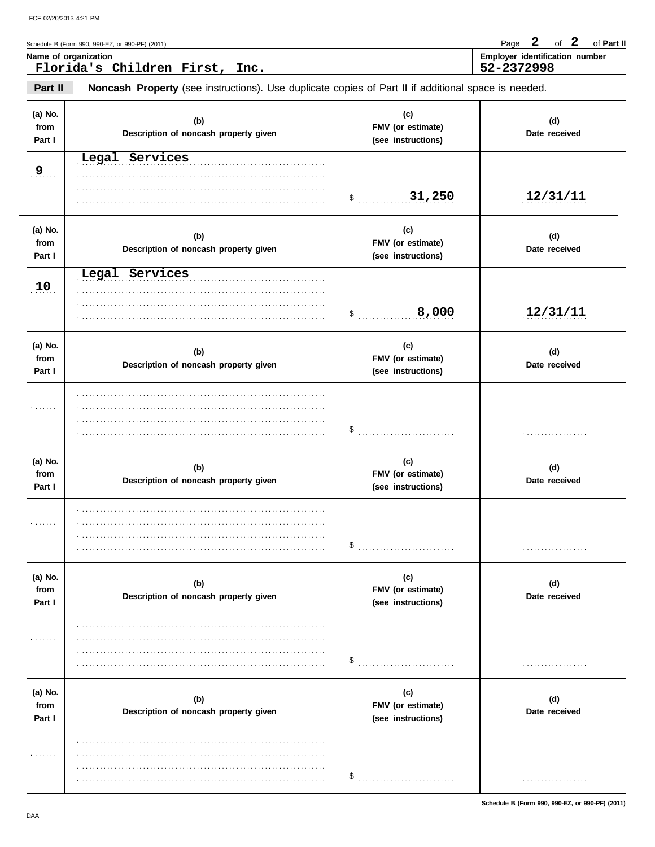Page 2 of 2 of Part II

|                           | Schedule B (Form 990, 990-EZ, or 990-PF) (2011)<br>Name of organization                             |                                                | $\boldsymbol{2}$<br>$\mathbf{2}$<br>of<br>of Part II<br>Page<br>Employer identification number |
|---------------------------|-----------------------------------------------------------------------------------------------------|------------------------------------------------|------------------------------------------------------------------------------------------------|
|                           | Florida's Children First, Inc.                                                                      |                                                | 52-2372998                                                                                     |
| Part II                   | Noncash Property (see instructions). Use duplicate copies of Part II if additional space is needed. |                                                |                                                                                                |
| (a) No.<br>from<br>Part I | (b)<br>Description of noncash property given                                                        | (c)<br>FMV (or estimate)<br>(see instructions) | (d)<br>Date received                                                                           |
| 9 <sub></sub>             | Legal Services                                                                                      |                                                |                                                                                                |
|                           |                                                                                                     | \$31,250                                       | 12/31/11                                                                                       |
| (a) No.<br>from<br>Part I | (b)<br>Description of noncash property given                                                        | (c)<br>FMV (or estimate)<br>(see instructions) | (d)<br>Date received                                                                           |
| 10                        | Legal Services                                                                                      | 8,000<br>$\sim$                                | 12/31/11                                                                                       |
| (a) No.<br>from<br>Part I | (b)<br>Description of noncash property given                                                        | (c)<br>FMV (or estimate)<br>(see instructions) | (d)<br>Date received                                                                           |
| .                         |                                                                                                     | \$                                             |                                                                                                |
| (a) No.<br>from<br>Part I | (b)<br>Description of noncash property given                                                        | (c)<br>FMV (or estimate)<br>(see instructions) | (d)<br>Date received                                                                           |
|                           |                                                                                                     | \$                                             |                                                                                                |
| (a) No.<br>from<br>Part I | (b)<br>Description of noncash property given                                                        | (c)<br>FMV (or estimate)<br>(see instructions) | (d)<br>Date received                                                                           |
| .                         |                                                                                                     | \$                                             |                                                                                                |
| (a) No.<br>from<br>Part I | (b)<br>Description of noncash property given                                                        | (c)<br>FMV (or estimate)<br>(see instructions) | (d)<br>Date received                                                                           |
| .                         |                                                                                                     |                                                |                                                                                                |

 $\frac{1}{2}$ 

. . . . . . . . . . . . . . . . . .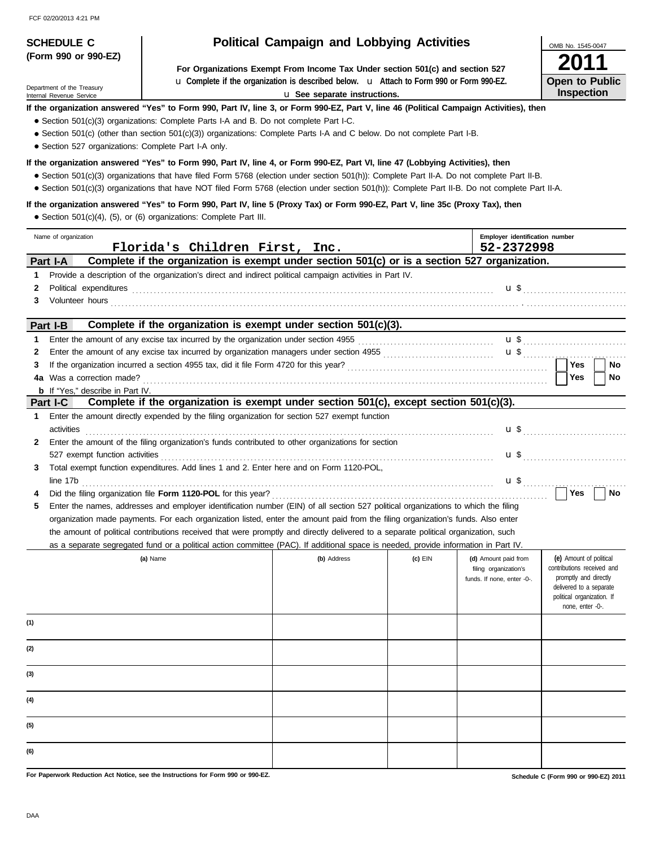**(Form 990 or 990-EZ)**

Internal Revenue Service Department of the Treasury

### **SCHEDULE C Political Campaign and Lobbying Activities**

**For Organizations Exempt From Income Tax Under section 501(c) and section 527** u **Complete if the organization is described below.** u **Attach to Form 990 or Form 990-EZ.**

u **See separate instructions.**

### **If the organization answered "Yes" to Form 990, Part IV, line 3, or Form 990-EZ, Part V, line 46 (Political Campaign Activities), then**

- Section 501(c)(3) organizations: Complete Parts I-A and B. Do not complete Part I-C.
- Section 501(c) (other than section 501(c)(3)) organizations: Complete Parts I-A and C below. Do not complete Part I-B.
- Section 527 organizations: Complete Part I-A only.

#### **If the organization answered "Yes" to Form 990, Part IV, line 4, or Form 990-EZ, Part VI, line 47 (Lobbying Activities), then**

- Section 501(c)(3) organizations that have filed Form 5768 (election under section 501(h)): Complete Part II-A. Do not complete Part II-B.
- Section 501(c)(3) organizations that have NOT filed Form 5768 (election under section 501(h)): Complete Part II-B. Do not complete Part II-A.

#### **If the organization answered "Yes" to Form 990, Part IV, line 5 (Proxy Tax) or Form 990-EZ, Part V, line 35c (Proxy Tax), then**

● Section 501(c)(4), (5), or (6) organizations: Complete Part III.

|                        | Name of organization<br>Florida's Children First, Inc.                                                                                                                                                                                                                                                                                                                                                                                                                                                                                                                              |             |         | Employer identification number<br>52-2372998                                |                                                                                                                                                             |
|------------------------|-------------------------------------------------------------------------------------------------------------------------------------------------------------------------------------------------------------------------------------------------------------------------------------------------------------------------------------------------------------------------------------------------------------------------------------------------------------------------------------------------------------------------------------------------------------------------------------|-------------|---------|-----------------------------------------------------------------------------|-------------------------------------------------------------------------------------------------------------------------------------------------------------|
|                        | Complete if the organization is exempt under section 501(c) or is a section 527 organization.<br>Part I-A                                                                                                                                                                                                                                                                                                                                                                                                                                                                           |             |         |                                                                             |                                                                                                                                                             |
| 1<br>$\mathbf{2}$<br>3 | Provide a description of the organization's direct and indirect political campaign activities in Part IV.<br>Political expenditures example and contact the control of the control of the contact of the contact of the contact of the contact of the contact of the contact of the contact of the contact of the contact of the contact of<br>Volunteer hours <b>contract to the contract of the contract of the contract of the contract of the contract of the contract of the contract of the contract of the contract of the contract of the contract of the contract of t</b> |             |         |                                                                             |                                                                                                                                                             |
|                        | Complete if the organization is exempt under section 501(c)(3).<br>Part I-B                                                                                                                                                                                                                                                                                                                                                                                                                                                                                                         |             |         |                                                                             |                                                                                                                                                             |
| 1                      |                                                                                                                                                                                                                                                                                                                                                                                                                                                                                                                                                                                     |             |         |                                                                             |                                                                                                                                                             |
| 2                      |                                                                                                                                                                                                                                                                                                                                                                                                                                                                                                                                                                                     |             |         |                                                                             |                                                                                                                                                             |
| 3                      |                                                                                                                                                                                                                                                                                                                                                                                                                                                                                                                                                                                     |             |         |                                                                             | <b>Yes</b><br>No                                                                                                                                            |
|                        | 4a Was a correction made?                                                                                                                                                                                                                                                                                                                                                                                                                                                                                                                                                           |             |         |                                                                             | Yes<br>No                                                                                                                                                   |
|                        | <b>b</b> If "Yes," describe in Part IV.<br>Complete if the organization is exempt under section 501(c), except section 501(c)(3).                                                                                                                                                                                                                                                                                                                                                                                                                                                   |             |         |                                                                             |                                                                                                                                                             |
| 1.                     | <b>Part I-C</b><br>Enter the amount directly expended by the filing organization for section 527 exempt function                                                                                                                                                                                                                                                                                                                                                                                                                                                                    |             |         |                                                                             |                                                                                                                                                             |
|                        | activities                                                                                                                                                                                                                                                                                                                                                                                                                                                                                                                                                                          |             |         |                                                                             | $\mathbf{u}$ \$                                                                                                                                             |
| $\mathbf{2}$           | Enter the amount of the filing organization's funds contributed to other organizations for section                                                                                                                                                                                                                                                                                                                                                                                                                                                                                  |             |         |                                                                             |                                                                                                                                                             |
|                        |                                                                                                                                                                                                                                                                                                                                                                                                                                                                                                                                                                                     |             |         |                                                                             | $\mathbf{u}$ \$                                                                                                                                             |
| 3                      | Total exempt function expenditures. Add lines 1 and 2. Enter here and on Form 1120-POL,                                                                                                                                                                                                                                                                                                                                                                                                                                                                                             |             |         |                                                                             |                                                                                                                                                             |
|                        |                                                                                                                                                                                                                                                                                                                                                                                                                                                                                                                                                                                     |             |         |                                                                             |                                                                                                                                                             |
| 4                      |                                                                                                                                                                                                                                                                                                                                                                                                                                                                                                                                                                                     |             |         |                                                                             | ∣ Yes<br>No                                                                                                                                                 |
| 5                      | Enter the names, addresses and employer identification number (EIN) of all section 527 political organizations to which the filing                                                                                                                                                                                                                                                                                                                                                                                                                                                  |             |         |                                                                             |                                                                                                                                                             |
|                        | organization made payments. For each organization listed, enter the amount paid from the filing organization's funds. Also enter                                                                                                                                                                                                                                                                                                                                                                                                                                                    |             |         |                                                                             |                                                                                                                                                             |
|                        | the amount of political contributions received that were promptly and directly delivered to a separate political organization, such                                                                                                                                                                                                                                                                                                                                                                                                                                                 |             |         |                                                                             |                                                                                                                                                             |
|                        | as a separate segregated fund or a political action committee (PAC). If additional space is needed, provide information in Part IV.                                                                                                                                                                                                                                                                                                                                                                                                                                                 |             |         |                                                                             |                                                                                                                                                             |
|                        | (a) Name                                                                                                                                                                                                                                                                                                                                                                                                                                                                                                                                                                            | (b) Address | (c) EIN | (d) Amount paid from<br>filing organization's<br>funds. If none, enter -0-. | (e) Amount of political<br>contributions received and<br>promptly and directly<br>delivered to a separate<br>political organization. If<br>none, enter -0-. |
| (1)                    |                                                                                                                                                                                                                                                                                                                                                                                                                                                                                                                                                                                     |             |         |                                                                             |                                                                                                                                                             |
| (2)                    |                                                                                                                                                                                                                                                                                                                                                                                                                                                                                                                                                                                     |             |         |                                                                             |                                                                                                                                                             |
| (3)                    |                                                                                                                                                                                                                                                                                                                                                                                                                                                                                                                                                                                     |             |         |                                                                             |                                                                                                                                                             |
| (4)                    |                                                                                                                                                                                                                                                                                                                                                                                                                                                                                                                                                                                     |             |         |                                                                             |                                                                                                                                                             |
| (5)                    |                                                                                                                                                                                                                                                                                                                                                                                                                                                                                                                                                                                     |             |         |                                                                             |                                                                                                                                                             |
| (6)                    |                                                                                                                                                                                                                                                                                                                                                                                                                                                                                                                                                                                     |             |         |                                                                             |                                                                                                                                                             |

**For Paperwork Reduction Act Notice, see the Instructions for Form 990 or 990-EZ.**

OMB No. 1545-0047 **2011 Open to Public Inspection**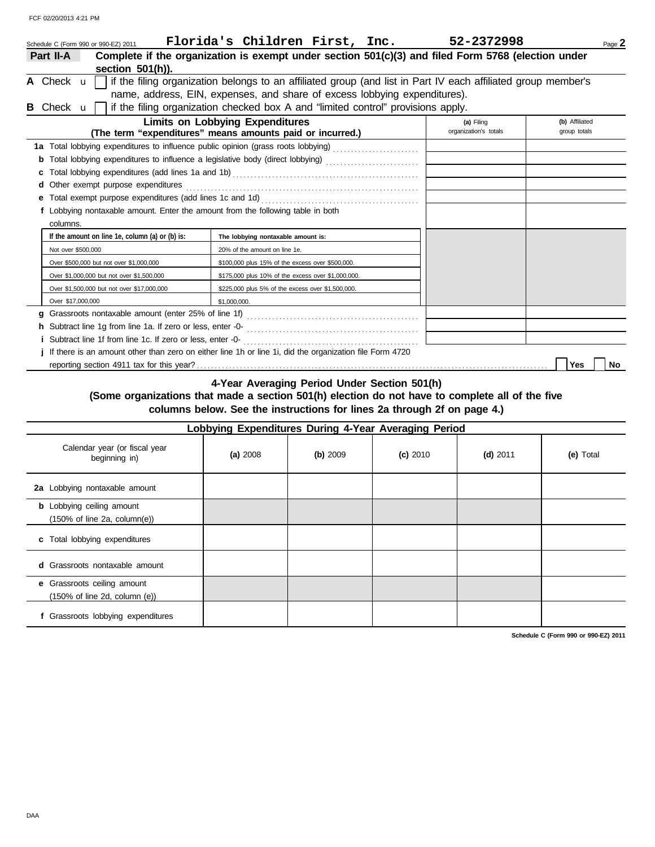|                           | Schedule C (Form 990 or 990-EZ) 2011            | Florida's Children First, Inc.                                                                                 |  | 52-2372998                                                                                                    | Page 2         |
|---------------------------|-------------------------------------------------|----------------------------------------------------------------------------------------------------------------|--|---------------------------------------------------------------------------------------------------------------|----------------|
| Part II-A                 |                                                 |                                                                                                                |  | Complete if the organization is exempt under section 501(c)(3) and filed Form 5768 (election under            |                |
|                           | section $501(h)$ ).                             |                                                                                                                |  |                                                                                                               |                |
| A Check u                 |                                                 |                                                                                                                |  | if the filing organization belongs to an affiliated group (and list in Part IV each affiliated group member's |                |
|                           |                                                 | name, address, EIN, expenses, and share of excess lobbying expenditures).                                      |  |                                                                                                               |                |
| <b>B</b> Check <b>u</b> l |                                                 | if the filing organization checked box A and "limited control" provisions apply.                               |  |                                                                                                               |                |
|                           |                                                 | <b>Limits on Lobbying Expenditures</b>                                                                         |  | (a) Filing                                                                                                    | (b) Affiliated |
|                           |                                                 | (The term "expenditures" means amounts paid or incurred.)                                                      |  | organization's totals                                                                                         | group totals   |
|                           |                                                 | 1a Total lobbying expenditures to influence public opinion (grass roots lobbying)                              |  |                                                                                                               |                |
|                           |                                                 | Total lobbying expenditures to influence a legislative body (direct lobbying) [[[[[[[[[[[[[[[[[[[[[[[[[[[[[[]] |  |                                                                                                               |                |
|                           |                                                 |                                                                                                                |  |                                                                                                               |                |
| d                         | Other exempt purpose expenditures               |                                                                                                                |  |                                                                                                               |                |
|                           |                                                 |                                                                                                                |  |                                                                                                               |                |
|                           |                                                 | f Lobbying nontaxable amount. Enter the amount from the following table in both                                |  |                                                                                                               |                |
| columns.                  |                                                 |                                                                                                                |  |                                                                                                               |                |
|                           | If the amount on line 1e, column (a) or (b) is: | The lobbying nontaxable amount is:                                                                             |  |                                                                                                               |                |
|                           | Not over \$500,000                              | 20% of the amount on line 1e.                                                                                  |  |                                                                                                               |                |
|                           | Over \$500,000 but not over \$1,000,000         | \$100,000 plus 15% of the excess over \$500,000.                                                               |  |                                                                                                               |                |
|                           | Over \$1,000,000 but not over \$1,500,000       | \$175,000 plus 10% of the excess over \$1,000,000.                                                             |  |                                                                                                               |                |
|                           | Over \$1,500,000 but not over \$17,000,000      | \$225,000 plus 5% of the excess over \$1,500,000.                                                              |  |                                                                                                               |                |
|                           | Over \$17,000,000                               | \$1,000,000.                                                                                                   |  |                                                                                                               |                |
| a                         |                                                 |                                                                                                                |  |                                                                                                               |                |
|                           |                                                 |                                                                                                                |  |                                                                                                               |                |
|                           |                                                 |                                                                                                                |  |                                                                                                               |                |
|                           |                                                 | If there is an amount other than zero on either line 1h or line 1i, did the organization file Form 4720        |  |                                                                                                               |                |
|                           |                                                 |                                                                                                                |  |                                                                                                               | Yes<br>No      |

**4-Year Averaging Period Under Section 501(h)**

### **(Some organizations that made a section 501(h) election do not have to complete all of the five columns below. See the instructions for lines 2a through 2f on page 4.)**

| Lobbying Expenditures During 4-Year Averaging Period                                 |          |          |            |            |           |  |
|--------------------------------------------------------------------------------------|----------|----------|------------|------------|-----------|--|
| Calendar year (or fiscal year<br>beginning in)                                       | (a) 2008 | (b) 2009 | $(c)$ 2010 | $(d)$ 2011 | (e) Total |  |
| 2a Lobbying nontaxable amount                                                        |          |          |            |            |           |  |
| <b>b</b> Lobbying ceiling amount<br>$(150\% \text{ of line } 2a, \text{ column}(e))$ |          |          |            |            |           |  |
| c Total lobbying expenditures                                                        |          |          |            |            |           |  |
| <b>d</b> Grassroots nontaxable amount                                                |          |          |            |            |           |  |
| e Grassroots ceiling amount<br>$(150\% \text{ of line } 2d, \text{ column } (e))$    |          |          |            |            |           |  |
| f Grassroots lobbying expenditures                                                   |          |          |            |            |           |  |

**Schedule C (Form 990 or 990-EZ) 2011**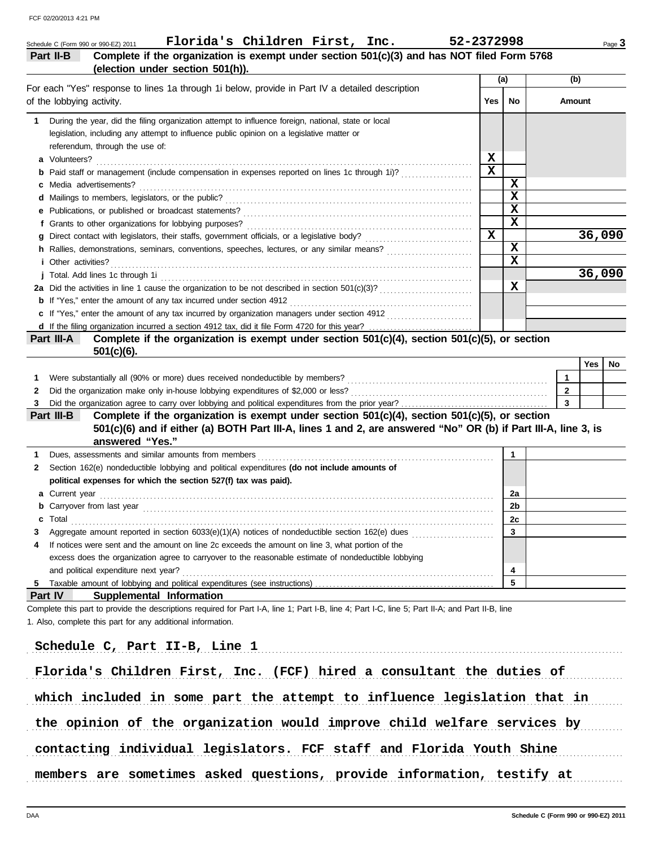| Complete if the organization is exempt under section 501(c)(3) and has NOT filed Form 5768<br>Part II-B                                                                                                                                  |                         |                         |                         | Page 3 |
|------------------------------------------------------------------------------------------------------------------------------------------------------------------------------------------------------------------------------------------|-------------------------|-------------------------|-------------------------|--------|
| (election under section 501(h)).                                                                                                                                                                                                         | (a)                     |                         | (b)                     |        |
| For each "Yes" response to lines 1a through 1i below, provide in Part IV a detailed description<br>of the lobbying activity.                                                                                                             | <b>Yes</b>              | <b>No</b>               | Amount                  |        |
| During the year, did the filing organization attempt to influence foreign, national, state or local<br>1<br>legislation, including any attempt to influence public opinion on a legislative matter or<br>referendum, through the use of: |                         |                         |                         |        |
|                                                                                                                                                                                                                                          | x                       |                         |                         |        |
| <b>b</b> Paid staff or management (include compensation in expenses reported on lines 1c through 1i)?                                                                                                                                    | $\overline{\mathbf{x}}$ |                         |                         |        |
|                                                                                                                                                                                                                                          |                         | X                       |                         |        |
|                                                                                                                                                                                                                                          |                         | $\overline{\mathbf{x}}$ |                         |        |
|                                                                                                                                                                                                                                          |                         | $\mathbf x$             |                         |        |
|                                                                                                                                                                                                                                          | $\mathbf{x}$            | $\overline{\mathbf{x}}$ |                         |        |
|                                                                                                                                                                                                                                          |                         | $\mathbf x$             |                         | 36,090 |
| h Rallies, demonstrations, seminars, conventions, speeches, lectures, or any similar means?                                                                                                                                              |                         | $\overline{\mathbf{x}}$ |                         |        |
| <i>i</i> Other activities?                                                                                                                                                                                                               |                         |                         |                         | 36,090 |
| 2a Did the activities in line 1 cause the organization to be not described in section $501(c)(3)$ ?                                                                                                                                      |                         | х                       |                         |        |
|                                                                                                                                                                                                                                          |                         |                         |                         |        |
| c If "Yes," enter the amount of any tax incurred by organization managers under section 4912                                                                                                                                             |                         |                         |                         |        |
|                                                                                                                                                                                                                                          |                         |                         |                         |        |
| Complete if the organization is exempt under section 501(c)(4), section 501(c)(5), or section<br>Part III-A<br>$501(c)(6)$ .                                                                                                             |                         |                         |                         |        |
|                                                                                                                                                                                                                                          |                         |                         | Yes                     | No     |
| 1                                                                                                                                                                                                                                        |                         |                         | $\mathbf{1}$            |        |
| 2                                                                                                                                                                                                                                        |                         |                         | $\overline{2}$          |        |
|                                                                                                                                                                                                                                          |                         |                         | $\overline{\mathbf{3}}$ |        |
| Complete if the organization is exempt under section $501(c)(4)$ , section $501(c)(5)$ , or section<br>Part III-B                                                                                                                        |                         |                         |                         |        |
| 501(c)(6) and if either (a) BOTH Part III-A, lines 1 and 2, are answered "No" OR (b) if Part III-A, line 3, is<br>answered "Yes."                                                                                                        |                         |                         |                         |        |
| 1                                                                                                                                                                                                                                        |                         | $\mathbf{1}$            |                         |        |
| Section 162(e) nondeductible lobbying and political expenditures (do not include amounts of<br>2                                                                                                                                         |                         |                         |                         |        |
| political expenses for which the section 527(f) tax was paid).                                                                                                                                                                           |                         |                         |                         |        |
|                                                                                                                                                                                                                                          |                         | 2a                      |                         |        |
|                                                                                                                                                                                                                                          |                         | 2b                      |                         |        |
| Total<br>c                                                                                                                                                                                                                               |                         | 2c                      |                         |        |
| 3                                                                                                                                                                                                                                        |                         | $\mathbf{3}$            |                         |        |
| If notices were sent and the amount on line 2c exceeds the amount on line 3, what portion of the<br>4                                                                                                                                    |                         |                         |                         |        |
| excess does the organization agree to carryover to the reasonable estimate of nondeductible lobbying                                                                                                                                     |                         |                         |                         |        |
| and political expenditure next year?                                                                                                                                                                                                     |                         | 4                       |                         |        |
| 5                                                                                                                                                                                                                                        |                         | 5                       |                         |        |
| <b>Part IV</b><br>Supplemental Information                                                                                                                                                                                               |                         |                         |                         |        |
| Complete this part to provide the descriptions required for Part I-A, line 1; Part I-B, line 4; Part I-C, line 5; Part II-A; and Part II-B, line<br>1. Also, complete this part for any additional information.                          |                         |                         |                         |        |
| Schedule C, Part II-B, Line 1                                                                                                                                                                                                            |                         |                         |                         |        |
|                                                                                                                                                                                                                                          |                         |                         |                         |        |

the opinion of the organization would improve child welfare services by

contacting individual legislators. FCF staff and Florida Youth Shine

members are sometimes asked questions, provide information, testify at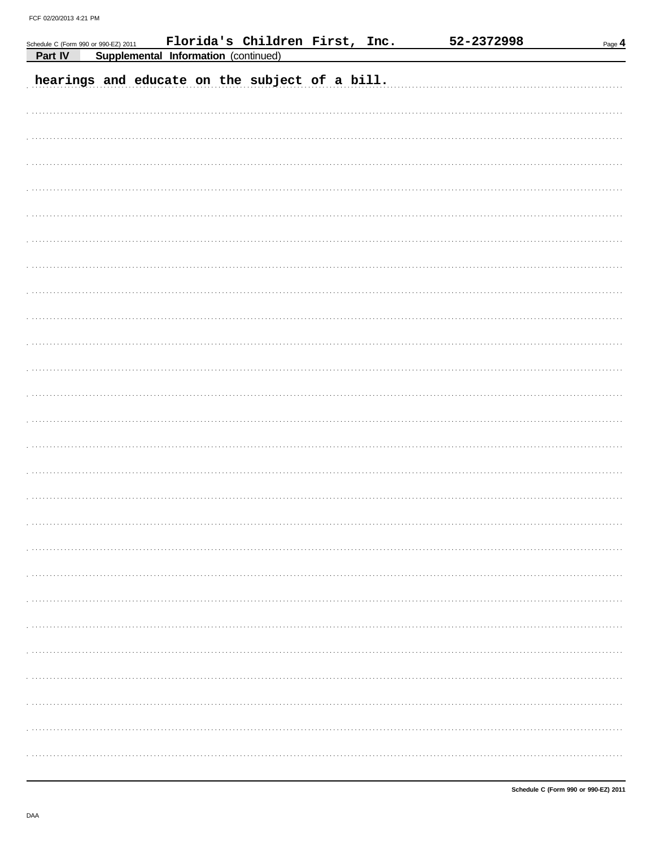|         | Schedule C (Form 990 or 990-EZ) 2011 |                                      | Florida's Children First, Inc.                 |  | 52-2372998 | $Page$ <sup>4</sup> |
|---------|--------------------------------------|--------------------------------------|------------------------------------------------|--|------------|---------------------|
| Part IV |                                      | Supplemental Information (continued) |                                                |  |            |                     |
|         |                                      |                                      | hearings and educate on the subject of a bill. |  |            |                     |
|         |                                      |                                      |                                                |  |            |                     |
|         |                                      |                                      |                                                |  |            |                     |
|         |                                      |                                      |                                                |  |            |                     |
|         |                                      |                                      |                                                |  |            |                     |
|         |                                      |                                      |                                                |  |            |                     |
|         |                                      |                                      |                                                |  |            |                     |
|         |                                      |                                      |                                                |  |            |                     |
|         |                                      |                                      |                                                |  |            |                     |
|         |                                      |                                      |                                                |  |            |                     |
|         |                                      |                                      |                                                |  |            |                     |
|         |                                      |                                      |                                                |  |            |                     |
|         |                                      |                                      |                                                |  |            |                     |
|         |                                      |                                      |                                                |  |            |                     |
|         |                                      |                                      |                                                |  |            |                     |
|         |                                      |                                      |                                                |  |            |                     |
|         |                                      |                                      |                                                |  |            |                     |
|         |                                      |                                      |                                                |  |            |                     |
|         |                                      |                                      |                                                |  |            |                     |
|         |                                      |                                      |                                                |  |            |                     |
|         |                                      |                                      |                                                |  |            |                     |
|         |                                      |                                      |                                                |  |            |                     |
|         |                                      |                                      |                                                |  |            |                     |
|         |                                      |                                      |                                                |  |            |                     |
|         |                                      |                                      |                                                |  |            |                     |
|         |                                      |                                      |                                                |  |            |                     |
|         |                                      |                                      |                                                |  |            |                     |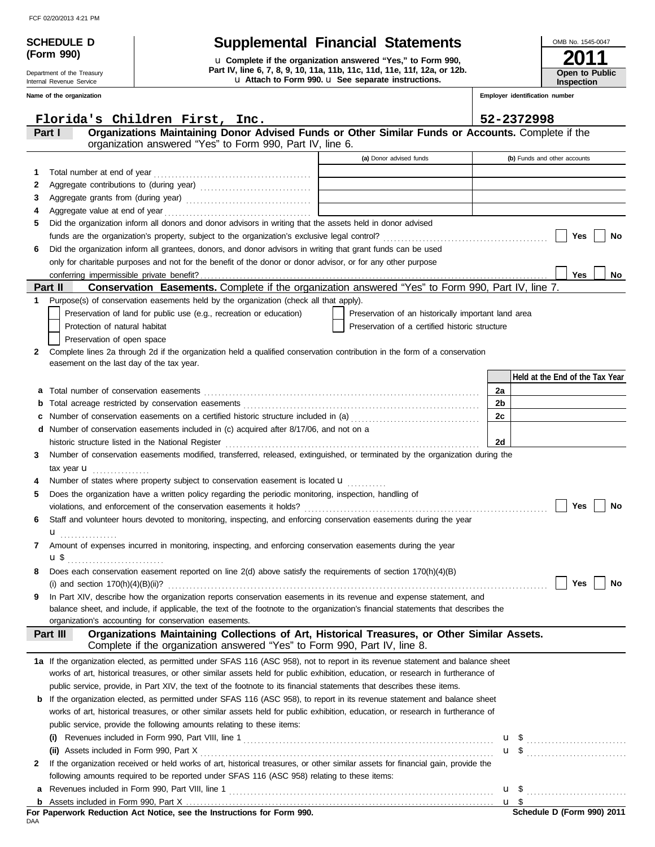Department of the Treasury Internal Revenue Service **Name of the organization**

**(Form 990)**

## **SCHEDULE D Supplemental Financial Statements**

u **Attach to Form 990.** u **See separate instructions. Part IV, line 6, 7, 8, 9, 10, 11a, 11b, 11c, 11d, 11e, 11f, 12a, or 12b.** u **Complete if the organization answered "Yes," to Form 990,**

| OMB No. 1545-0047            |
|------------------------------|
| 2011                         |
| Open to Public<br>Inspection |

**Employer identification number**

|    | Florida's Children First, Inc.                                                                                                                                           |                                                     | 52-2372998 |                                 |  |
|----|--------------------------------------------------------------------------------------------------------------------------------------------------------------------------|-----------------------------------------------------|------------|---------------------------------|--|
|    | Organizations Maintaining Donor Advised Funds or Other Similar Funds or Accounts. Complete if the<br>Part I<br>organization answered "Yes" to Form 990, Part IV, line 6. |                                                     |            |                                 |  |
|    |                                                                                                                                                                          | (a) Donor advised funds                             |            | (b) Funds and other accounts    |  |
| 1. | Total number at end of year                                                                                                                                              |                                                     |            |                                 |  |
| 2  |                                                                                                                                                                          |                                                     |            |                                 |  |
| 3  |                                                                                                                                                                          |                                                     |            |                                 |  |
| 4  |                                                                                                                                                                          |                                                     |            |                                 |  |
| 5  | Did the organization inform all donors and donor advisors in writing that the assets held in donor advised                                                               |                                                     |            |                                 |  |
|    |                                                                                                                                                                          |                                                     |            | Yes<br>No                       |  |
| 6  | Did the organization inform all grantees, donors, and donor advisors in writing that grant funds can be used                                                             |                                                     |            |                                 |  |
|    | only for charitable purposes and not for the benefit of the donor or donor advisor, or for any other purpose                                                             |                                                     |            |                                 |  |
|    | Conservation Easements. Complete if the organization answered "Yes" to Form 990, Part IV, line 7.<br>Part II                                                             |                                                     |            | Yes<br>No                       |  |
| 1  | Purpose(s) of conservation easements held by the organization (check all that apply).                                                                                    |                                                     |            |                                 |  |
|    | Preservation of land for public use (e.g., recreation or education)                                                                                                      | Preservation of an historically important land area |            |                                 |  |
|    | Protection of natural habitat                                                                                                                                            | Preservation of a certified historic structure      |            |                                 |  |
|    | Preservation of open space                                                                                                                                               |                                                     |            |                                 |  |
| 2  | Complete lines 2a through 2d if the organization held a qualified conservation contribution in the form of a conservation                                                |                                                     |            |                                 |  |
|    | easement on the last day of the tax year.                                                                                                                                |                                                     |            |                                 |  |
|    |                                                                                                                                                                          |                                                     |            | Held at the End of the Tax Year |  |
| а  |                                                                                                                                                                          |                                                     | 2a         |                                 |  |
| b  |                                                                                                                                                                          |                                                     | 2b         |                                 |  |
| с  |                                                                                                                                                                          |                                                     | 2c         |                                 |  |
| d  | Number of conservation easements included in (c) acquired after 8/17/06, and not on a                                                                                    |                                                     |            |                                 |  |
|    | historic structure listed in the National Register                                                                                                                       |                                                     | 2d         |                                 |  |
| 3  | Number of conservation easements modified, transferred, released, extinguished, or terminated by the organization during the                                             |                                                     |            |                                 |  |
|    | tax year $\mathbf u$                                                                                                                                                     |                                                     |            |                                 |  |
|    | Number of states where property subject to conservation easement is located <b>u</b>                                                                                     |                                                     |            |                                 |  |
| 5  | Does the organization have a written policy regarding the periodic monitoring, inspection, handling of                                                                   |                                                     |            |                                 |  |
|    | violations, and enforcement of the conservation easements it holds?                                                                                                      |                                                     |            | Yes<br><b>No</b>                |  |
| 6  | Staff and volunteer hours devoted to monitoring, inspecting, and enforcing conservation easements during the year                                                        |                                                     |            |                                 |  |
|    | u <sub></sub>                                                                                                                                                            |                                                     |            |                                 |  |
| 7  | Amount of expenses incurred in monitoring, inspecting, and enforcing conservation easements during the year                                                              |                                                     |            |                                 |  |
|    | ս \$                                                                                                                                                                     |                                                     |            |                                 |  |
|    | Does each conservation easement reported on line 2(d) above satisfy the requirements of section 170(h)(4)(B)                                                             |                                                     |            | Yes<br>No                       |  |
| 9  | (i) and section $170(h)(4)(B)(ii)?$<br>In Part XIV, describe how the organization reports conservation easements in its revenue and expense statement, and               |                                                     |            |                                 |  |
|    | balance sheet, and include, if applicable, the text of the footnote to the organization's financial statements that describes the                                        |                                                     |            |                                 |  |
|    | organization's accounting for conservation easements.                                                                                                                    |                                                     |            |                                 |  |
|    | Organizations Maintaining Collections of Art, Historical Treasures, or Other Similar Assets.<br>Part III                                                                 |                                                     |            |                                 |  |
|    | Complete if the organization answered "Yes" to Form 990, Part IV, line 8.                                                                                                |                                                     |            |                                 |  |
|    | 1a If the organization elected, as permitted under SFAS 116 (ASC 958), not to report in its revenue statement and balance sheet                                          |                                                     |            |                                 |  |
|    | works of art, historical treasures, or other similar assets held for public exhibition, education, or research in furtherance of                                         |                                                     |            |                                 |  |
|    | public service, provide, in Part XIV, the text of the footnote to its financial statements that describes these items.                                                   |                                                     |            |                                 |  |
| b  | If the organization elected, as permitted under SFAS 116 (ASC 958), to report in its revenue statement and balance sheet                                                 |                                                     |            |                                 |  |
|    | works of art, historical treasures, or other similar assets held for public exhibition, education, or research in furtherance of                                         |                                                     |            |                                 |  |
|    | public service, provide the following amounts relating to these items:                                                                                                   |                                                     |            |                                 |  |
|    |                                                                                                                                                                          |                                                     |            | $\mathbf{u}$ \$                 |  |
|    |                                                                                                                                                                          |                                                     |            |                                 |  |
| 2  | If the organization received or held works of art, historical treasures, or other similar assets for financial gain, provide the                                         |                                                     |            |                                 |  |
|    | following amounts required to be reported under SFAS 116 (ASC 958) relating to these items:                                                                              |                                                     |            |                                 |  |
| а  |                                                                                                                                                                          |                                                     |            | $\mathbf{u}$ \$                 |  |
| b  |                                                                                                                                                                          |                                                     |            | u \$                            |  |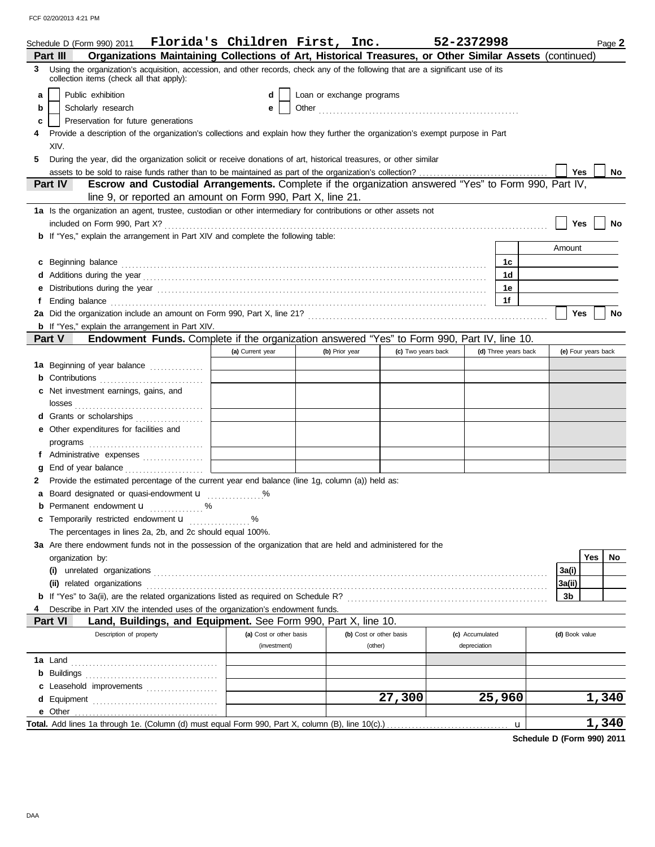|    | Schedule D (Form 990) 2011 Florida's Children First, Inc.                                                                                                                                                                            |                                         |                                    |                    | 52-2372998                      |                      | Page 2              |
|----|--------------------------------------------------------------------------------------------------------------------------------------------------------------------------------------------------------------------------------------|-----------------------------------------|------------------------------------|--------------------|---------------------------------|----------------------|---------------------|
|    | Organizations Maintaining Collections of Art, Historical Treasures, or Other Similar Assets (continued)<br>Part III                                                                                                                  |                                         |                                    |                    |                                 |                      |                     |
| 3. | Using the organization's acquisition, accession, and other records, check any of the following that are a significant use of its<br>collection items (check all that apply):                                                         |                                         |                                    |                    |                                 |                      |                     |
| a  | Public exhibition                                                                                                                                                                                                                    | d                                       | Loan or exchange programs          |                    |                                 |                      |                     |
| b  | Scholarly research                                                                                                                                                                                                                   | е                                       |                                    |                    |                                 |                      |                     |
|    | Preservation for future generations                                                                                                                                                                                                  |                                         |                                    |                    |                                 |                      |                     |
| c  |                                                                                                                                                                                                                                      |                                         |                                    |                    |                                 |                      |                     |
|    | Provide a description of the organization's collections and explain how they further the organization's exempt purpose in Part                                                                                                       |                                         |                                    |                    |                                 |                      |                     |
|    | XIV.                                                                                                                                                                                                                                 |                                         |                                    |                    |                                 |                      |                     |
| 5  | During the year, did the organization solicit or receive donations of art, historical treasures, or other similar                                                                                                                    |                                         |                                    |                    |                                 |                      |                     |
|    | Escrow and Custodial Arrangements. Complete if the organization answered "Yes" to Form 990, Part IV,<br>Part IV                                                                                                                      |                                         |                                    |                    |                                 |                      | Yes<br>No           |
|    |                                                                                                                                                                                                                                      |                                         |                                    |                    |                                 |                      |                     |
|    | line 9, or reported an amount on Form 990, Part X, line 21.                                                                                                                                                                          |                                         |                                    |                    |                                 |                      |                     |
|    | 1a Is the organization an agent, trustee, custodian or other intermediary for contributions or other assets not                                                                                                                      |                                         |                                    |                    |                                 |                      |                     |
|    |                                                                                                                                                                                                                                      |                                         |                                    |                    |                                 |                      | Yes<br>No           |
|    | <b>b</b> If "Yes," explain the arrangement in Part XIV and complete the following table:                                                                                                                                             |                                         |                                    |                    |                                 |                      |                     |
|    |                                                                                                                                                                                                                                      |                                         |                                    |                    |                                 |                      | Amount              |
|    | c Beginning balance <b>contract the contract of the contract of the contract of the contract of the contract of the contract of the contract of the contract of the contract of the contract of the contract of the contract of </b> |                                         |                                    |                    |                                 | 1c                   |                     |
|    |                                                                                                                                                                                                                                      |                                         |                                    |                    |                                 | 1d                   |                     |
|    |                                                                                                                                                                                                                                      |                                         |                                    |                    |                                 | 1e                   |                     |
|    | Ending balance with an accommodal control of the control of the control of the control of the control of the control of the control of the control of the control of the control of the control of the control of the control        |                                         |                                    |                    |                                 | 1f                   |                     |
|    |                                                                                                                                                                                                                                      |                                         |                                    |                    |                                 |                      | Yes<br><b>No</b>    |
|    | <b>b</b> If "Yes," explain the arrangement in Part XIV.                                                                                                                                                                              |                                         |                                    |                    |                                 |                      |                     |
|    | Endowment Funds. Complete if the organization answered "Yes" to Form 990, Part IV, line 10.<br><b>Part V</b>                                                                                                                         |                                         |                                    |                    |                                 |                      |                     |
|    |                                                                                                                                                                                                                                      | (a) Current year                        | (b) Prior year                     | (c) Two years back |                                 | (d) Three years back | (e) Four years back |
|    | 1a Beginning of year balance                                                                                                                                                                                                         |                                         |                                    |                    |                                 |                      |                     |
|    | <b>b</b> Contributions <b>contributions</b>                                                                                                                                                                                          |                                         |                                    |                    |                                 |                      |                     |
|    | c Net investment earnings, gains, and                                                                                                                                                                                                |                                         |                                    |                    |                                 |                      |                     |
|    |                                                                                                                                                                                                                                      |                                         |                                    |                    |                                 |                      |                     |
|    | d Grants or scholarships                                                                                                                                                                                                             |                                         |                                    |                    |                                 |                      |                     |
|    | e Other expenditures for facilities and                                                                                                                                                                                              |                                         |                                    |                    |                                 |                      |                     |
|    |                                                                                                                                                                                                                                      |                                         |                                    |                    |                                 |                      |                     |
|    | f Administrative expenses                                                                                                                                                                                                            |                                         |                                    |                    |                                 |                      |                     |
|    | End of year balance                                                                                                                                                                                                                  |                                         |                                    |                    |                                 |                      |                     |
|    | Provide the estimated percentage of the current year end balance (line 1g, column (a)) held as:                                                                                                                                      |                                         |                                    |                    |                                 |                      |                     |
|    | Board designated or quasi-endowment <b>u</b> %                                                                                                                                                                                       |                                         |                                    |                    |                                 |                      |                     |
|    | <b>b</b> Permanent endowment <b>u</b> %                                                                                                                                                                                              |                                         |                                    |                    |                                 |                      |                     |
|    | c Temporarily restricted endowment <b>u</b>                                                                                                                                                                                          |                                         |                                    |                    |                                 |                      |                     |
|    | The percentages in lines 2a, 2b, and 2c should equal 100%.                                                                                                                                                                           |                                         |                                    |                    |                                 |                      |                     |
|    | 3a Are there endowment funds not in the possession of the organization that are held and administered for the                                                                                                                        |                                         |                                    |                    |                                 |                      |                     |
|    | organization by:                                                                                                                                                                                                                     |                                         |                                    |                    |                                 |                      | Yes<br>No           |
|    |                                                                                                                                                                                                                                      |                                         |                                    |                    |                                 |                      | 3a(i)               |
|    | (ii) related organizations entertainment and all the contract of the contract of the contract or contract or contract or contract or contract or contract or contract or contract or contract or contract or contract or contr       |                                         |                                    |                    |                                 |                      | 3a(ii)              |
|    |                                                                                                                                                                                                                                      |                                         |                                    |                    |                                 |                      | 3b                  |
|    | Describe in Part XIV the intended uses of the organization's endowment funds.                                                                                                                                                        |                                         |                                    |                    |                                 |                      |                     |
|    | Land, Buildings, and Equipment. See Form 990, Part X, line 10.<br><b>Part VI</b>                                                                                                                                                     |                                         |                                    |                    |                                 |                      |                     |
|    | Description of property                                                                                                                                                                                                              | (a) Cost or other basis<br>(investment) | (b) Cost or other basis<br>(other) |                    | (c) Accumulated<br>depreciation |                      | (d) Book value      |
|    |                                                                                                                                                                                                                                      |                                         |                                    |                    |                                 |                      |                     |
|    |                                                                                                                                                                                                                                      |                                         |                                    |                    |                                 |                      |                     |
|    | c Leasehold improvements                                                                                                                                                                                                             |                                         |                                    |                    |                                 |                      |                     |
|    |                                                                                                                                                                                                                                      |                                         |                                    | 27,300             |                                 | 25,960               | 1,340               |
|    |                                                                                                                                                                                                                                      |                                         |                                    |                    |                                 |                      |                     |
|    | Total. Add lines 1a through 1e. (Column (d) must equal Form 990, Part X, column (B), line 10(c).)                                                                                                                                    |                                         |                                    |                    |                                 | u                    | 1,340               |
|    |                                                                                                                                                                                                                                      |                                         |                                    |                    |                                 |                      |                     |

**Schedule D (Form 990) 2011**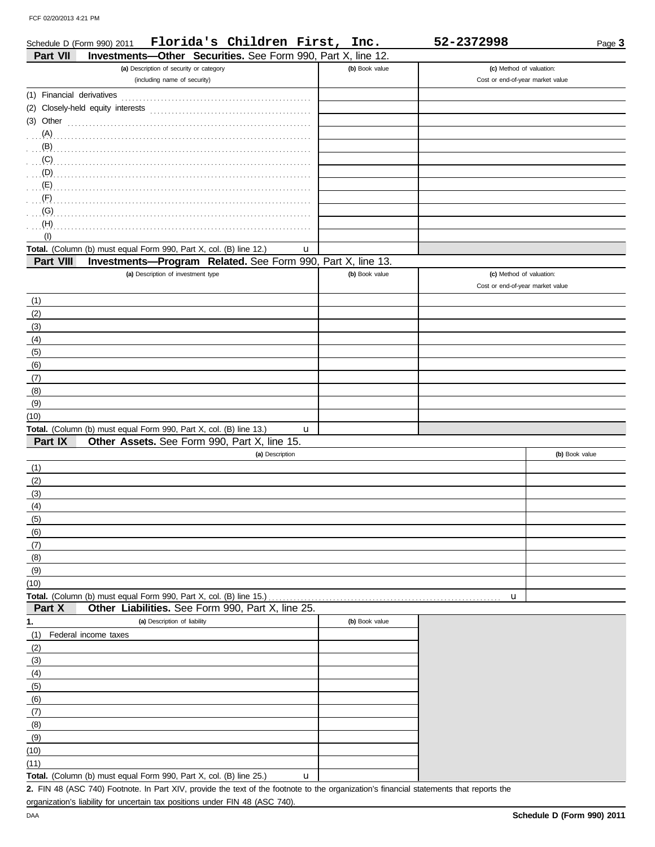| Florida's Children First, Inc.<br>Schedule D (Form 990) 2011                    |                | 52-2372998                       | Page 3 |
|---------------------------------------------------------------------------------|----------------|----------------------------------|--------|
| Investments-Other Securities. See Form 990, Part X, line 12.<br>Part VII        |                |                                  |        |
| (a) Description of security or category                                         | (b) Book value | (c) Method of valuation:         |        |
| (including name of security)                                                    |                | Cost or end-of-year market value |        |
| (1) Financial derivatives                                                       |                |                                  |        |
| (2)                                                                             |                |                                  |        |
| (3)<br>Other                                                                    |                |                                  |        |
| (A)                                                                             |                |                                  |        |
| (B)                                                                             |                |                                  |        |
| (C)                                                                             |                |                                  |        |
| (D)                                                                             |                |                                  |        |
| (E)                                                                             |                |                                  |        |
| (F)                                                                             |                |                                  |        |
| (G)                                                                             |                |                                  |        |
| (H)                                                                             |                |                                  |        |
|                                                                                 |                |                                  |        |
| Total. (Column (b) must equal Form 990, Part X, col. (B) line 12.)<br><b>u</b>  |                |                                  |        |
| <b>Investments-Program Related.</b> See Form 990, Part X, line 13.<br>Part VIII |                |                                  |        |
| (a) Description of investment type                                              | (b) Book value | (c) Method of valuation:         |        |
|                                                                                 |                | Cost or end-of-year market value |        |

| (1)                                                                            |  |
|--------------------------------------------------------------------------------|--|
| (2)                                                                            |  |
| (3)                                                                            |  |
| (4)                                                                            |  |
| (5)                                                                            |  |
| (6)                                                                            |  |
| (7)                                                                            |  |
| (8)                                                                            |  |
| (9)                                                                            |  |
| (10)                                                                           |  |
| Total. (Column (b) must equal Form 990, Part X, col. (B) line 13.)<br><b>u</b> |  |
| Part IV<br>Other Assets See Ferm 000 Part Y line 15                            |  |

| Part IX | <b>Other Assets.</b> See Form 990, Part X, line 15. |                |
|---------|-----------------------------------------------------|----------------|
|         | (a) Description                                     | (b) Book value |
| (1)     |                                                     |                |
| (2)     |                                                     |                |
| (3)     |                                                     |                |
| (4)     |                                                     |                |
| (5)     |                                                     |                |
| (6)     |                                                     |                |
| (7)     |                                                     |                |
| (8)     |                                                     |                |
| (9)     |                                                     |                |
| (10)    |                                                     |                |

**Total.** (Column (b) must equal Form 990, Part X, col. (B) line 15.) . . . . . . . . . . . . . . . . . . . . . . . . . . . . . . . . . . . . . . . . . . . . . . . . . . . . . . . . . . . . . . . . . u

| Part X | <b>Other Liabilities.</b> See Form 990, Part X, line 25. |  |  |
|--------|----------------------------------------------------------|--|--|

|      | $\cdots$<br><b>Strict</b> Elabilities. Occ. Form 000, Fait A, line 20. |             |                |
|------|------------------------------------------------------------------------|-------------|----------------|
| 1.   | (a) Description of liability                                           |             | (b) Book value |
| (1)  | Federal income taxes                                                   |             |                |
| (2)  |                                                                        |             |                |
| (3)  |                                                                        |             |                |
| (4)  |                                                                        |             |                |
| (5)  |                                                                        |             |                |
| (6)  |                                                                        |             |                |
| (7)  |                                                                        |             |                |
| (8)  |                                                                        |             |                |
| (9)  |                                                                        |             |                |
| (10) |                                                                        |             |                |
| (11) |                                                                        |             |                |
|      | Total. (Column (b) must equal Form 990, Part X, col. (B) line 25.)     | $\mathbf u$ |                |

FIN 48 (ASC 740) Footnote. In Part XIV, provide the text of the footnote to the organization's financial statements that reports the **2.** organization's liability for uncertain tax positions under FIN 48 (ASC 740).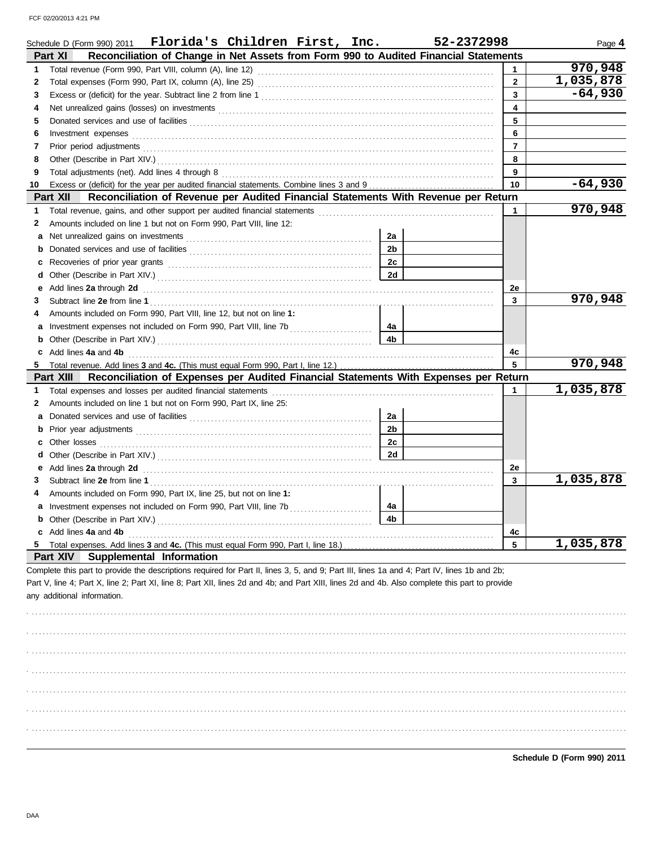|    | Schedule D (Form 990) 2011 Florida's Children First, Inc.                                                                                                                                                                          |                | 52-2372998     | Page 4    |
|----|------------------------------------------------------------------------------------------------------------------------------------------------------------------------------------------------------------------------------------|----------------|----------------|-----------|
|    | Reconciliation of Change in Net Assets from Form 990 to Audited Financial Statements<br>Part XI                                                                                                                                    |                |                |           |
| 1  |                                                                                                                                                                                                                                    |                | $\mathbf{1}$   | 970,948   |
| 2  |                                                                                                                                                                                                                                    |                | $\mathbf{2}$   | 1,035,878 |
| 3  |                                                                                                                                                                                                                                    |                | $\mathbf{3}$   | $-64,930$ |
| 4  |                                                                                                                                                                                                                                    |                | 4              |           |
| 5  | Donated services and use of facilities <b>constructs</b> and the service of the service of the services and use of facilities                                                                                                      |                | 5              |           |
| 6  | Investment expenses <b>constant expenses</b>                                                                                                                                                                                       |                | 6              |           |
| 7  |                                                                                                                                                                                                                                    |                | $\overline{7}$ |           |
| 8  |                                                                                                                                                                                                                                    |                | 8              |           |
| 9  |                                                                                                                                                                                                                                    |                | 9              |           |
| 10 |                                                                                                                                                                                                                                    |                | 10             | $-64,930$ |
|    | Part XII<br>Reconciliation of Revenue per Audited Financial Statements With Revenue per Return                                                                                                                                     |                |                |           |
| 1  |                                                                                                                                                                                                                                    |                | 1              | 970,948   |
| 2  | Amounts included on line 1 but not on Form 990, Part VIII, line 12:                                                                                                                                                                |                |                |           |
| а  |                                                                                                                                                                                                                                    | 2a             |                |           |
| b  |                                                                                                                                                                                                                                    | 2 <sub>b</sub> |                |           |
| с  |                                                                                                                                                                                                                                    | 2c             |                |           |
| d  |                                                                                                                                                                                                                                    | 2d             |                |           |
| е  | Add lines 2a through 2d <b>Martin Community Community</b> and the set of the set of the set of the set of the set of the set of the set of the set of the set of the set of the set of the set of the set of the set of the set of |                | 2e             |           |
| З  |                                                                                                                                                                                                                                    |                | $\mathbf{3}$   | 970,948   |
|    | Amounts included on Form 990, Part VIII, line 12, but not on line 1:                                                                                                                                                               |                |                |           |
| а  |                                                                                                                                                                                                                                    | 4a             |                |           |
| b  |                                                                                                                                                                                                                                    | 4b             |                |           |
| c  | Add lines 4a and 4b                                                                                                                                                                                                                |                | 4c             |           |
|    | Total revenue. Add lines 3 and 4c. (This must equal Form 990, Part I, line 12.)                                                                                                                                                    |                | 5              | 970,948   |
|    | Reconciliation of Expenses per Audited Financial Statements With Expenses per Return<br>Part XIII                                                                                                                                  |                |                |           |
| 1. | Total expenses and losses per audited financial statements                                                                                                                                                                         |                | 1              | 1,035,878 |
| 2  | Amounts included on line 1 but not on Form 990, Part IX, line 25:                                                                                                                                                                  |                |                |           |
| a  |                                                                                                                                                                                                                                    | 2a             |                |           |
|    |                                                                                                                                                                                                                                    | 2 <sub>b</sub> |                |           |
|    |                                                                                                                                                                                                                                    | 2c             |                |           |
| d  |                                                                                                                                                                                                                                    | 2d             |                |           |
| е  | Add lines 2a through 2d <b>Martin Community Community</b> and the set of the set of the set of the set of the set of the set of the set of the set of the set of the set of the set of the set of the set of the set of the set of |                | 2е             |           |
| З  |                                                                                                                                                                                                                                    |                | $\mathbf{3}$   | 1,035,878 |
|    | Amounts included on Form 990, Part IX, line 25, but not on line 1:                                                                                                                                                                 |                |                |           |
| a  |                                                                                                                                                                                                                                    | 4a             |                |           |
|    | <b>b</b> Other (Describe in Part XIV.)                                                                                                                                                                                             | 4b             |                |           |
| c  | Add lines 4a and 4b                                                                                                                                                                                                                |                | 4c             |           |
| 5  | Total expenses. Add lines 3 and 4c. (This must equal Form 990, Part I, line 18.)                                                                                                                                                   |                | 5              | 1,035,878 |
|    | Supplemental Information<br><b>Part XIV</b>                                                                                                                                                                                        |                |                |           |
|    | Complete this part to provide the descriptions required for Part II, lines 3, 5, and 9; Part III, lines 1a and 4; Part IV, lines 1b and 2b;                                                                                        |                |                |           |
|    | Part V, line 4; Part X, line 2; Part XI, line 8; Part XII, lines 2d and 4b; and Part XIII, lines 2d and 4b. Also complete this part to provide                                                                                     |                |                |           |
|    | any additional information.                                                                                                                                                                                                        |                |                |           |
|    |                                                                                                                                                                                                                                    |                |                |           |
|    |                                                                                                                                                                                                                                    |                |                |           |
|    |                                                                                                                                                                                                                                    |                |                |           |
|    |                                                                                                                                                                                                                                    |                |                |           |
|    |                                                                                                                                                                                                                                    |                |                |           |
|    |                                                                                                                                                                                                                                    |                |                |           |
|    |                                                                                                                                                                                                                                    |                |                |           |
|    |                                                                                                                                                                                                                                    |                |                |           |
|    |                                                                                                                                                                                                                                    |                |                |           |
|    |                                                                                                                                                                                                                                    |                |                |           |
|    |                                                                                                                                                                                                                                    |                |                |           |
|    |                                                                                                                                                                                                                                    |                |                |           |

**Schedule D (Form 990) 2011**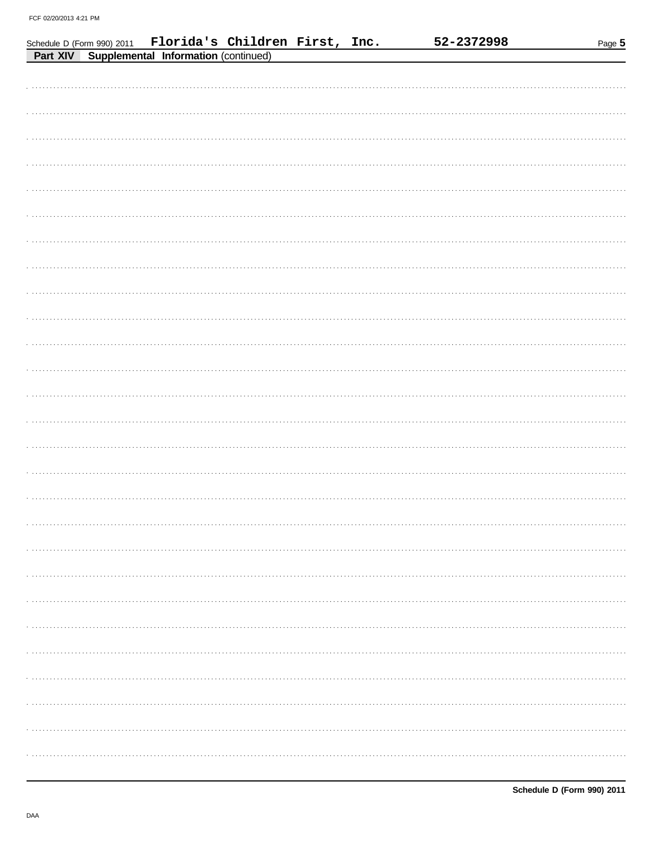|  | Schedule D (Form 990) 2011 Florida's Children First, Inc.<br>Part XIV Supplemental Information (continued) |  | 52-2372998 | Page 5 |
|--|------------------------------------------------------------------------------------------------------------|--|------------|--------|
|  |                                                                                                            |  |            |        |
|  |                                                                                                            |  |            |        |
|  |                                                                                                            |  |            |        |
|  |                                                                                                            |  |            |        |
|  |                                                                                                            |  |            |        |
|  |                                                                                                            |  |            |        |
|  |                                                                                                            |  |            |        |
|  |                                                                                                            |  |            |        |
|  |                                                                                                            |  |            |        |
|  |                                                                                                            |  |            |        |
|  |                                                                                                            |  |            |        |
|  |                                                                                                            |  |            |        |
|  |                                                                                                            |  |            |        |
|  |                                                                                                            |  |            |        |
|  |                                                                                                            |  |            |        |
|  |                                                                                                            |  |            |        |
|  |                                                                                                            |  |            |        |
|  |                                                                                                            |  |            |        |
|  |                                                                                                            |  |            |        |
|  |                                                                                                            |  |            |        |
|  |                                                                                                            |  |            |        |
|  |                                                                                                            |  |            |        |
|  |                                                                                                            |  |            |        |
|  |                                                                                                            |  |            |        |
|  |                                                                                                            |  |            |        |
|  |                                                                                                            |  |            |        |
|  |                                                                                                            |  |            |        |
|  |                                                                                                            |  |            |        |
|  |                                                                                                            |  |            |        |
|  |                                                                                                            |  |            |        |
|  |                                                                                                            |  |            |        |
|  |                                                                                                            |  |            |        |
|  |                                                                                                            |  |            |        |
|  |                                                                                                            |  |            |        |
|  |                                                                                                            |  |            |        |
|  |                                                                                                            |  |            |        |
|  |                                                                                                            |  |            | .      |
|  |                                                                                                            |  |            |        |
|  |                                                                                                            |  |            |        |
|  |                                                                                                            |  |            |        |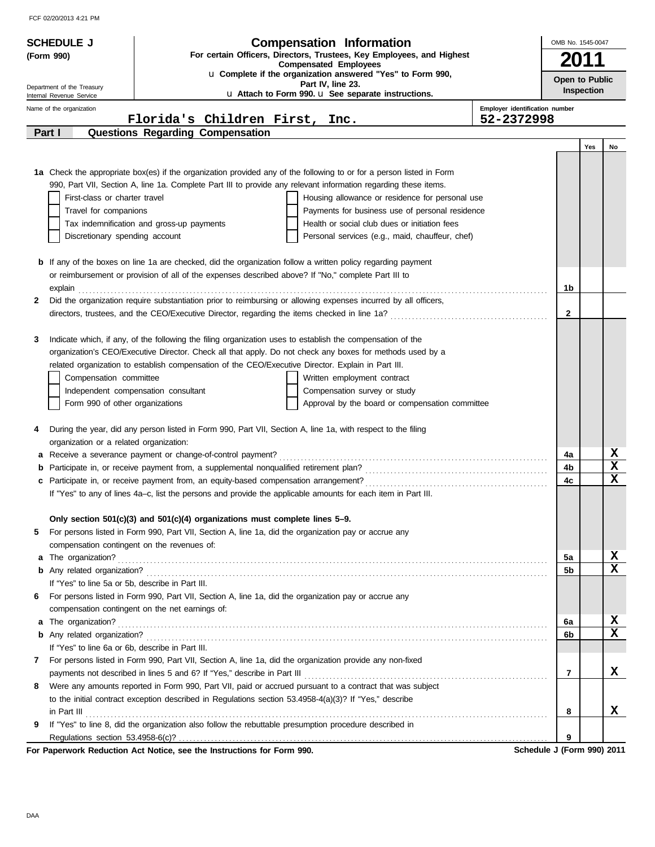|        | <b>SCHEDULE J</b>                                      |                                                                                                        | <b>Compensation Information</b>                                                                                                                                    |                                | OMB No. 1545-0047 |            |                  |
|--------|--------------------------------------------------------|--------------------------------------------------------------------------------------------------------|--------------------------------------------------------------------------------------------------------------------------------------------------------------------|--------------------------------|-------------------|------------|------------------|
|        | (Form 990)                                             |                                                                                                        | For certain Officers, Directors, Trustees, Key Employees, and Highest<br><b>Compensated Employees</b>                                                              |                                |                   |            |                  |
|        |                                                        |                                                                                                        | u Complete if the organization answered "Yes" to Form 990,<br>Part IV, line 23.                                                                                    |                                | Open to Public    |            |                  |
|        | Department of the Treasury<br>Internal Revenue Service |                                                                                                        | u Attach to Form 990. u See separate instructions.                                                                                                                 |                                |                   | Inspection |                  |
|        | Name of the organization                               |                                                                                                        |                                                                                                                                                                    | Employer identification number |                   |            |                  |
|        |                                                        | Florida's Children First, Inc.                                                                         |                                                                                                                                                                    | 52-2372998                     |                   |            |                  |
| Part I |                                                        | Questions Regarding Compensation                                                                       |                                                                                                                                                                    |                                |                   |            |                  |
|        |                                                        |                                                                                                        |                                                                                                                                                                    |                                |                   | Yes        | No               |
|        |                                                        |                                                                                                        |                                                                                                                                                                    |                                |                   |            |                  |
|        |                                                        |                                                                                                        | 1a Check the appropriate box(es) if the organization provided any of the following to or for a person listed in Form                                               |                                |                   |            |                  |
|        | First-class or charter travel                          |                                                                                                        | 990, Part VII, Section A, line 1a. Complete Part III to provide any relevant information regarding these items.<br>Housing allowance or residence for personal use |                                |                   |            |                  |
|        | Travel for companions                                  |                                                                                                        | Payments for business use of personal residence                                                                                                                    |                                |                   |            |                  |
|        |                                                        | Tax indemnification and gross-up payments                                                              | Health or social club dues or initiation fees                                                                                                                      |                                |                   |            |                  |
|        | Discretionary spending account                         |                                                                                                        | Personal services (e.g., maid, chauffeur, chef)                                                                                                                    |                                |                   |            |                  |
|        |                                                        |                                                                                                        |                                                                                                                                                                    |                                |                   |            |                  |
|        |                                                        |                                                                                                        | <b>b</b> If any of the boxes on line 1a are checked, did the organization follow a written policy regarding payment                                                |                                |                   |            |                  |
|        |                                                        | or reimbursement or provision of all of the expenses described above? If "No," complete Part III to    |                                                                                                                                                                    |                                |                   |            |                  |
|        | explain                                                |                                                                                                        |                                                                                                                                                                    |                                | 1b                |            |                  |
| 2      |                                                        |                                                                                                        | Did the organization require substantiation prior to reimbursing or allowing expenses incurred by all officers,                                                    |                                |                   |            |                  |
|        |                                                        |                                                                                                        |                                                                                                                                                                    |                                | $\mathbf{2}$      |            |                  |
|        |                                                        |                                                                                                        |                                                                                                                                                                    |                                |                   |            |                  |
| 3      |                                                        |                                                                                                        | Indicate which, if any, of the following the filing organization uses to establish the compensation of the                                                         |                                |                   |            |                  |
|        |                                                        |                                                                                                        | organization's CEO/Executive Director. Check all that apply. Do not check any boxes for methods used by a                                                          |                                |                   |            |                  |
|        |                                                        | related organization to establish compensation of the CEO/Executive Director. Explain in Part III.     |                                                                                                                                                                    |                                |                   |            |                  |
|        | Compensation committee                                 |                                                                                                        | Written employment contract                                                                                                                                        |                                |                   |            |                  |
|        |                                                        | Independent compensation consultant                                                                    | Compensation survey or study                                                                                                                                       |                                |                   |            |                  |
|        | Form 990 of other organizations                        |                                                                                                        | Approval by the board or compensation committee                                                                                                                    |                                |                   |            |                  |
| 4      |                                                        |                                                                                                        | During the year, did any person listed in Form 990, Part VII, Section A, line 1a, with respect to the filing                                                       |                                |                   |            |                  |
|        | organization or a related organization:                |                                                                                                        |                                                                                                                                                                    |                                |                   |            |                  |
|        |                                                        | a Receive a severance payment or change-of-control payment?                                            |                                                                                                                                                                    |                                | 4a                |            | x                |
|        |                                                        |                                                                                                        |                                                                                                                                                                    |                                | 4b                |            | $\mathbf x$      |
|        |                                                        |                                                                                                        |                                                                                                                                                                    |                                | 4c                |            | X                |
|        |                                                        |                                                                                                        | If "Yes" to any of lines 4a–c, list the persons and provide the applicable amounts for each item in Part III.                                                      |                                |                   |            |                  |
|        |                                                        |                                                                                                        |                                                                                                                                                                    |                                |                   |            |                  |
|        |                                                        | Only section $501(c)(3)$ and $501(c)(4)$ organizations must complete lines 5–9.                        |                                                                                                                                                                    |                                |                   |            |                  |
| 5      |                                                        | For persons listed in Form 990, Part VII, Section A, line 1a, did the organization pay or accrue any   |                                                                                                                                                                    |                                |                   |            |                  |
|        |                                                        | compensation contingent on the revenues of:                                                            |                                                                                                                                                                    |                                |                   |            |                  |
| a      | The organization?                                      |                                                                                                        |                                                                                                                                                                    |                                | 5a                |            | x                |
|        |                                                        |                                                                                                        |                                                                                                                                                                    |                                | 5 <sub>b</sub>    |            | $\mathbf X$      |
|        | If "Yes" to line 5a or 5b, describe in Part III.       |                                                                                                        |                                                                                                                                                                    |                                |                   |            |                  |
| 6      |                                                        | For persons listed in Form 990, Part VII, Section A, line 1a, did the organization pay or accrue any   |                                                                                                                                                                    |                                |                   |            |                  |
|        |                                                        | compensation contingent on the net earnings of:                                                        |                                                                                                                                                                    |                                |                   |            |                  |
| a      | The organization?                                      |                                                                                                        |                                                                                                                                                                    |                                | 6a                |            | x<br>$\mathbf x$ |
|        | If "Yes" to line 6a or 6b, describe in Part III.       |                                                                                                        |                                                                                                                                                                    |                                | 6b                |            |                  |
|        |                                                        |                                                                                                        |                                                                                                                                                                    |                                |                   |            |                  |
| 7      |                                                        |                                                                                                        | For persons listed in Form 990, Part VII, Section A, line 1a, did the organization provide any non-fixed                                                           |                                | $\overline{7}$    |            | X                |
| 8      |                                                        |                                                                                                        | Were any amounts reported in Form 990, Part VII, paid or accrued pursuant to a contract that was subject                                                           |                                |                   |            |                  |
|        |                                                        | to the initial contract exception described in Regulations section 53.4958-4(a)(3)? If "Yes," describe |                                                                                                                                                                    |                                |                   |            |                  |
|        | in Part III                                            |                                                                                                        |                                                                                                                                                                    |                                | 8                 |            | x                |
| 9      |                                                        | If "Yes" to line 8, did the organization also follow the rebuttable presumption procedure described in |                                                                                                                                                                    |                                |                   |            |                  |
|        |                                                        |                                                                                                        |                                                                                                                                                                    |                                | 9                 |            |                  |
|        |                                                        |                                                                                                        |                                                                                                                                                                    |                                |                   |            |                  |

**For Paperwork Reduction Act Notice, see the Instructions for Form 990.** Schedule J (Form 990) 2011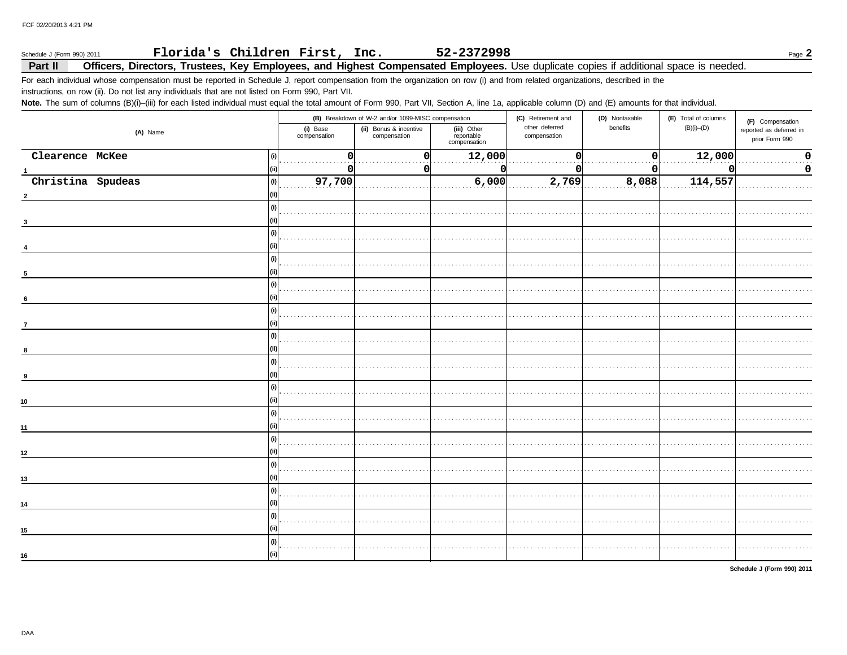#### Florida's Children First, Inc. 52-2372998 Page  $2$ Schedule J (Form 990) 2011

#### Officers, Directors, Trustees, Key Employees, and Highest Compensated Employees. Use duplicate copies if additional space is needed. Part II

For each individual whose compensation must be reported in Schedule J, report compensation from the organization on row (i) and from related organizations, described in the instructions, on row (ii). Do not list any individuals that are not listed on Form 990, Part VII.

Note. The sum of columns (B)(i)-(iii) for each listed individual must equal the total amount of Form 990, Part VII, Section A, line 1a, applicable column (D) and (E) amounts for that individual.

|                          |                          | (B) Breakdown of W-2 and/or 1099-MISC compensation |                                           | (C) Retirement and             | (D) Nontaxable | (E) Total of columns | (F) Compensation                          |
|--------------------------|--------------------------|----------------------------------------------------|-------------------------------------------|--------------------------------|----------------|----------------------|-------------------------------------------|
| (A) Name                 | (i) Base<br>compensation | (ii) Bonus & incentive<br>compensation             | (iii) Other<br>reportable<br>compensation | other deferred<br>compensation | benefits       | $(B)(i)$ - $(D)$     | reported as deferred in<br>prior Form 990 |
| Clearence McKee          |                          | $\Omega$                                           | 12,000                                    |                                |                | 12,000               | 0                                         |
|                          | 0                        | 0                                                  |                                           |                                | 0              |                      | $\mathbf 0$                               |
| Christina Spudeas<br>(i) | 97,700                   |                                                    | 6,000                                     | 2,769                          | 8,088          | 114,557              |                                           |
|                          |                          |                                                    |                                           |                                |                |                      |                                           |
|                          |                          |                                                    |                                           |                                |                |                      |                                           |
| 3                        |                          |                                                    |                                           |                                |                |                      |                                           |
|                          |                          |                                                    |                                           |                                |                |                      |                                           |
|                          |                          |                                                    |                                           |                                |                |                      |                                           |
|                          |                          |                                                    |                                           |                                |                |                      |                                           |
| $5\overline{5}$          |                          |                                                    |                                           |                                |                |                      |                                           |
|                          |                          |                                                    |                                           |                                |                |                      |                                           |
|                          |                          |                                                    |                                           |                                |                |                      |                                           |
| 6                        |                          |                                                    |                                           |                                |                |                      |                                           |
|                          |                          |                                                    |                                           |                                |                |                      |                                           |
| $\overline{7}$           |                          |                                                    |                                           |                                |                |                      |                                           |
|                          |                          |                                                    |                                           |                                |                |                      |                                           |
|                          |                          |                                                    |                                           |                                |                |                      |                                           |
|                          |                          |                                                    |                                           |                                |                |                      |                                           |
| 9                        |                          |                                                    |                                           |                                |                |                      |                                           |
|                          |                          |                                                    |                                           |                                |                |                      |                                           |
| 10                       |                          |                                                    |                                           |                                |                |                      |                                           |
|                          |                          |                                                    |                                           |                                |                |                      |                                           |
| 11                       |                          |                                                    |                                           |                                |                |                      |                                           |
|                          |                          |                                                    |                                           |                                |                |                      |                                           |
| 12 <sub>2</sub>          |                          |                                                    |                                           |                                |                |                      |                                           |
|                          |                          |                                                    |                                           |                                |                |                      |                                           |
| 13                       |                          |                                                    |                                           |                                |                |                      |                                           |
|                          |                          |                                                    |                                           |                                |                |                      |                                           |
| 14                       |                          |                                                    |                                           |                                |                |                      |                                           |
|                          |                          |                                                    |                                           |                                |                |                      |                                           |
| 15                       |                          |                                                    |                                           |                                |                |                      |                                           |
|                          |                          |                                                    |                                           |                                |                |                      |                                           |
|                          |                          |                                                    |                                           |                                |                |                      |                                           |
| 16                       |                          |                                                    |                                           |                                |                |                      |                                           |

Schedule J (Form 990) 2011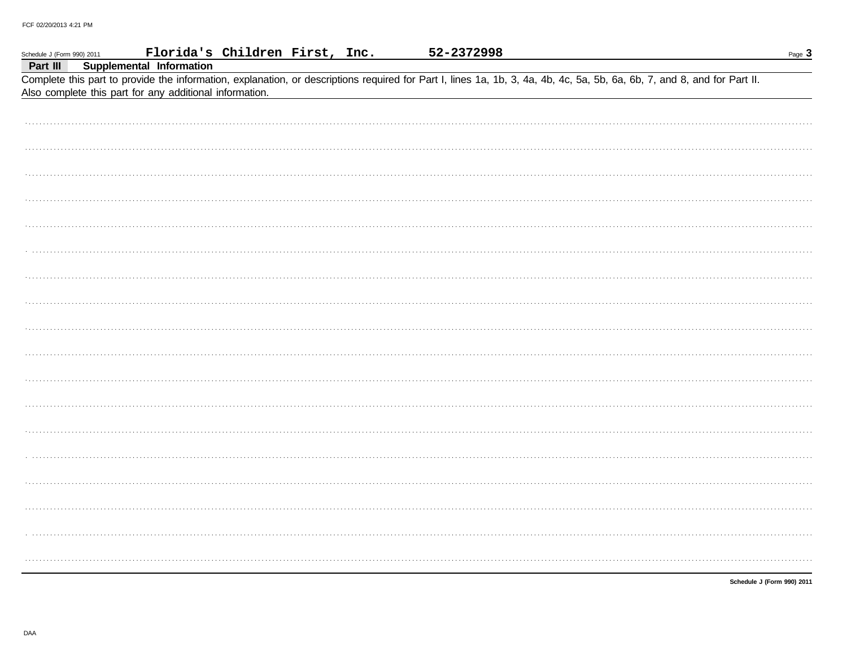| Schedule J (Form 990) 2011 | Florida's Children First, Inc.                                                                                                                                                                                                      | 52-2372998 | Page $3$                   |
|----------------------------|-------------------------------------------------------------------------------------------------------------------------------------------------------------------------------------------------------------------------------------|------------|----------------------------|
| Part III                   | Supplemental Information                                                                                                                                                                                                            |            |                            |
|                            | Complete this part to provide the information, explanation, or descriptions required for Part I, lines 1a, 1b, 3, 4a, 4b, 4c, 5a, 5b, 6a, 6b, 7, and 8, and for Part II.<br>Also complete this part for any additional information. |            |                            |
|                            |                                                                                                                                                                                                                                     |            |                            |
|                            |                                                                                                                                                                                                                                     |            |                            |
|                            |                                                                                                                                                                                                                                     |            |                            |
|                            |                                                                                                                                                                                                                                     |            |                            |
|                            |                                                                                                                                                                                                                                     |            |                            |
|                            |                                                                                                                                                                                                                                     |            |                            |
|                            |                                                                                                                                                                                                                                     |            |                            |
|                            |                                                                                                                                                                                                                                     |            |                            |
|                            |                                                                                                                                                                                                                                     |            |                            |
|                            |                                                                                                                                                                                                                                     |            |                            |
|                            |                                                                                                                                                                                                                                     |            |                            |
|                            |                                                                                                                                                                                                                                     |            |                            |
|                            |                                                                                                                                                                                                                                     |            |                            |
|                            |                                                                                                                                                                                                                                     |            |                            |
|                            |                                                                                                                                                                                                                                     |            |                            |
|                            |                                                                                                                                                                                                                                     |            |                            |
|                            |                                                                                                                                                                                                                                     |            |                            |
|                            |                                                                                                                                                                                                                                     |            |                            |
|                            |                                                                                                                                                                                                                                     |            |                            |
|                            |                                                                                                                                                                                                                                     |            | Schedule J (Form 990) 2011 |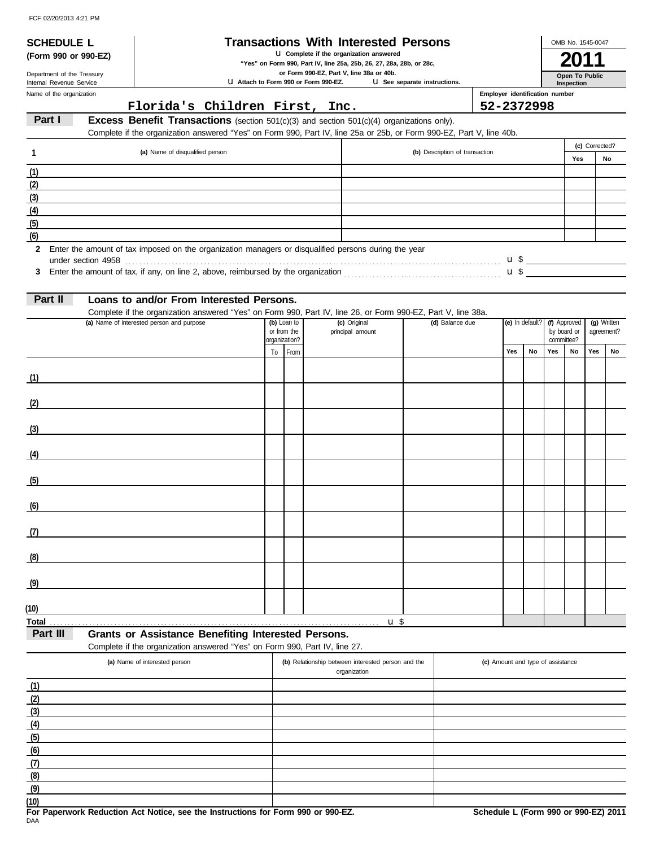**SCHEDULE L** 

| <b>Transactions With Interested Persons</b> |  |  |  |  |
|---------------------------------------------|--|--|--|--|
|---------------------------------------------|--|--|--|--|

**(Form 990 or 990-EZ)** u **Complete if the organization answered**

**"Yes" on Form 990, Part IV, line 25a, 25b, 26, 27, 28a, 28b, or 28c, 2011**

**or Form 990-EZ, Part V, line 38a or 40b.**

**U** Attach to Form 990 or Form 990-EZ. u **See separate instructions.**

Name of the organization Department of the Treasury<br>Internal Revenue Service

### **Florida's Children First, Inc. 52-2372998**

**Employer identification number**

**Inspection Open To Public**

OMB No. 1545-0047

## **Part I Excess Benefit Transactions** (section 501(c)(3) and section 501(c)(4) organizations only).

Complete if the organization answered "Yes" on Form 990, Part IV, line 25a or 25b, or Form 990-EZ, Part V, line 40b.

|     | (a) Name of disqualified person                                                                        | (b) Description of transaction |     | (c) Corrected? |
|-----|--------------------------------------------------------------------------------------------------------|--------------------------------|-----|----------------|
|     |                                                                                                        |                                | Yes | No             |
| (1) |                                                                                                        |                                |     |                |
| (2) |                                                                                                        |                                |     |                |
| (3) |                                                                                                        |                                |     |                |
| (4) |                                                                                                        |                                |     |                |
| (5) |                                                                                                        |                                |     |                |
| (6) |                                                                                                        |                                |     |                |
|     | 2 Enter the amount of tax imposed on the organization managers or disqualified persons during the year |                                |     |                |

**3** Enter the amount of tax, if any, on line 2, above, reimbursed by the organization . . . . . . . . . . . . . . . . . . . . . . . . . . . . . . . . . . . . . . . . . . . . \$ u under section 4958 . . . . . . . . . . . . . . . . . . . . . . . . . . . . . . . . . . . . . . . . . . . . . . . . . . . . . . . . . . . . . . . . . . . . . . . . . . . . . . . . . . . . . . . . . . . . . . . . . . . . . . . . . \$ u

| Part II |  |  | Loans to and/or From Interested Persons. |  |
|---------|--|--|------------------------------------------|--|
|---------|--|--|------------------------------------------|--|

Complete if the organization answered "Yes" on Form 990, Part IV, line 26, or Form 990-EZ, Part V, line 38a.

| (a) Name of interested person and purpose | organization? | (b) Loan to<br>or from the | (c) Original<br>principal amount | (d) Balance due | (e) In default? (f) Approved |    | by board or<br>committee? |    | (g) Written<br>agreement? |    |
|-------------------------------------------|---------------|----------------------------|----------------------------------|-----------------|------------------------------|----|---------------------------|----|---------------------------|----|
|                                           |               | To From                    |                                  |                 | Yes                          | No | Yes                       | No | Yes                       | No |
| (1)                                       |               |                            |                                  |                 |                              |    |                           |    |                           |    |
| (2)                                       |               |                            |                                  |                 |                              |    |                           |    |                           |    |
| (3)                                       |               |                            |                                  |                 |                              |    |                           |    |                           |    |
| (4)                                       |               |                            |                                  |                 |                              |    |                           |    |                           |    |
| (5)                                       |               |                            |                                  |                 |                              |    |                           |    |                           |    |
| (6)                                       |               |                            |                                  |                 |                              |    |                           |    |                           |    |
| (7)                                       |               |                            |                                  |                 |                              |    |                           |    |                           |    |
| (8)                                       |               |                            |                                  |                 |                              |    |                           |    |                           |    |
| (9)                                       |               |                            |                                  |                 |                              |    |                           |    |                           |    |
| (10)                                      |               |                            |                                  |                 |                              |    |                           |    |                           |    |
|                                           |               |                            | $u$ \$                           |                 |                              |    |                           |    |                           |    |

**Part III Grants or Assistance Benefiting Interested Persons.**

Complete if the organization answered "Yes" on Form 990, Part IV, line 27.

| (a) Name of interested person | (b) Relationship between interested person and the<br>organization | (c) Amount and type of assistance |
|-------------------------------|--------------------------------------------------------------------|-----------------------------------|
| (1)                           |                                                                    |                                   |
| (2)                           |                                                                    |                                   |
| (3)                           |                                                                    |                                   |
| (4)                           |                                                                    |                                   |
| (5)                           |                                                                    |                                   |
| (6)                           |                                                                    |                                   |
| (7)                           |                                                                    |                                   |
| (8)                           |                                                                    |                                   |
| (9)                           |                                                                    |                                   |
| (10)                          |                                                                    |                                   |

DAA **For Paperwork Reduction Act Notice, see the Instructions for Form 990 or 990-EZ. Schedule L (Form 990 or 990-EZ) 2011**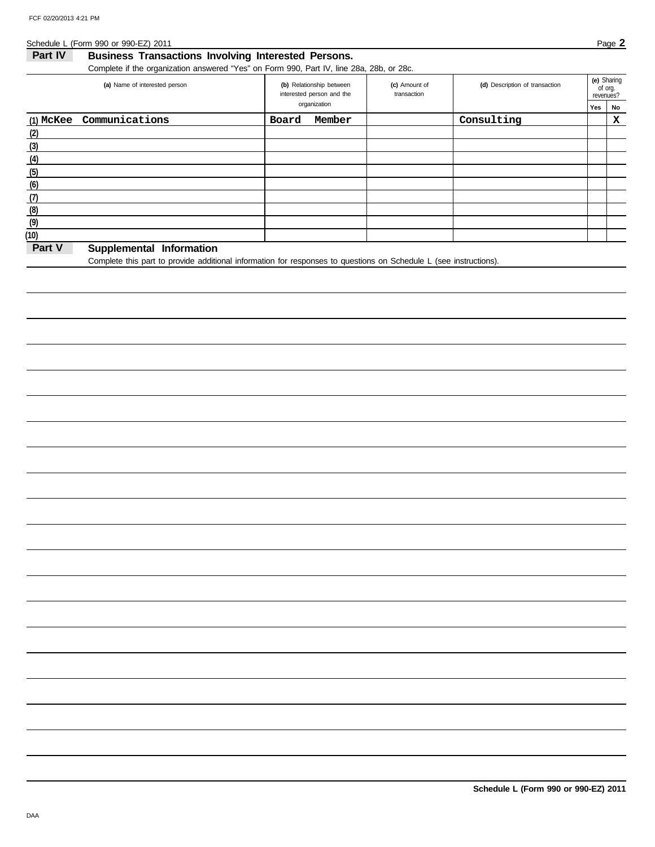Schedule L (Form 990 or 990-EZ) 2011 **Page 2** 

| Part IV<br><b>Business Transactions Involving Interested Persons.</b>                    |                |                                                                       |                              |                                |                             |                   |  |  |  |
|------------------------------------------------------------------------------------------|----------------|-----------------------------------------------------------------------|------------------------------|--------------------------------|-----------------------------|-------------------|--|--|--|
| Complete if the organization answered "Yes" on Form 990, Part IV, line 28a, 28b, or 28c. |                |                                                                       |                              |                                |                             |                   |  |  |  |
| (a) Name of interested person                                                            |                | (b) Relationship between<br>interested person and the<br>organization | (c) Amount of<br>transaction | (d) Description of transaction | of org.<br>revenues?<br>Yes | (e) Sharing<br>No |  |  |  |
| $(1)$ McKee                                                                              | Communications | Member<br>Board                                                       |                              | Consulting                     |                             | ▵                 |  |  |  |

| (2)                                |  |  |  |
|------------------------------------|--|--|--|
| (3)                                |  |  |  |
| (4)                                |  |  |  |
| (5)                                |  |  |  |
| (6)                                |  |  |  |
| (7                                 |  |  |  |
| (8)                                |  |  |  |
| (9)                                |  |  |  |
| (10)                               |  |  |  |
| Part V<br>Supplemental Information |  |  |  |

Complete this part to provide additional information for responses to questions on Schedule L (see instructions).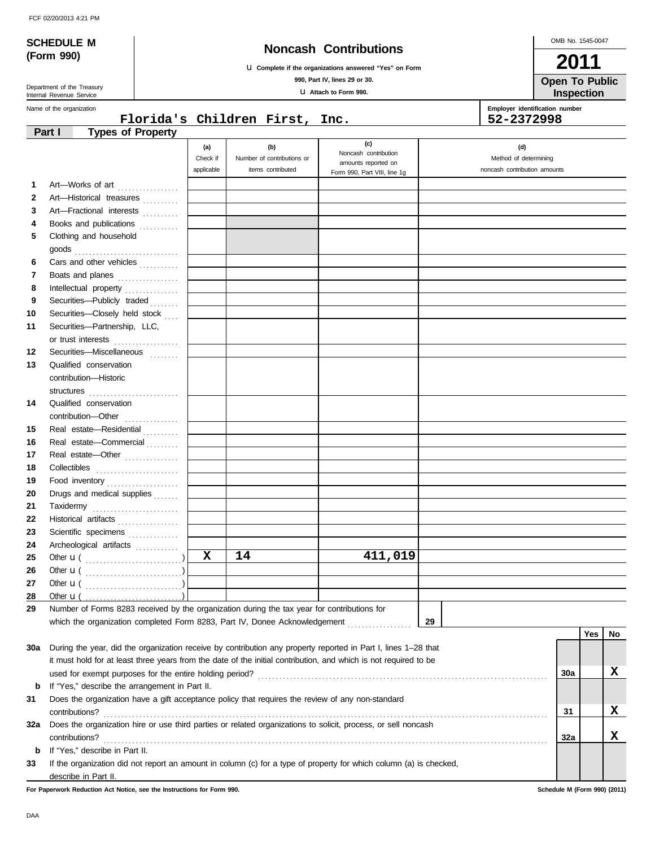|  |  | FCF 02/20/2013 4:21 PM |  |  |
|--|--|------------------------|--|--|
|--|--|------------------------|--|--|

**(Form 990)**

## **SCHEDULE M Noncash Contributions**

u **Complete if the organizations answered "Yes" on Form**

**990, Part IV, lines 29 or 30.**

u **Attach to Form 990.**

**Inspection Open To Public**

т

| Department of the Treasury |
|----------------------------|
| Internal Revenue Service   |
| Name of the organization   |

|              | Name of the organization                                                                                           |                               | Florida's Children First, Inc.                         |                                                                                    | Employer identification number<br>52-2372998                 |     |            |    |
|--------------|--------------------------------------------------------------------------------------------------------------------|-------------------------------|--------------------------------------------------------|------------------------------------------------------------------------------------|--------------------------------------------------------------|-----|------------|----|
|              | <b>Types of Property</b><br>Part I                                                                                 |                               |                                                        |                                                                                    |                                                              |     |            |    |
|              |                                                                                                                    | (a)<br>Check if<br>applicable | (b)<br>Number of contributions or<br>items contributed | (c)<br>Noncash contribution<br>amounts reported on<br>Form 990, Part VIII, line 1g | (d)<br>Method of determining<br>noncash contribution amounts |     |            |    |
| 1            | Art-Works of art                                                                                                   |                               |                                                        |                                                                                    |                                                              |     |            |    |
| $\mathbf{2}$ | Art-Historical treasures                                                                                           |                               |                                                        |                                                                                    |                                                              |     |            |    |
| 3            | Art-Fractional interests                                                                                           |                               |                                                        |                                                                                    |                                                              |     |            |    |
| 4            | Books and publications                                                                                             |                               |                                                        |                                                                                    |                                                              |     |            |    |
| 5            | Clothing and household                                                                                             |                               |                                                        |                                                                                    |                                                              |     |            |    |
|              | $\mathsf{goods}\textup{  \dots \dots \dots \dots \dots \dots \dots \dots \dots \dots \dots }$                      |                               |                                                        |                                                                                    |                                                              |     |            |    |
| 6            | Cars and other vehicles                                                                                            |                               |                                                        |                                                                                    |                                                              |     |            |    |
| 7            | Boats and planes                                                                                                   |                               |                                                        |                                                                                    |                                                              |     |            |    |
| 8            | Intellectual property                                                                                              |                               |                                                        |                                                                                    |                                                              |     |            |    |
| 9            | Securities-Publicly traded                                                                                         |                               |                                                        |                                                                                    |                                                              |     |            |    |
| 10           | Securities-Closely held stock                                                                                      |                               |                                                        |                                                                                    |                                                              |     |            |    |
| 11           | Securities-Partnership, LLC,                                                                                       |                               |                                                        |                                                                                    |                                                              |     |            |    |
|              | or trust interests                                                                                                 |                               |                                                        |                                                                                    |                                                              |     |            |    |
| 12           | Securities-Miscellaneous<br>                                                                                       |                               |                                                        |                                                                                    |                                                              |     |            |    |
| 13           | Qualified conservation                                                                                             |                               |                                                        |                                                                                    |                                                              |     |            |    |
|              | contribution-Historic                                                                                              |                               |                                                        |                                                                                    |                                                              |     |            |    |
|              |                                                                                                                    |                               |                                                        |                                                                                    |                                                              |     |            |    |
| 14           | Qualified conservation                                                                                             |                               |                                                        |                                                                                    |                                                              |     |            |    |
|              |                                                                                                                    |                               |                                                        |                                                                                    |                                                              |     |            |    |
| 15           | Real estate-Residential                                                                                            |                               |                                                        |                                                                                    |                                                              |     |            |    |
| 16           | Real estate-Commercial                                                                                             |                               |                                                        |                                                                                    |                                                              |     |            |    |
| 17           | Real estate-Other                                                                                                  |                               |                                                        |                                                                                    |                                                              |     |            |    |
| 18           |                                                                                                                    |                               |                                                        |                                                                                    |                                                              |     |            |    |
| 19           | Food inventory                                                                                                     |                               |                                                        |                                                                                    |                                                              |     |            |    |
| 20           | Drugs and medical supplies                                                                                         |                               |                                                        |                                                                                    |                                                              |     |            |    |
| 21           | Taxidermy                                                                                                          |                               |                                                        |                                                                                    |                                                              |     |            |    |
| 22           | Historical artifacts                                                                                               |                               |                                                        |                                                                                    |                                                              |     |            |    |
| 23           | Scientific specimens                                                                                               |                               |                                                        |                                                                                    |                                                              |     |            |    |
| 24           | Archeological artifacts                                                                                            |                               |                                                        |                                                                                    |                                                              |     |            |    |
| 25           |                                                                                                                    | X                             | 14                                                     | 411,019                                                                            |                                                              |     |            |    |
| 26           |                                                                                                                    |                               |                                                        |                                                                                    |                                                              |     |            |    |
| 27           | Other $\mathbf{u}$ (                                                                                               |                               |                                                        |                                                                                    |                                                              |     |            |    |
| 28           | Other $\mathbf{u}$ (                                                                                               |                               |                                                        |                                                                                    |                                                              |     |            |    |
| 29           | Number of Forms 8283 received by the organization during the tax year for contributions for                        |                               |                                                        |                                                                                    |                                                              |     |            |    |
|              | which the organization completed Form 8283, Part IV, Donee Acknowledgement                                         |                               |                                                        |                                                                                    | 29                                                           |     |            |    |
|              |                                                                                                                    |                               |                                                        |                                                                                    |                                                              |     | <b>Yes</b> | No |
| 30a          | During the year, did the organization receive by contribution any property reported in Part I, lines 1-28 that     |                               |                                                        |                                                                                    |                                                              |     |            |    |
|              | it must hold for at least three years from the date of the initial contribution, and which is not required to be   |                               |                                                        |                                                                                    |                                                              |     |            |    |
|              |                                                                                                                    |                               |                                                        |                                                                                    |                                                              | 30a |            | X  |
| b            | If "Yes," describe the arrangement in Part II.                                                                     |                               |                                                        |                                                                                    |                                                              |     |            |    |
| 31           | Does the organization have a gift acceptance policy that requires the review of any non-standard                   |                               |                                                        |                                                                                    |                                                              |     |            |    |
|              |                                                                                                                    |                               |                                                        |                                                                                    |                                                              | 31  |            | X  |
| 32a          | Does the organization hire or use third parties or related organizations to solicit, process, or sell noncash      |                               |                                                        |                                                                                    |                                                              |     |            |    |
|              |                                                                                                                    |                               |                                                        |                                                                                    |                                                              | 32a |            | X  |
| b            | If "Yes," describe in Part II.                                                                                     |                               |                                                        |                                                                                    |                                                              |     |            |    |
| 33           | If the organization did not report an amount in column (c) for a type of property for which column (a) is checked, |                               |                                                        |                                                                                    |                                                              |     |            |    |
|              | describe in Part II.                                                                                               |                               |                                                        |                                                                                    |                                                              |     |            |    |

**For Paperwork Reduction Act Notice, see the Instructions for Form 990. Schedule M (Form 990) (2011)**

OMB No. 1545-0047

**2011**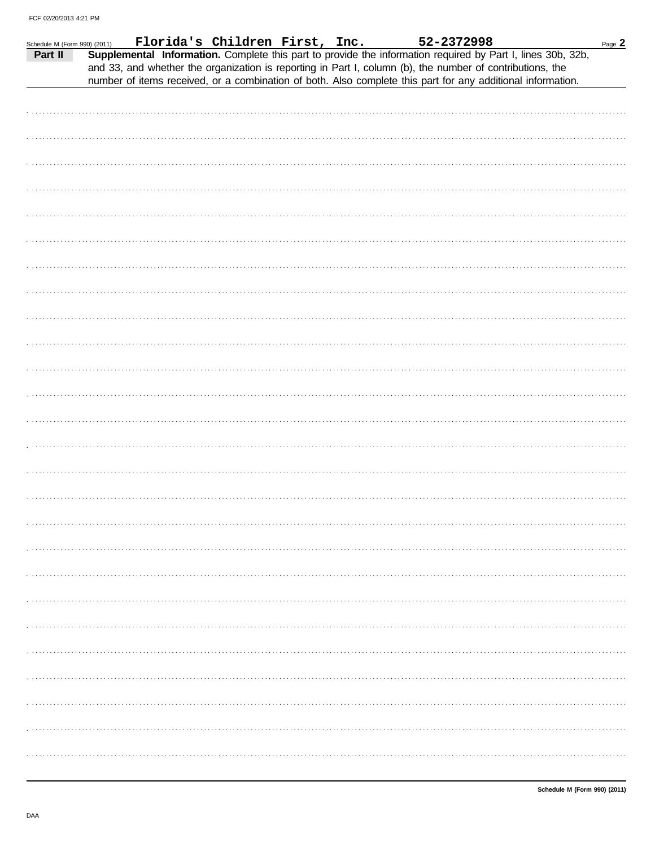| Schedule M (Form 990) (2011)<br>Part II |  |  |  | $\frac{100}{(2011)}$ Florida's Children First, Inc. 52-2372998<br>Supplemental Information. Complete this part to provide the information required by Part I, lines 30b, 32b,<br>and 33, and whether the organization is reporting in Part I, column (b), the number of contributions, the | Page $2$ |
|-----------------------------------------|--|--|--|--------------------------------------------------------------------------------------------------------------------------------------------------------------------------------------------------------------------------------------------------------------------------------------------|----------|
|                                         |  |  |  | number of items received, or a combination of both. Also complete this part for any additional information.                                                                                                                                                                                |          |
|                                         |  |  |  |                                                                                                                                                                                                                                                                                            |          |
|                                         |  |  |  |                                                                                                                                                                                                                                                                                            |          |
|                                         |  |  |  |                                                                                                                                                                                                                                                                                            |          |
|                                         |  |  |  |                                                                                                                                                                                                                                                                                            |          |
|                                         |  |  |  |                                                                                                                                                                                                                                                                                            |          |
|                                         |  |  |  |                                                                                                                                                                                                                                                                                            |          |
|                                         |  |  |  |                                                                                                                                                                                                                                                                                            |          |
|                                         |  |  |  |                                                                                                                                                                                                                                                                                            |          |
|                                         |  |  |  |                                                                                                                                                                                                                                                                                            |          |
|                                         |  |  |  |                                                                                                                                                                                                                                                                                            |          |
|                                         |  |  |  |                                                                                                                                                                                                                                                                                            |          |
|                                         |  |  |  |                                                                                                                                                                                                                                                                                            |          |
|                                         |  |  |  |                                                                                                                                                                                                                                                                                            |          |
|                                         |  |  |  |                                                                                                                                                                                                                                                                                            |          |
|                                         |  |  |  |                                                                                                                                                                                                                                                                                            |          |
|                                         |  |  |  |                                                                                                                                                                                                                                                                                            |          |
|                                         |  |  |  |                                                                                                                                                                                                                                                                                            |          |
|                                         |  |  |  |                                                                                                                                                                                                                                                                                            |          |
|                                         |  |  |  |                                                                                                                                                                                                                                                                                            |          |
|                                         |  |  |  |                                                                                                                                                                                                                                                                                            |          |
|                                         |  |  |  |                                                                                                                                                                                                                                                                                            |          |
|                                         |  |  |  |                                                                                                                                                                                                                                                                                            |          |
|                                         |  |  |  |                                                                                                                                                                                                                                                                                            |          |
|                                         |  |  |  |                                                                                                                                                                                                                                                                                            |          |
|                                         |  |  |  |                                                                                                                                                                                                                                                                                            |          |
|                                         |  |  |  |                                                                                                                                                                                                                                                                                            |          |
|                                         |  |  |  |                                                                                                                                                                                                                                                                                            |          |
|                                         |  |  |  |                                                                                                                                                                                                                                                                                            |          |
|                                         |  |  |  |                                                                                                                                                                                                                                                                                            |          |
|                                         |  |  |  |                                                                                                                                                                                                                                                                                            |          |
|                                         |  |  |  |                                                                                                                                                                                                                                                                                            |          |
|                                         |  |  |  |                                                                                                                                                                                                                                                                                            |          |
|                                         |  |  |  |                                                                                                                                                                                                                                                                                            |          |
|                                         |  |  |  |                                                                                                                                                                                                                                                                                            |          |
|                                         |  |  |  |                                                                                                                                                                                                                                                                                            |          |
|                                         |  |  |  |                                                                                                                                                                                                                                                                                            |          |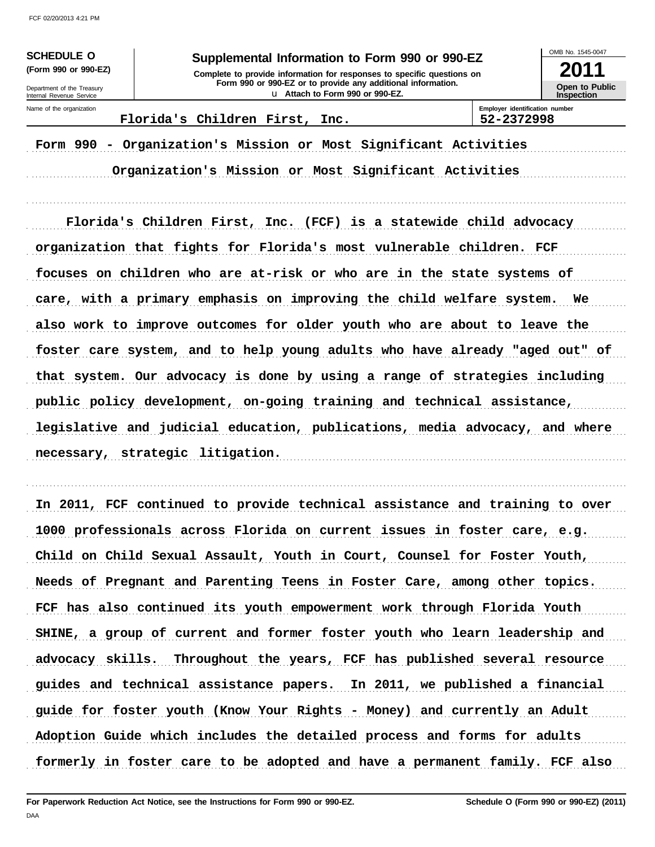**SCHEDULE O** 

(Form 990 or 990-EZ)

### Supplemental Information to Form 990 or 990-EZ

Complete to provide information for responses to specific questions on Form 990 or 990-EZ or to provide any additional information. u Attach to Form 990 or 990-EZ.

OMB No 1545-0047

2011 Open to Public Inspection

Department of the Treasury Internal Revenue Service Name of the organization

Florida's Children First, Inc.

Employer identification number 52-2372998

Form 990 - Organization's Mission or Most Significant Activities

Organization's Mission or Most Significant Activities

Florida's Children First, Inc. (FCF) is a statewide child advocacy organization that fights for Florida's most vulnerable children. FCF focuses on children who are at-risk or who are in the state systems of care, with a primary emphasis on improving the child welfare system. We also work to improve outcomes for older youth who are about to leave the foster care system, and to help young adults who have already "aged out" of that system. Our advocacy is done by using a range of strategies including public policy development, on-going training and technical assistance, legislative and judicial education, publications, media advocacy, and where necessary, strategic litigation.

In 2011, FCF continued to provide technical assistance and training to over 1000 professionals across Florida on current issues in foster care, e.g. Child on Child Sexual Assault, Youth in Court, Counsel for Foster Youth, Needs of Pregnant and Parenting Teens in Foster Care, among other topics. FCF has also continued its youth empowerment work through Florida Youth SHINE, a group of current and former foster youth who learn leadership and Throughout the years, FCF has published several resource advocacy skills. guides and technical assistance papers. In 2011, we published a financial guide for foster youth (Know Your Rights - Money) and currently an Adult Adoption Guide which includes the detailed process and forms for adults formerly in foster care to be adopted and have a permanent family. FCF also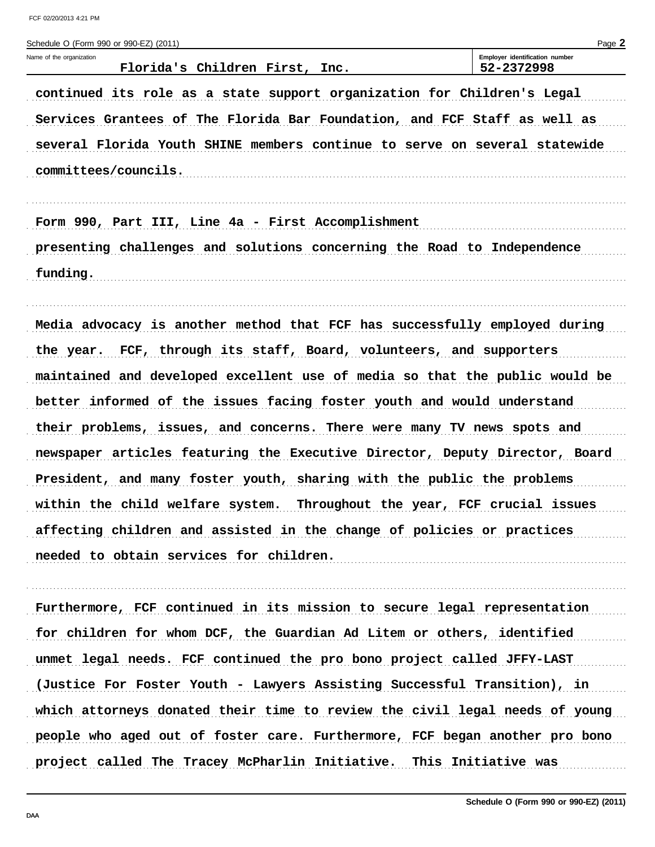| Schedule O (Form 990 or 990-EZ) (2011)                                      | Page 2                                       |
|-----------------------------------------------------------------------------|----------------------------------------------|
| Name of the organization<br>Florida's Children First, Inc.                  | Employer identification number<br>52-2372998 |
| continued its role as a state support organization for Children's Legal     |                                              |
| Services Grantees of The Florida Bar Foundation, and FCF Staff as well as   |                                              |
| several Florida Youth SHINE members continue to serve on several statewide  |                                              |
| committees/councils.                                                        |                                              |
| Form 990, Part III, Line 4a - First Accomplishment                          |                                              |
| presenting challenges and solutions concerning the Road to Independence     |                                              |
| funding.                                                                    |                                              |
|                                                                             |                                              |
| Media advocacy is another method that FCF has successfully employed during  |                                              |
| the year. FCF, through its staff, Board, volunteers, and supporters         |                                              |
| maintained and developed excellent use of media so that the public would be |                                              |
| better informed of the issues facing foster youth and would understand      |                                              |
| their problems, issues, and concerns. There were many TV news spots and     |                                              |
| newspaper articles featuring the Executive Director, Deputy Director, Board |                                              |
| President, and many foster youth, sharing with the public the problems      |                                              |
| within the child welfare system. Throughout the year, FCF crucial issues    |                                              |
| affecting children and assisted in the change of policies or practices      |                                              |
| needed to obtain services for children.                                     |                                              |
|                                                                             |                                              |
| Furthermore, FCF continued in its mission to secure legal representation    |                                              |
| for children for whom DCF, the Guardian Ad Litem or others, identified      |                                              |
| unmet legal needs. FCF continued the pro bono project called JFFY-LAST      |                                              |
| (Justice For Foster Youth - Lawyers Assisting Successful Transition), in    |                                              |
| which attorneys donated their time to review the civil legal needs of young |                                              |
| people who aged out of foster care. Furthermore, FCF began another pro bono |                                              |

project called The Tracey McPharlin Initiative. This Initiative was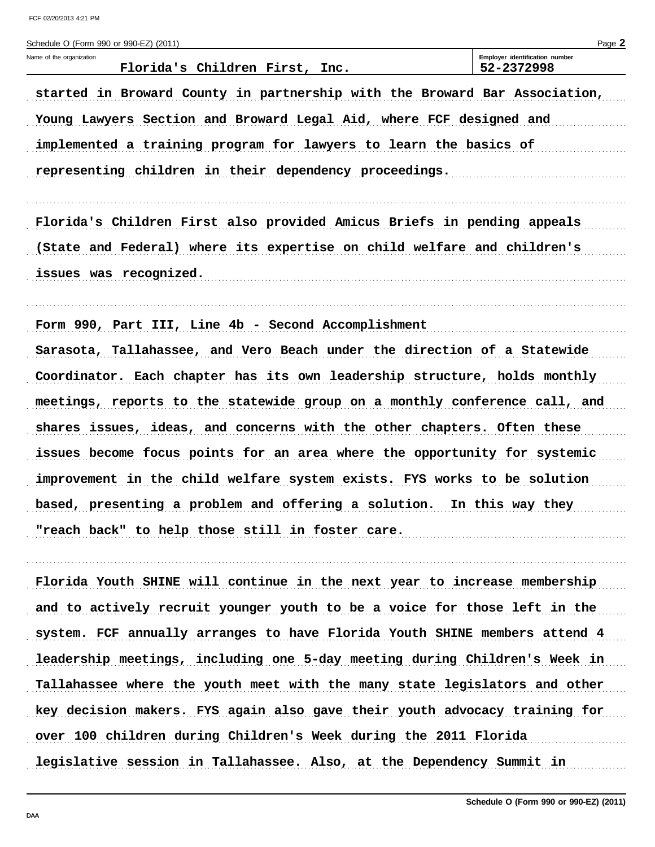| Schedule O (Form 990 or 990-EZ) (2011)                                     | Page 2                                       |
|----------------------------------------------------------------------------|----------------------------------------------|
| Name of the organization<br>Florida's Children First, Inc.                 | Employer identification number<br>52-2372998 |
| started in Broward County in partnership with the Broward Bar Association, |                                              |
| Young Lawyers Section and Broward Legal Aid, where FCF designed and        |                                              |
| implemented a training program for lawyers to learn the basics of          |                                              |
| representing children in their dependency proceedings.                     |                                              |
|                                                                            |                                              |
| Florida's Children First also provided Amicus Briefs in pending appeals    |                                              |
| (State and Federal) where its expertise on child welfare and children's    |                                              |
| issues was recognized.                                                     |                                              |
| Form 990, Part III, Line 4b - Second Accomplishment                        |                                              |
| Sarasota, Tallahassee, and Vero Beach under the direction of a Statewide   |                                              |
| Coordinator. Each chapter has its own leadership structure, holds monthly  |                                              |
| meetings, reports to the statewide group on a monthly conference call, and |                                              |
| shares issues, ideas, and concerns with the other chapters. Often these    |                                              |
| issues become focus points for an area where the opportunity for systemic  |                                              |
| improvement in the child welfare system exists. FYS works to be solution   |                                              |
| based, presenting a problem and offering a solution. In this way they      |                                              |
| "reach back" to help those still in foster care.                           |                                              |
|                                                                            |                                              |
| Florida Youth SHINE will continue in the next year to increase membership  |                                              |
| and to actively recruit younger youth to be a voice for those left in the  |                                              |
| system. FCF annually arranges to have Florida Youth SHINE members attend 4 |                                              |
| leadership meetings, including one 5-day meeting during Children's Week in |                                              |
| Tallahassee where the youth meet with the many state legislators and other |                                              |
| key decision makers. FYS again also gave their youth advocacy training for |                                              |
| over 100 children during Children's Week during the 2011 Florida           |                                              |
| legislative session in Tallahassee. Also, at the Dependency Summit in      |                                              |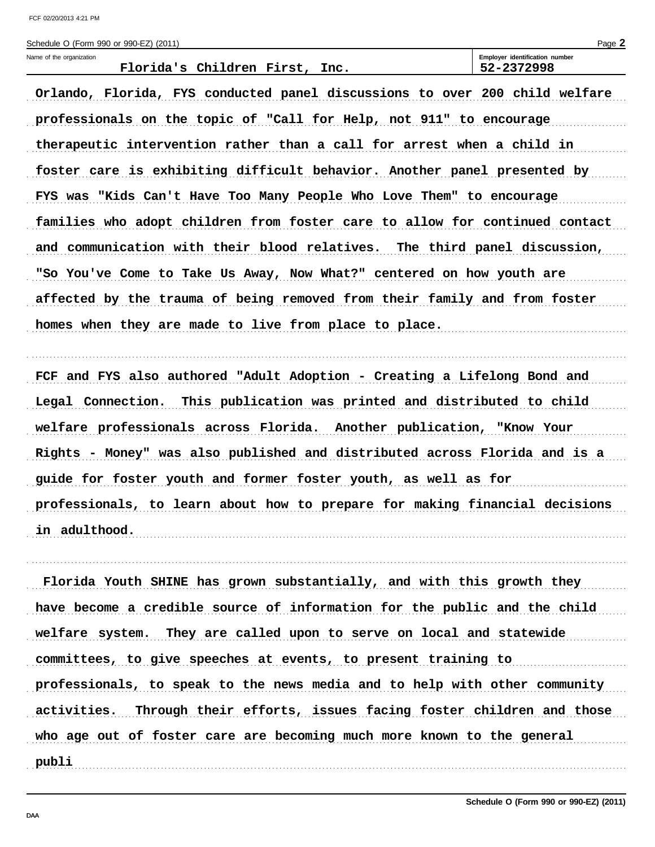| Schedule O (Form 990 or 990-EZ) (2011)                                      | Page 2<br>Employer identification number |
|-----------------------------------------------------------------------------|------------------------------------------|
| Name of the organization<br>Florida's Children First, Inc.                  | 52-2372998                               |
|                                                                             |                                          |
| Orlando, Florida, FYS conducted panel discussions to over 200 child welfare |                                          |
| professionals on the topic of "Call for Help, not 911" to encourage         |                                          |
| therapeutic intervention rather than a call for arrest when a child in      |                                          |
| foster care is exhibiting difficult behavior. Another panel presented by    |                                          |
| FYS was "Kids Can't Have Too Many People Who Love Them" to encourage        |                                          |
| families who adopt children from foster care to allow for continued contact |                                          |
| and communication with their blood relatives. The third panel discussion,   |                                          |
| "So You've Come to Take Us Away, Now What?" centered on how youth are       |                                          |
| affected by the trauma of being removed from their family and from foster   |                                          |
| homes when they are made to live from place to place.                       |                                          |
| FCF and FYS also authored "Adult Adoption - Creating a Lifelong Bond and    |                                          |
| Legal Connection. This publication was printed and distributed to child     |                                          |
| welfare professionals across Florida. Another publication, "Know Your       |                                          |
| Rights - Money" was also published and distributed across Florida and is a  |                                          |
| guide for foster youth and former foster youth, as well as for              |                                          |
| professionals, to learn about how to prepare for making financial decisions |                                          |
| in adulthood.                                                               |                                          |
|                                                                             |                                          |
| Florida Youth SHINE has grown substantially, and with this growth they      |                                          |
| have become a credible source of information for the public and the child   |                                          |
| welfare system. They are called upon to serve on local and statewide        |                                          |

committees, to give speeches at events, to present training to

professionals, to speak to the news media and to help with other community

activities. Through their efforts, issues facing foster children and those

who age out of foster care are becoming much more known to the general

Schedule O (Form 990 or 990-EZ) (2011)

. . . . . . . .

publi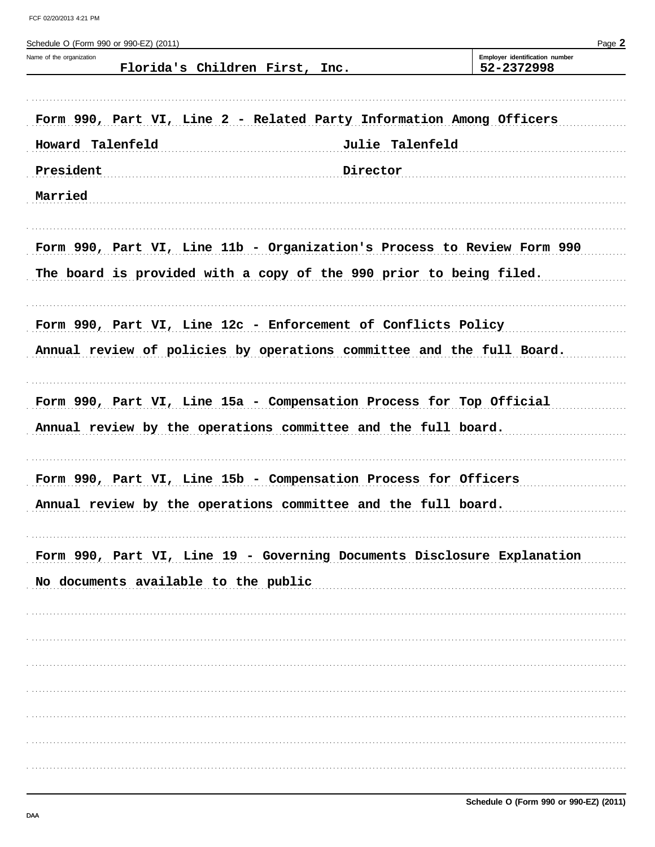| Schedule O (Form 990 or 990-EZ) (2011)                                  |                 | Page 2                                       |
|-------------------------------------------------------------------------|-----------------|----------------------------------------------|
| Name of the organization<br>Florida's Children First, Inc.              |                 | Employer identification number<br>52-2372998 |
| Form 990, Part VI, Line 2 - Related Party Information Among Officers    |                 |                                              |
|                                                                         |                 |                                              |
| Howard Talenfeld                                                        | Julie Talenfeld |                                              |
| President                                                               | Director        |                                              |
| Married                                                                 |                 |                                              |
| Form 990, Part VI, Line 11b - Organization's Process to Review Form 990 |                 |                                              |
| The board is provided with a copy of the 990 prior to being filed.      |                 |                                              |
| Form 990, Part VI, Line 12c - Enforcement of Conflicts Policy           |                 |                                              |
| Annual review of policies by operations committee and the full Board.   |                 |                                              |
| Form 990, Part VI, Line 15a - Compensation Process for Top Official     |                 |                                              |
| Annual review by the operations committee and the full board.           |                 |                                              |
| Form 990, Part VI, Line 15b - Compensation Process for Officers         |                 |                                              |
| Annual review by the operations committee and the full board.           |                 |                                              |
| Form 990, Part VI, Line 19 - Governing Documents Disclosure Explanation |                 |                                              |
| No documents available to the public                                    |                 |                                              |
|                                                                         |                 |                                              |
|                                                                         |                 |                                              |
|                                                                         |                 |                                              |
|                                                                         |                 |                                              |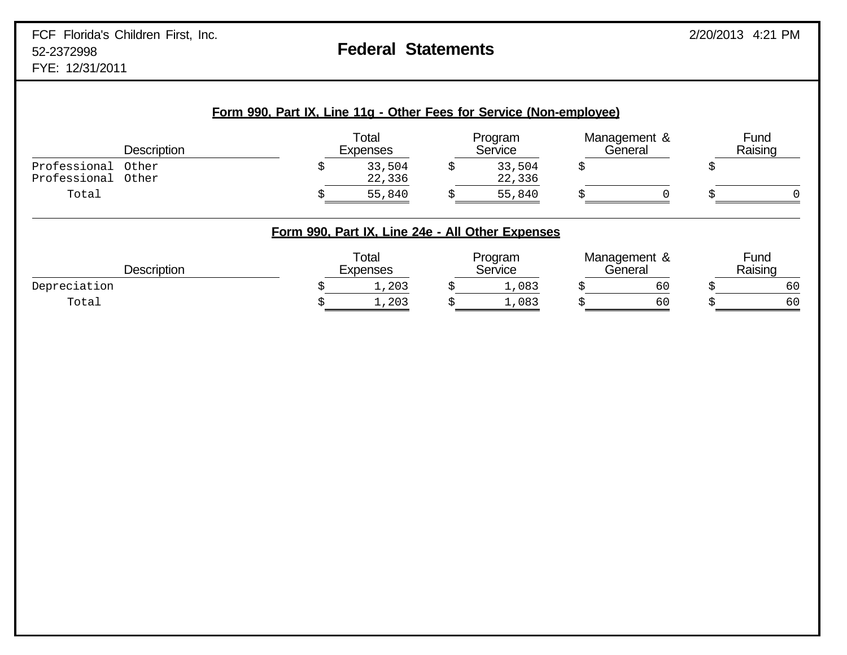|                              | <b>Description</b> | Total<br><b>Expenses</b>                         |   | Program<br>Service | Management &<br>General | Fund<br>Raising |
|------------------------------|--------------------|--------------------------------------------------|---|--------------------|-------------------------|-----------------|
| Professional<br>Professional | Other<br>Other     | 33,504<br>22,336                                 | S | 33,504<br>22,336   |                         |                 |
| Total                        |                    | 55,840                                           |   | 55,840             |                         |                 |
|                              |                    |                                                  |   |                    |                         |                 |
|                              |                    | Form 990, Part IX, Line 24e - All Other Expenses |   |                    |                         |                 |
|                              | <b>Description</b> | Total<br><b>Expenses</b>                         |   | Program<br>Service | Management &<br>General | Fund<br>Raising |
| Depreciation                 |                    | 1,203                                            |   | 1,083              | 60                      |                 |